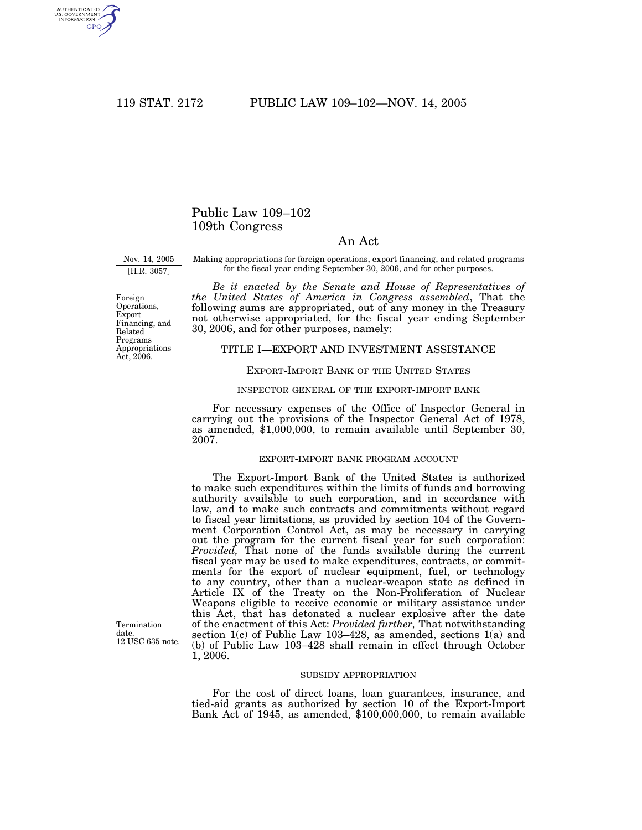AUTHENTICATED<br>U.S. GOVERNMENT<br>INFORMATION **GPO** 

# Public Law 109–102 109th Congress

# An Act

Nov. 14, 2005 [H.R. 3057]

Making appropriations for foreign operations, export financing, and related programs for the fiscal year ending September 30, 2006, and for other purposes.

*Be it enacted by the Senate and House of Representatives of the United States of America in Congress assembled*, That the following sums are appropriated, out of any money in the Treasury not otherwise appropriated, for the fiscal year ending September 30, 2006, and for other purposes, namely:

## TITLE I—EXPORT AND INVESTMENT ASSISTANCE

## EXPORT-IMPORT BANK OF THE UNITED STATES

#### INSPECTOR GENERAL OF THE EXPORT-IMPORT BANK

For necessary expenses of the Office of Inspector General in carrying out the provisions of the Inspector General Act of 1978, as amended, \$1,000,000, to remain available until September 30, 2007.

#### EXPORT-IMPORT BANK PROGRAM ACCOUNT

The Export-Import Bank of the United States is authorized to make such expenditures within the limits of funds and borrowing authority available to such corporation, and in accordance with law, and to make such contracts and commitments without regard to fiscal year limitations, as provided by section 104 of the Government Corporation Control Act, as may be necessary in carrying out the program for the current fiscal year for such corporation: *Provided,* That none of the funds available during the current fiscal year may be used to make expenditures, contracts, or commitments for the export of nuclear equipment, fuel, or technology to any country, other than a nuclear-weapon state as defined in Article IX of the Treaty on the Non-Proliferation of Nuclear Weapons eligible to receive economic or military assistance under this Act, that has detonated a nuclear explosive after the date of the enactment of this Act: *Provided further,* That notwithstanding section 1(c) of Public Law 103-428, as amended, sections 1(a) and (b) of Public Law 103–428 shall remain in effect through October 1, 2006.

SUBSIDY APPROPRIATION

For the cost of direct loans, loan guarantees, insurance, and tied-aid grants as authorized by section 10 of the Export-Import Bank Act of 1945, as amended, \$100,000,000, to remain available

Foreign Operations, Export Financing, and Related Programs Appropriations Act, 2006.

Termination date. 12 USC 635 note.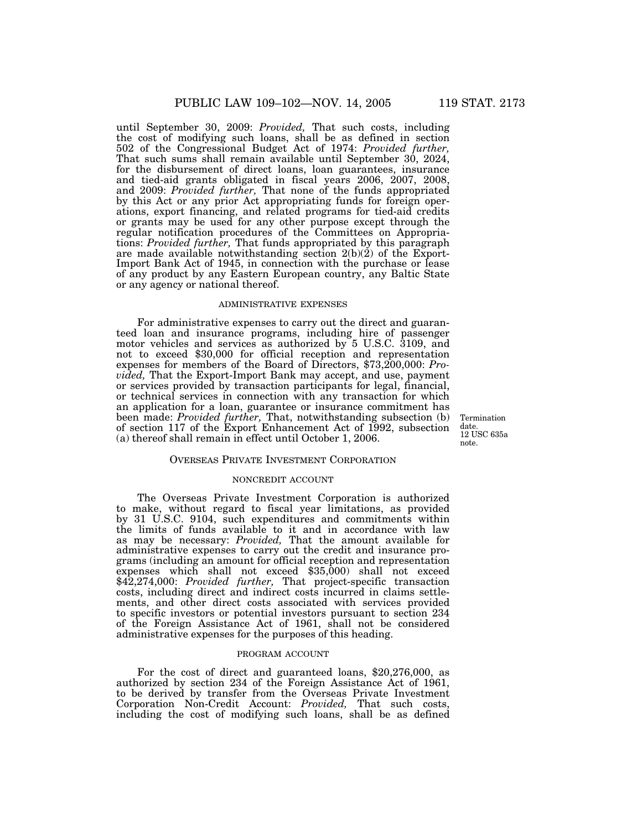until September 30, 2009: *Provided,* That such costs, including the cost of modifying such loans, shall be as defined in section 502 of the Congressional Budget Act of 1974: *Provided further,* That such sums shall remain available until September 30, 2024, for the disbursement of direct loans, loan guarantees, insurance and tied-aid grants obligated in fiscal years 2006, 2007, 2008, and 2009: *Provided further,* That none of the funds appropriated by this Act or any prior Act appropriating funds for foreign operations, export financing, and related programs for tied-aid credits or grants may be used for any other purpose except through the regular notification procedures of the Committees on Appropriations: *Provided further,* That funds appropriated by this paragraph are made available notwithstanding section 2(b)(2) of the Export-Import Bank Act of 1945, in connection with the purchase or lease of any product by any Eastern European country, any Baltic State or any agency or national thereof.

#### ADMINISTRATIVE EXPENSES

For administrative expenses to carry out the direct and guaranteed loan and insurance programs, including hire of passenger motor vehicles and services as authorized by 5 U.S.C. 3109, and not to exceed \$30,000 for official reception and representation expenses for members of the Board of Directors, \$73,200,000: *Provided,* That the Export-Import Bank may accept, and use, payment or services provided by transaction participants for legal, financial, or technical services in connection with any transaction for which an application for a loan, guarantee or insurance commitment has been made: *Provided further,* That, notwithstanding subsection (b) of section 117 of the Export Enhancement Act of 1992, subsection (a) thereof shall remain in effect until October 1, 2006.

Termination date. 12 USC 635a note.

#### OVERSEAS PRIVATE INVESTMENT CORPORATION

## NONCREDIT ACCOUNT

The Overseas Private Investment Corporation is authorized to make, without regard to fiscal year limitations, as provided by 31 U.S.C. 9104, such expenditures and commitments within the limits of funds available to it and in accordance with law as may be necessary: *Provided,* That the amount available for administrative expenses to carry out the credit and insurance programs (including an amount for official reception and representation expenses which shall not exceed \$35,000) shall not exceed \$42,274,000: *Provided further,* That project-specific transaction costs, including direct and indirect costs incurred in claims settlements, and other direct costs associated with services provided to specific investors or potential investors pursuant to section 234 of the Foreign Assistance Act of 1961, shall not be considered administrative expenses for the purposes of this heading.

#### PROGRAM ACCOUNT

For the cost of direct and guaranteed loans, \$20,276,000, as authorized by section 234 of the Foreign Assistance Act of 1961, to be derived by transfer from the Overseas Private Investment Corporation Non-Credit Account: *Provided,* That such costs, including the cost of modifying such loans, shall be as defined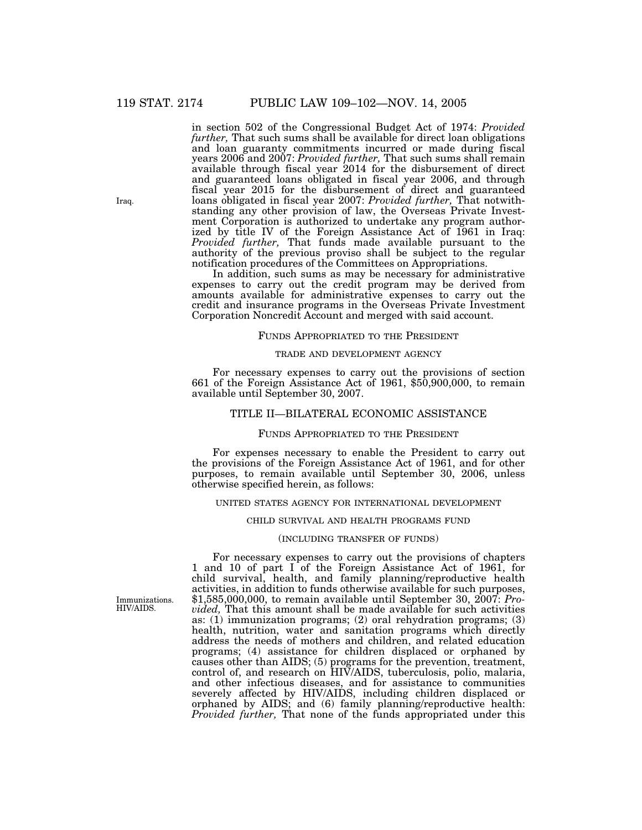in section 502 of the Congressional Budget Act of 1974: *Provided further,* That such sums shall be available for direct loan obligations and loan guaranty commitments incurred or made during fiscal years 2006 and 2007: *Provided further,* That such sums shall remain available through fiscal year 2014 for the disbursement of direct and guaranteed loans obligated in fiscal year 2006, and through fiscal year 2015 for the disbursement of direct and guaranteed loans obligated in fiscal year 2007: *Provided further,* That notwithstanding any other provision of law, the Overseas Private Investment Corporation is authorized to undertake any program authorized by title IV of the Foreign Assistance Act of 1961 in Iraq: *Provided further,* That funds made available pursuant to the authority of the previous proviso shall be subject to the regular notification procedures of the Committees on Appropriations.

In addition, such sums as may be necessary for administrative expenses to carry out the credit program may be derived from amounts available for administrative expenses to carry out the credit and insurance programs in the Overseas Private Investment Corporation Noncredit Account and merged with said account.

#### FUNDS APPROPRIATED TO THE PRESIDENT

#### TRADE AND DEVELOPMENT AGENCY

For necessary expenses to carry out the provisions of section 661 of the Foreign Assistance Act of 1961, \$50,900,000, to remain available until September 30, 2007.

## TITLE II—BILATERAL ECONOMIC ASSISTANCE

#### FUNDS APPROPRIATED TO THE PRESIDENT

For expenses necessary to enable the President to carry out the provisions of the Foreign Assistance Act of 1961, and for other purposes, to remain available until September 30, 2006, unless otherwise specified herein, as follows:

### UNITED STATES AGENCY FOR INTERNATIONAL DEVELOPMENT

#### CHILD SURVIVAL AND HEALTH PROGRAMS FUND

#### (INCLUDING TRANSFER OF FUNDS)

For necessary expenses to carry out the provisions of chapters 1 and 10 of part I of the Foreign Assistance Act of 1961, for child survival, health, and family planning/reproductive health activities, in addition to funds otherwise available for such purposes, \$1,585,000,000, to remain available until September 30, 2007: *Provided,* That this amount shall be made available for such activities as: (1) immunization programs; (2) oral rehydration programs; (3) health, nutrition, water and sanitation programs which directly address the needs of mothers and children, and related education programs; (4) assistance for children displaced or orphaned by causes other than AIDS; (5) programs for the prevention, treatment, control of, and research on HIV/AIDS, tuberculosis, polio, malaria, and other infectious diseases, and for assistance to communities severely affected by HIV/AIDS, including children displaced or orphaned by AIDS; and (6) family planning/reproductive health: *Provided further,* That none of the funds appropriated under this

Immunizations. HIV/AIDS.

Iraq.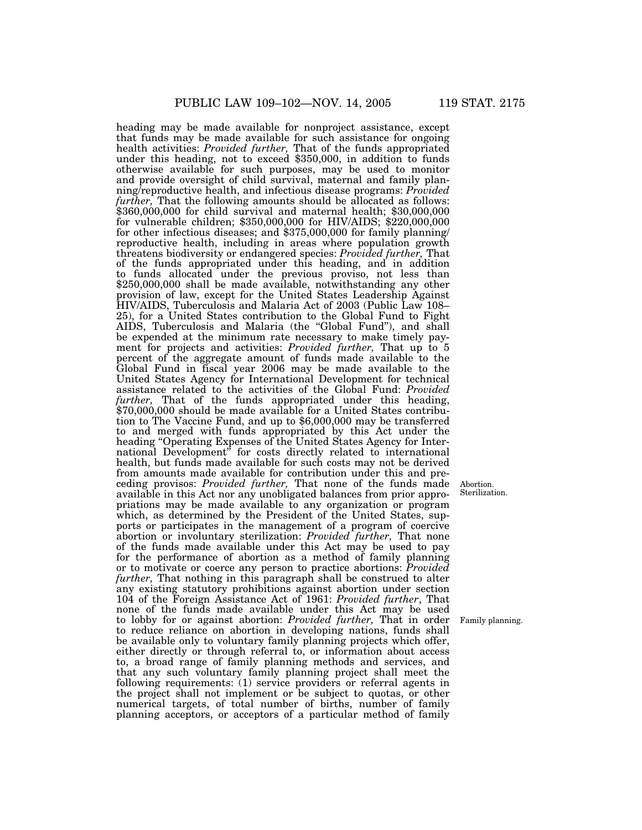heading may be made available for nonproject assistance, except that funds may be made available for such assistance for ongoing health activities: *Provided further*, That of the funds appropriated health activities: *Provided further,* That of the funds appropriated under this heading, not to exceed \$350,000, in addition to funds otherwise available for such purposes, may be used to monitor and provide oversight of child survival, maternal and family planning/reproductive health, and infectious disease programs: *Provided further,* That the following amounts should be allocated as follows: \$360,000,000 for child survival and maternal health; \$30,000,000 for vulnerable children; \$350,000,000 for HIV/AIDS; \$220,000,000 for other infectious diseases; and \$375,000,000 for family planning/ reproductive health, including in areas where population growth threatens biodiversity or endangered species: *Provided further,* That of the funds appropriated under this heading, and in addition to funds allocated under the previous proviso, not less than \$250,000,000 shall be made available, notwithstanding any other provision of law, except for the United States Leadership Against HIV/AIDS, Tuberculosis and Malaria Act of 2003 (Public Law 108– 25), for a United States contribution to the Global Fund to Fight AIDS, Tuberculosis and Malaria (the ''Global Fund''), and shall be expended at the minimum rate necessary to make timely payment for projects and activities: *Provided further,* That up to 5 percent of the aggregate amount of funds made available to the Global Fund in fiscal year 2006 may be made available to the United States Agency for International Development for technical assistance related to the activities of the Global Fund: *Provided further*, That of the funds appropriated under this heading, \$70,000,000 should be made available for a United States contribution to The Vaccine Fund, and up to \$6,000,000 may be transferred to and merged with funds appropriated by this Act under the heading ''Operating Expenses of the United States Agency for International Development'' for costs directly related to international health, but funds made available for such costs may not be derived from amounts made available for contribution under this and preceding provisos: *Provided further,* That none of the funds made available in this Act nor any unobligated balances from prior appropriations may be made available to any organization or program which, as determined by the President of the United States, supports or participates in the management of a program of coercive abortion or involuntary sterilization: *Provided further,* That none of the funds made available under this Act may be used to pay for the performance of abortion as a method of family planning or to motivate or coerce any person to practice abortions: *Provided further,* That nothing in this paragraph shall be construed to alter any existing statutory prohibitions against abortion under section 104 of the Foreign Assistance Act of 1961: *Provided further*, That none of the funds made available under this Act may be used to lobby for or against abortion: *Provided further,* That in order to reduce reliance on abortion in developing nations, funds shall be available only to voluntary family planning projects which offer, either directly or through referral to, or information about access to, a broad range of family planning methods and services, and that any such voluntary family planning project shall meet the following requirements: (1) service providers or referral agents in the project shall not implement or be subject to quotas, or other numerical targets, of total number of births, number of family planning acceptors, or acceptors of a particular method of family

Abortion. Sterilization.

Family planning.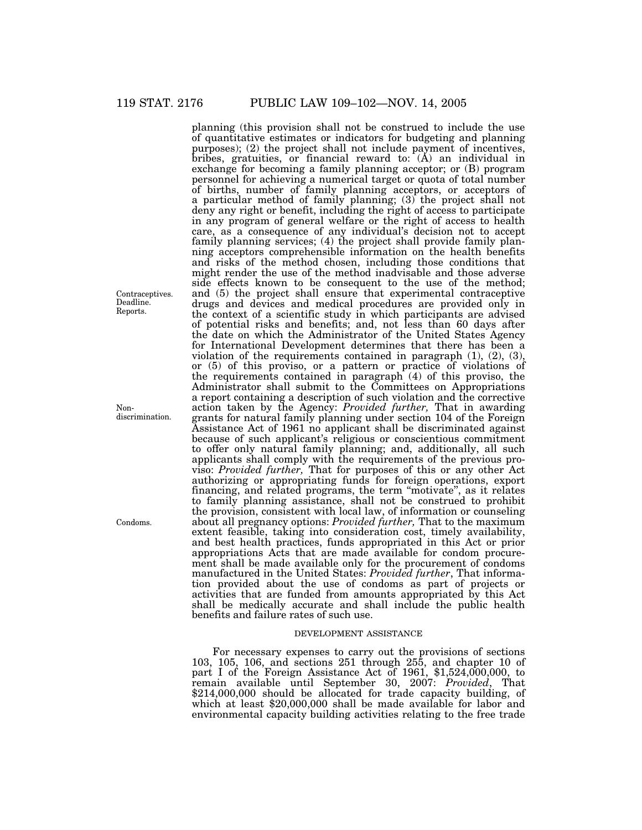planning (this provision shall not be construed to include the use of quantitative estimates or indicators for budgeting and planning purposes); (2) the project shall not include payment of incentives, bribes, gratuities, or financial reward to:  $(A)$  an individual in exchange for becoming a family planning acceptor; or (B) program personnel for achieving a numerical target or quota of total number of births, number of family planning acceptors, or acceptors of a particular method of family planning; (3) the project shall not deny any right or benefit, including the right of access to participate in any program of general welfare or the right of access to health care, as a consequence of any individual's decision not to accept family planning services; (4) the project shall provide family planning acceptors comprehensible information on the health benefits and risks of the method chosen, including those conditions that might render the use of the method inadvisable and those adverse side effects known to be consequent to the use of the method; and (5) the project shall ensure that experimental contraceptive drugs and devices and medical procedures are provided only in the context of a scientific study in which participants are advised of potential risks and benefits; and, not less than 60 days after the date on which the Administrator of the United States Agency for International Development determines that there has been a violation of the requirements contained in paragraph (1), (2), (3), or (5) of this proviso, or a pattern or practice of violations of the requirements contained in paragraph (4) of this proviso, the Administrator shall submit to the Committees on Appropriations a report containing a description of such violation and the corrective action taken by the Agency: *Provided further,* That in awarding grants for natural family planning under section 104 of the Foreign Assistance Act of 1961 no applicant shall be discriminated against because of such applicant's religious or conscientious commitment to offer only natural family planning; and, additionally, all such applicants shall comply with the requirements of the previous proviso: *Provided further,* That for purposes of this or any other Act authorizing or appropriating funds for foreign operations, export financing, and related programs, the term ''motivate'', as it relates to family planning assistance, shall not be construed to prohibit the provision, consistent with local law, of information or counseling about all pregnancy options: *Provided further,* That to the maximum extent feasible, taking into consideration cost, timely availability, and best health practices, funds appropriated in this Act or prior appropriations Acts that are made available for condom procurement shall be made available only for the procurement of condoms manufactured in the United States: *Provided further*, That information provided about the use of condoms as part of projects or activities that are funded from amounts appropriated by this Act shall be medically accurate and shall include the public health benefits and failure rates of such use.

### DEVELOPMENT ASSISTANCE

For necessary expenses to carry out the provisions of sections 103, 105, 106, and sections 251 through 255, and chapter 10 of part I of the Foreign Assistance Act of 1961, \$1,524,000,000, to remain available until September 30, 2007: *Provided*, That \$214,000,000 should be allocated for trade capacity building, of which at least \$20,000,000 shall be made available for labor and environmental capacity building activities relating to the free trade

Contraceptives. Deadline. Reports.

Nondiscrimination.

Condoms.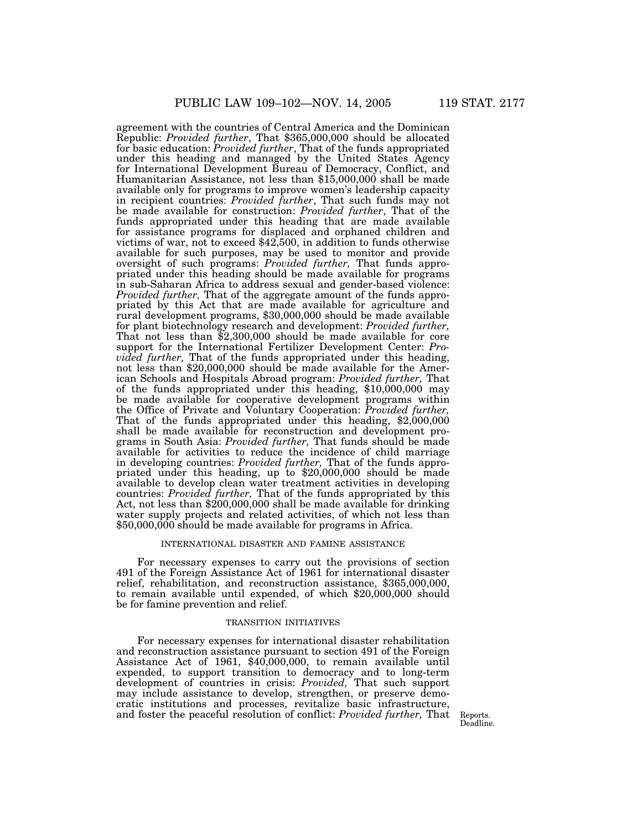agreement with the countries of Central America and the Dominican Republic: *Provided further*, That \$365,000,000 should be allocated for basic education: *Provided further*, That of the funds appropriated under this heading and managed by the United States Agency for International Development Bureau of Democracy, Conflict, and Humanitarian Assistance, not less than \$15,000,000 shall be made available only for programs to improve women's leadership capacity in recipient countries: *Provided further*, That such funds may not be made available for construction: *Provided further*, That of the funds appropriated under this heading that are made available for assistance programs for displaced and orphaned children and victims of war, not to exceed \$42,500, in addition to funds otherwise available for such purposes, may be used to monitor and provide oversight of such programs: *Provided further,* That funds appropriated under this heading should be made available for programs in sub-Saharan Africa to address sexual and gender-based violence: *Provided further,* That of the aggregate amount of the funds appropriated by this Act that are made available for agriculture and rural development programs, \$30,000,000 should be made available for plant biotechnology research and development: *Provided further,* That not less than \$2,300,000 should be made available for core support for the International Fertilizer Development Center: *Provided further,* That of the funds appropriated under this heading, not less than \$20,000,000 should be made available for the American Schools and Hospitals Abroad program: *Provided further,* That of the funds appropriated under this heading, \$10,000,000 may be made available for cooperative development programs within the Office of Private and Voluntary Cooperation: *Provided further,* That of the funds appropriated under this heading, \$2,000,000 shall be made available for reconstruction and development programs in South Asia: *Provided further,* That funds should be made available for activities to reduce the incidence of child marriage in developing countries: *Provided further,* That of the funds appropriated under this heading, up to \$20,000,000 should be made available to develop clean water treatment activities in developing countries: *Provided further,* That of the funds appropriated by this Act, not less than \$200,000,000 shall be made available for drinking water supply projects and related activities, of which not less than \$50,000,000 should be made available for programs in Africa.

#### INTERNATIONAL DISASTER AND FAMINE ASSISTANCE

For necessary expenses to carry out the provisions of section 491 of the Foreign Assistance Act of 1961 for international disaster relief, rehabilitation, and reconstruction assistance, \$365,000,000, to remain available until expended, of which \$20,000,000 should be for famine prevention and relief.

## TRANSITION INITIATIVES

For necessary expenses for international disaster rehabilitation and reconstruction assistance pursuant to section 491 of the Foreign Assistance Act of 1961, \$40,000,000, to remain available until expended, to support transition to democracy and to long-term development of countries in crisis: *Provided,* That such support may include assistance to develop, strengthen, or preserve democratic institutions and processes, revitalize basic infrastructure, and foster the peaceful resolution of conflict: *Provided further*, That Reports.

Deadline.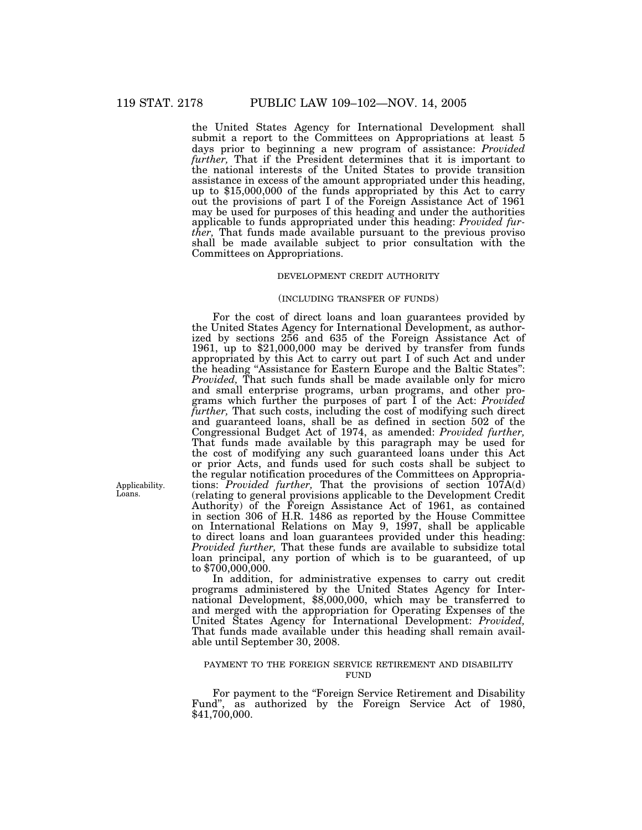the United States Agency for International Development shall submit a report to the Committees on Appropriations at least 5 days prior to beginning a new program of assistance: *Provided further,* That if the President determines that it is important to the national interests of the United States to provide transition assistance in excess of the amount appropriated under this heading, up to \$15,000,000 of the funds appropriated by this Act to carry out the provisions of part I of the Foreign Assistance Act of 1961 may be used for purposes of this heading and under the authorities applicable to funds appropriated under this heading: *Provided further,* That funds made available pursuant to the previous proviso shall be made available subject to prior consultation with the Committees on Appropriations.

## DEVELOPMENT CREDIT AUTHORITY

### (INCLUDING TRANSFER OF FUNDS)

For the cost of direct loans and loan guarantees provided by the United States Agency for International Development, as authorized by sections 256 and 635 of the Foreign Assistance Act of 1961, up to \$21,000,000 may be derived by transfer from funds appropriated by this Act to carry out part I of such Act and under the heading ''Assistance for Eastern Europe and the Baltic States'': *Provided,* That such funds shall be made available only for micro and small enterprise programs, urban programs, and other programs which further the purposes of part I of the Act: *Provided further,* That such costs, including the cost of modifying such direct and guaranteed loans, shall be as defined in section 502 of the Congressional Budget Act of 1974, as amended: *Provided further,* That funds made available by this paragraph may be used for the cost of modifying any such guaranteed loans under this Act or prior Acts, and funds used for such costs shall be subject to the regular notification procedures of the Committees on Appropriations: *Provided further*, That the provisions of section 107A(d) (relating to general provisions applicable to the Development Credit Authority) of the Foreign Assistance Act of 1961, as contained in section 306 of H.R. 1486 as reported by the House Committee on International Relations on May 9, 1997, shall be applicable to direct loans and loan guarantees provided under this heading: *Provided further,* That these funds are available to subsidize total loan principal, any portion of which is to be guaranteed, of up to \$700,000,000.

In addition, for administrative expenses to carry out credit programs administered by the United States Agency for International Development, \$8,000,000, which may be transferred to and merged with the appropriation for Operating Expenses of the United States Agency for International Development: *Provided,* That funds made available under this heading shall remain available until September 30, 2008.

## PAYMENT TO THE FOREIGN SERVICE RETIREMENT AND DISABILITY FUND

For payment to the "Foreign Service Retirement and Disability Fund'', as authorized by the Foreign Service Act of 1980, \$41,700,000.

Applicability. Loans.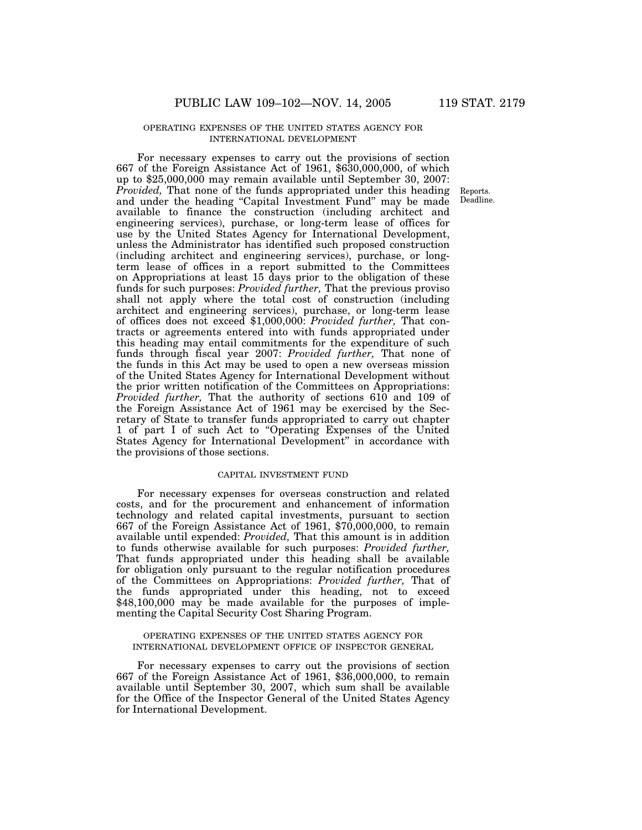## OPERATING EXPENSES OF THE UNITED STATES AGENCY FOR INTERNATIONAL DEVELOPMENT

For necessary expenses to carry out the provisions of section 667 of the Foreign Assistance Act of 1961, \$630,000,000, of which up to \$25,000,000 may remain available until September 30, 2007: *Provided,* That none of the funds appropriated under this heading and under the heading "Capital Investment Fund" may be made available to finance the construction (including architect and engineering services), purchase, or long-term lease of offices for use by the United States Agency for International Development, unless the Administrator has identified such proposed construction (including architect and engineering services), purchase, or longterm lease of offices in a report submitted to the Committees on Appropriations at least 15 days prior to the obligation of these funds for such purposes: *Provided further,* That the previous proviso shall not apply where the total cost of construction (including architect and engineering services), purchase, or long-term lease of offices does not exceed \$1,000,000: *Provided further,* That contracts or agreements entered into with funds appropriated under this heading may entail commitments for the expenditure of such funds through fiscal year 2007: *Provided further,* That none of the funds in this Act may be used to open a new overseas mission of the United States Agency for International Development without the prior written notification of the Committees on Appropriations: *Provided further,* That the authority of sections 610 and 109 of the Foreign Assistance Act of 1961 may be exercised by the Secretary of State to transfer funds appropriated to carry out chapter 1 of part I of such Act to ''Operating Expenses of the United States Agency for International Development'' in accordance with the provisions of those sections.

## CAPITAL INVESTMENT FUND

For necessary expenses for overseas construction and related costs, and for the procurement and enhancement of information technology and related capital investments, pursuant to section 667 of the Foreign Assistance Act of 1961, \$70,000,000, to remain available until expended: *Provided,* That this amount is in addition to funds otherwise available for such purposes: *Provided further,* That funds appropriated under this heading shall be available for obligation only pursuant to the regular notification procedures of the Committees on Appropriations: *Provided further,* That of the funds appropriated under this heading, not to exceed \$48,100,000 may be made available for the purposes of implementing the Capital Security Cost Sharing Program.

### OPERATING EXPENSES OF THE UNITED STATES AGENCY FOR INTERNATIONAL DEVELOPMENT OFFICE OF INSPECTOR GENERAL

For necessary expenses to carry out the provisions of section 667 of the Foreign Assistance Act of 1961, \$36,000,000, to remain available until September 30, 2007, which sum shall be available for the Office of the Inspector General of the United States Agency for International Development.

Reports. Deadline.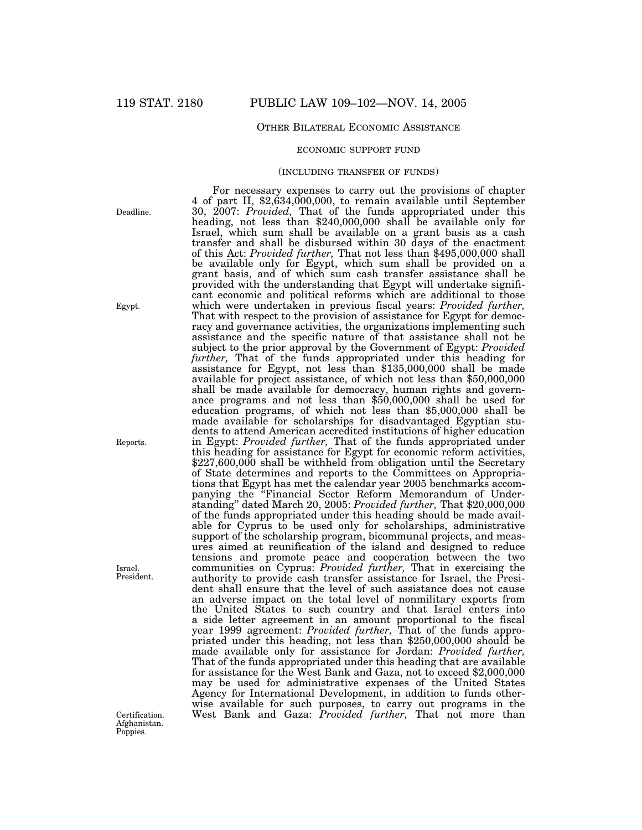## OTHER BILATERAL ECONOMIC ASSISTANCE

#### ECONOMIC SUPPORT FUND

## (INCLUDING TRANSFER OF FUNDS)

For necessary expenses to carry out the provisions of chapter 4 of part II, \$2,634,000,000, to remain available until September 30, 2007: *Provided*, That of the funds appropriated under this 30, 2007: *Provided,* That of the funds appropriated under this heading, not less than \$240,000,000 shall be available only for Israel, which sum shall be available on a grant basis as a cash transfer and shall be disbursed within 30 days of the enactment of this Act: *Provided further,* That not less than \$495,000,000 shall be available only for Egypt, which sum shall be provided on a grant basis, and of which sum cash transfer assistance shall be provided with the understanding that Egypt will undertake significant economic and political reforms which are additional to those which were undertaken in previous fiscal years: *Provided further,* That with respect to the provision of assistance for Egypt for democracy and governance activities, the organizations implementing such assistance and the specific nature of that assistance shall not be subject to the prior approval by the Government of Egypt: *Provided* further, That of the funds appropriated under this heading for assistance for Egypt, not less than \$135,000,000 shall be made available for project assistance, of which not less than \$50,000,000 shall be made available for democracy, human rights and governance programs and not less than \$50,000,000 shall be used for education programs, of which not less than \$5,000,000 shall be made available for scholarships for disadvantaged Egyptian students to attend American accredited institutions of higher education in Egypt: *Provided further,* That of the funds appropriated under this heading for assistance for Egypt for economic reform activities,  $$227,600,000$  shall be withheld from obligation until the Secretary of State determines and reports to the Committees on Appropriations that Egypt has met the calendar year 2005 benchmarks accompanying the ''Financial Sector Reform Memorandum of Understanding'' dated March 20, 2005: *Provided further,* That \$20,000,000 of the funds appropriated under this heading should be made available for Cyprus to be used only for scholarships, administrative support of the scholarship program, bicommunal projects, and measures aimed at reunification of the island and designed to reduce tensions and promote peace and cooperation between the two communities on Cyprus: *Provided further,* That in exercising the authority to provide cash transfer assistance for Israel, the President shall ensure that the level of such assistance does not cause an adverse impact on the total level of nonmilitary exports from the United States to such country and that Israel enters into a side letter agreement in an amount proportional to the fiscal year 1999 agreement: *Provided further,* That of the funds appropriated under this heading, not less than \$250,000,000 should be made available only for assistance for Jordan: *Provided further,* That of the funds appropriated under this heading that are available for assistance for the West Bank and Gaza, not to exceed \$2,000,000 may be used for administrative expenses of the United States Agency for International Development, in addition to funds otherwise available for such purposes, to carry out programs in the Certification. West Bank and Gaza: *Provided further,* That not more than

Deadline.

Egypt.

Reports.

Israel. President.

Afghanistan. Poppies.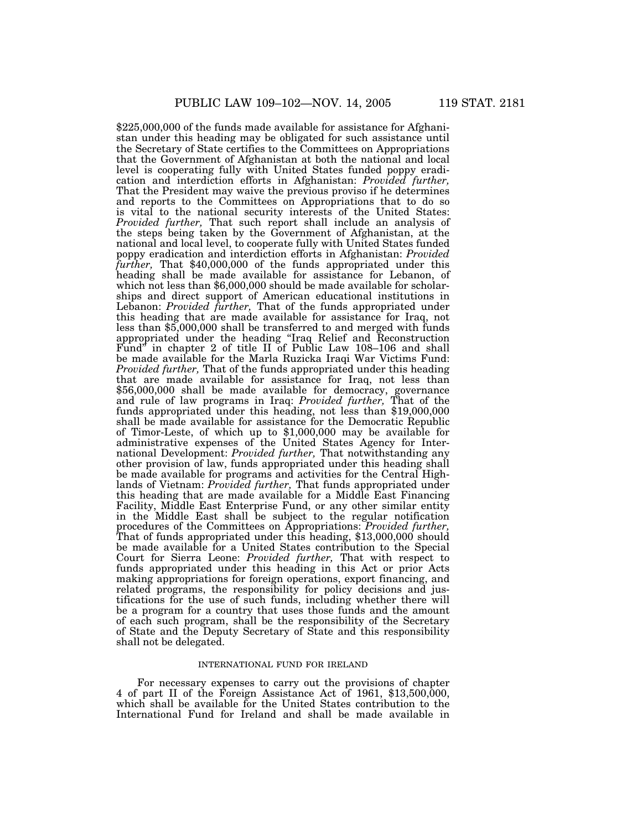\$225,000,000 of the funds made available for assistance for Afghanistan under this heading may be obligated for such assistance until the Secretary of State certifies to the Committees on Appropriations that the Government of Afghanistan at both the national and local level is cooperating fully with United States funded poppy eradication and interdiction efforts in Afghanistan: *Provided further,* That the President may waive the previous proviso if he determines and reports to the Committees on Appropriations that to do so is vital to the national security interests of the United States: *Provided further,* That such report shall include an analysis of the steps being taken by the Government of Afghanistan, at the national and local level, to cooperate fully with United States funded poppy eradication and interdiction efforts in Afghanistan: *Provided further,* That \$40,000,000 of the funds appropriated under this heading shall be made available for assistance for Lebanon, of which not less than \$6,000,000 should be made available for scholarships and direct support of American educational institutions in Lebanon: *Provided further,* That of the funds appropriated under this heading that are made available for assistance for Iraq, not less than \$5,000,000 shall be transferred to and merged with funds appropriated under the heading ''Iraq Relief and Reconstruction Fund'' in chapter 2 of title II of Public Law 108–106 and shall be made available for the Marla Ruzicka Iraqi War Victims Fund: *Provided further,* That of the funds appropriated under this heading that are made available for assistance for Iraq, not less than \$56,000,000 shall be made available for democracy, governance and rule of law programs in Iraq: *Provided further,* That of the funds appropriated under this heading, not less than \$19,000,000 shall be made available for assistance for the Democratic Republic of Timor-Leste, of which up to \$1,000,000 may be available for administrative expenses of the United States Agency for International Development: *Provided further,* That notwithstanding any other provision of law, funds appropriated under this heading shall be made available for programs and activities for the Central Highlands of Vietnam: *Provided further,* That funds appropriated under this heading that are made available for a Middle East Financing Facility, Middle East Enterprise Fund, or any other similar entity in the Middle East shall be subject to the regular notification procedures of the Committees on Appropriations: *Provided further*, That of funds appropriated under this heading, \$13,000,000 should be made available for a United States contribution to the Special Court for Sierra Leone: *Provided further,* That with respect to funds appropriated under this heading in this Act or prior Acts making appropriations for foreign operations, export financing, and related programs, the responsibility for policy decisions and justifications for the use of such funds, including whether there will be a program for a country that uses those funds and the amount of each such program, shall be the responsibility of the Secretary of State and the Deputy Secretary of State and this responsibility shall not be delegated.

#### INTERNATIONAL FUND FOR IRELAND

For necessary expenses to carry out the provisions of chapter 4 of part II of the Foreign Assistance Act of 1961, \$13,500,000, which shall be available for the United States contribution to the International Fund for Ireland and shall be made available in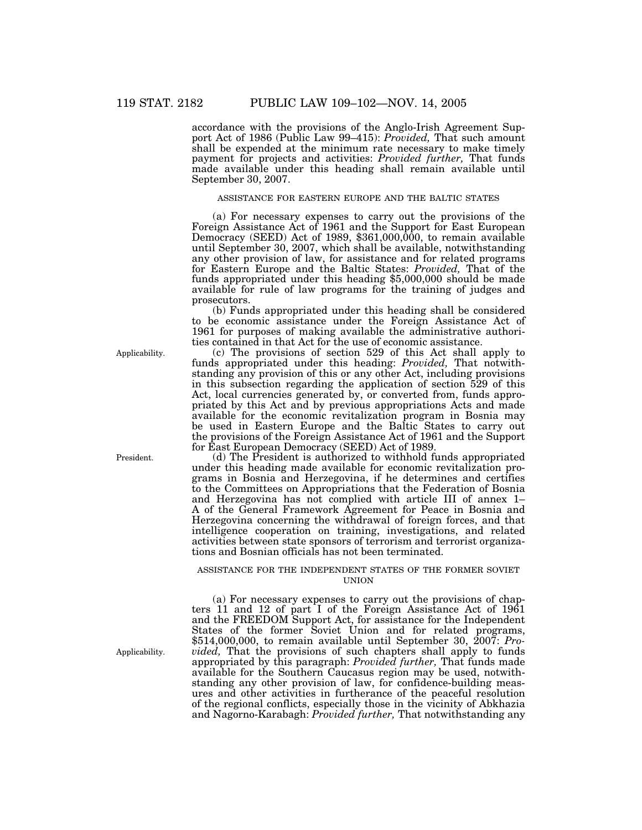accordance with the provisions of the Anglo-Irish Agreement Support Act of 1986 (Public Law 99–415): *Provided,* That such amount shall be expended at the minimum rate necessary to make timely payment for projects and activities: *Provided further,* That funds made available under this heading shall remain available until September 30, 2007.

## ASSISTANCE FOR EASTERN EUROPE AND THE BALTIC STATES

(a) For necessary expenses to carry out the provisions of the Foreign Assistance Act of 1961 and the Support for East European Democracy (SEED) Act of 1989, \$361,000,000, to remain available until September 30, 2007, which shall be available, notwithstanding any other provision of law, for assistance and for related programs for Eastern Europe and the Baltic States: *Provided,* That of the funds appropriated under this heading \$5,000,000 should be made available for rule of law programs for the training of judges and prosecutors.

(b) Funds appropriated under this heading shall be considered to be economic assistance under the Foreign Assistance Act of 1961 for purposes of making available the administrative authorities contained in that Act for the use of economic assistance.

(c) The provisions of section 529 of this Act shall apply to funds appropriated under this heading: *Provided,* That notwithstanding any provision of this or any other Act, including provisions in this subsection regarding the application of section 529 of this Act, local currencies generated by, or converted from, funds appropriated by this Act and by previous appropriations Acts and made available for the economic revitalization program in Bosnia may be used in Eastern Europe and the Baltic States to carry out the provisions of the Foreign Assistance Act of 1961 and the Support for East European Democracy (SEED) Act of 1989.

(d) The President is authorized to withhold funds appropriated under this heading made available for economic revitalization programs in Bosnia and Herzegovina, if he determines and certifies to the Committees on Appropriations that the Federation of Bosnia and Herzegovina has not complied with article III of annex 1– A of the General Framework Agreement for Peace in Bosnia and Herzegovina concerning the withdrawal of foreign forces, and that intelligence cooperation on training, investigations, and related activities between state sponsors of terrorism and terrorist organizations and Bosnian officials has not been terminated.

## ASSISTANCE FOR THE INDEPENDENT STATES OF THE FORMER SOVIET UNION

(a) For necessary expenses to carry out the provisions of chapters 11 and 12 of part I of the Foreign Assistance Act of 1961 and the FREEDOM Support Act, for assistance for the Independent States of the former Soviet Union and for related programs, \$514,000,000, to remain available until September 30, 2007: *Provided*, That the provisions of such chapters shall apply to funds appropriated by this paragraph: *Provided further,* That funds made available for the Southern Caucasus region may be used, notwithstanding any other provision of law, for confidence-building measures and other activities in furtherance of the peaceful resolution of the regional conflicts, especially those in the vicinity of Abkhazia and Nagorno-Karabagh: *Provided further,* That notwithstanding any

Applicability.

Applicability.

President.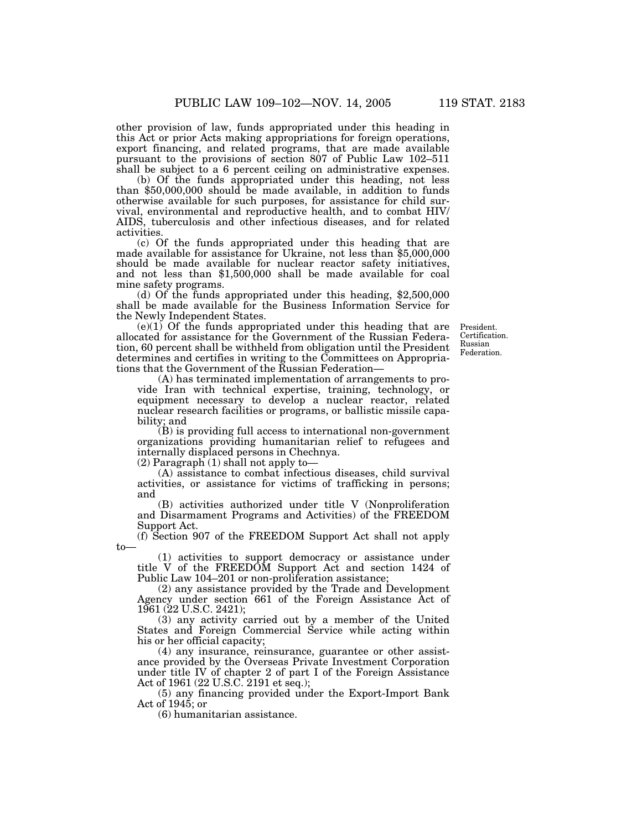other provision of law, funds appropriated under this heading in this Act or prior Acts making appropriations for foreign operations, export financing, and related programs, that are made available pursuant to the provisions of section 807 of Public Law 102–511 shall be subject to a 6 percent ceiling on administrative expenses.

(b) Of the funds appropriated under this heading, not less than \$50,000,000 should be made available, in addition to funds otherwise available for such purposes, for assistance for child survival, environmental and reproductive health, and to combat HIV/ AIDS, tuberculosis and other infectious diseases, and for related activities.

(c) Of the funds appropriated under this heading that are made available for assistance for Ukraine, not less than \$5,000,000 should be made available for nuclear reactor safety initiatives, and not less than \$1,500,000 shall be made available for coal mine safety programs.

(d) Of the funds appropriated under this heading, \$2,500,000 shall be made available for the Business Information Service for the Newly Independent States.

(e)(1) Of the funds appropriated under this heading that are allocated for assistance for the Government of the Russian Federation, 60 percent shall be withheld from obligation until the President determines and certifies in writing to the Committees on Appropriations that the Government of the Russian Federation—

(A) has terminated implementation of arrangements to provide Iran with technical expertise, training, technology, or equipment necessary to develop a nuclear reactor, related nuclear research facilities or programs, or ballistic missile capability; and

(B) is providing full access to international non-government organizations providing humanitarian relief to refugees and internally displaced persons in Chechnya.

 $(2)$  Paragraph  $(1)$  shall not apply to-

(A) assistance to combat infectious diseases, child survival activities, or assistance for victims of trafficking in persons; and

(B) activities authorized under title V (Nonproliferation and Disarmament Programs and Activities) of the FREEDOM Support Act.

(f) Section 907 of the FREEDOM Support Act shall not apply to—

(1) activities to support democracy or assistance under title V of the FREEDOM Support Act and section 1424 of Public Law 104–201 or non-proliferation assistance;

(2) any assistance provided by the Trade and Development Agency under section 661 of the Foreign Assistance Act of 1961 (22 U.S.C. 2421);

(3) any activity carried out by a member of the United States and Foreign Commercial Service while acting within his or her official capacity;

(4) any insurance, reinsurance, guarantee or other assistance provided by the Overseas Private Investment Corporation under title IV of chapter 2 of part I of the Foreign Assistance Act of 1961 (22 U.S.C. 2191 et seq.);

(5) any financing provided under the Export-Import Bank Act of 1945; or

(6) humanitarian assistance.

President. Certification. Russian Federation.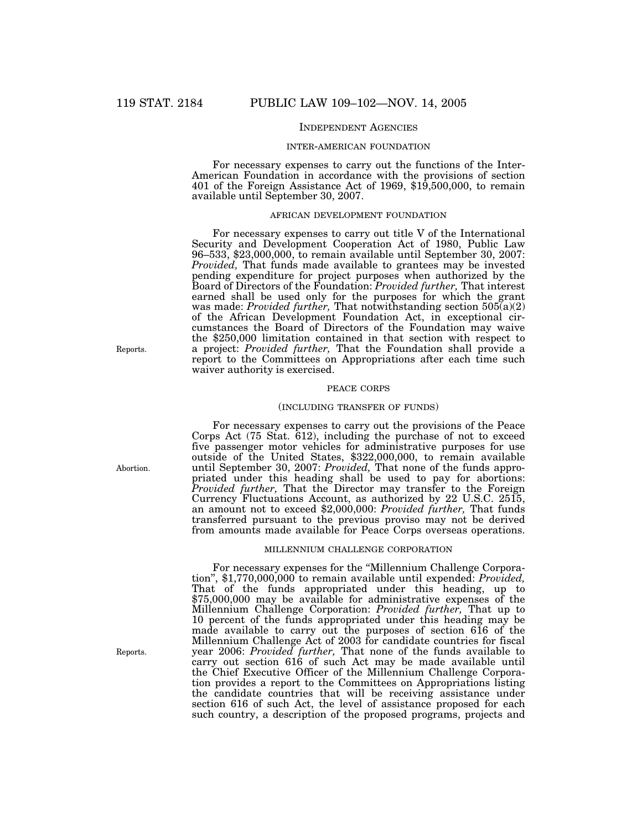## INDEPENDENT AGENCIES

#### INTER-AMERICAN FOUNDATION

For necessary expenses to carry out the functions of the Inter-American Foundation in accordance with the provisions of section 401 of the Foreign Assistance Act of 1969, \$19,500,000, to remain available until September 30, 2007.

#### AFRICAN DEVELOPMENT FOUNDATION

For necessary expenses to carry out title V of the International Security and Development Cooperation Act of 1980, Public Law 96–533, \$23,000,000, to remain available until September 30, 2007: *Provided,* That funds made available to grantees may be invested pending expenditure for project purposes when authorized by the Board of Directors of the Foundation: *Provided further,* That interest earned shall be used only for the purposes for which the grant was made: *Provided further,* That notwithstanding section 505(a)(2) of the African Development Foundation Act, in exceptional circumstances the Board of Directors of the Foundation may waive the \$250,000 limitation contained in that section with respect to a project: *Provided further,* That the Foundation shall provide a report to the Committees on Appropriations after each time such waiver authority is exercised.

#### PEACE CORPS

#### (INCLUDING TRANSFER OF FUNDS)

For necessary expenses to carry out the provisions of the Peace Corps Act (75 Stat. 612), including the purchase of not to exceed five passenger motor vehicles for administrative purposes for use outside of the United States, \$322,000,000, to remain available until September 30, 2007: *Provided,* That none of the funds appropriated under this heading shall be used to pay for abortions: *Provided further,* That the Director may transfer to the Foreign Currency Fluctuations Account, as authorized by 22 U.S.C. 2515, an amount not to exceed \$2,000,000: *Provided further,* That funds transferred pursuant to the previous proviso may not be derived from amounts made available for Peace Corps overseas operations.

## MILLENNIUM CHALLENGE CORPORATION

For necessary expenses for the "Millennium Challenge Corporation'', \$1,770,000,000 to remain available until expended: *Provided,* That of the funds appropriated under this heading, up to \$75,000,000 may be available for administrative expenses of the Millennium Challenge Corporation: *Provided further,* That up to 10 percent of the funds appropriated under this heading may be made available to carry out the purposes of section 616 of the Millennium Challenge Act of 2003 for candidate countries for fiscal year 2006: *Provided further,* That none of the funds available to carry out section 616 of such Act may be made available until the Chief Executive Officer of the Millennium Challenge Corporation provides a report to the Committees on Appropriations listing the candidate countries that will be receiving assistance under section 616 of such Act, the level of assistance proposed for each such country, a description of the proposed programs, projects and

Reports.

Abortion.

Reports.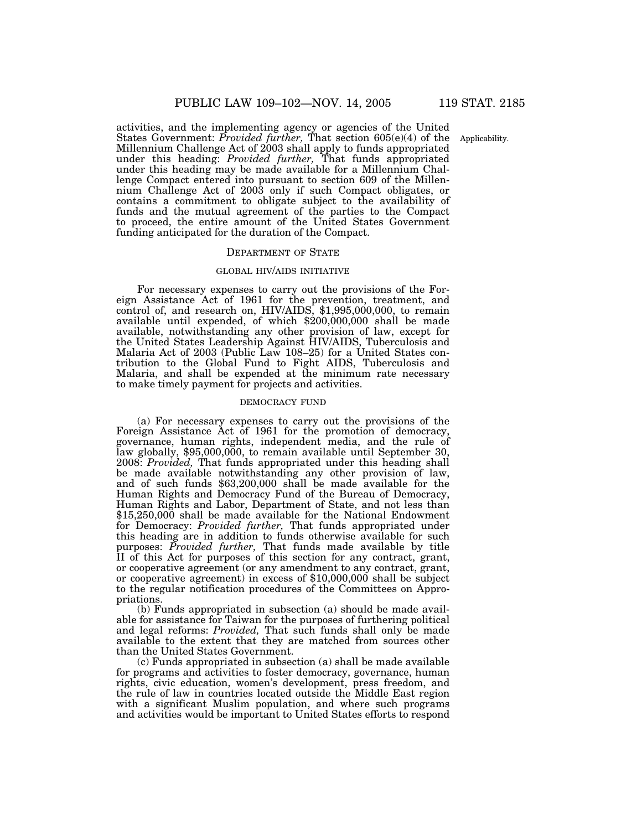activities, and the implementing agency or agencies of the United States Government: *Provided further,* That section 605(e)(4) of the Millennium Challenge Act of 2003 shall apply to funds appropriated under this heading: *Provided further,* That funds appropriated under this heading may be made available for a Millennium Challenge Compact entered into pursuant to section 609 of the Millennium Challenge Act of 2003 only if such Compact obligates, or contains a commitment to obligate subject to the availability of funds and the mutual agreement of the parties to the Compact to proceed, the entire amount of the United States Government funding anticipated for the duration of the Compact.

#### DEPARTMENT OF STATE

## GLOBAL HIV/AIDS INITIATIVE

For necessary expenses to carry out the provisions of the Foreign Assistance Act of 1961 for the prevention, treatment, and control of, and research on, HIV/AIDS, \$1,995,000,000, to remain available until expended, of which \$200,000,000 shall be made available, notwithstanding any other provision of law, except for the United States Leadership Against HIV/AIDS, Tuberculosis and Malaria Act of 2003 (Public Law 108–25) for a United States contribution to the Global Fund to Fight AIDS, Tuberculosis and Malaria, and shall be expended at the minimum rate necessary to make timely payment for projects and activities.

#### DEMOCRACY FUND

(a) For necessary expenses to carry out the provisions of the Foreign Assistance Act of 1961 for the promotion of democracy, governance, human rights, independent media, and the rule of law globally, \$95,000,000, to remain available until September 30, 2008: *Provided,* That funds appropriated under this heading shall be made available notwithstanding any other provision of law, and of such funds \$63,200,000 shall be made available for the Human Rights and Democracy Fund of the Bureau of Democracy, Human Rights and Labor, Department of State, and not less than \$15,250,000 shall be made available for the National Endowment for Democracy: *Provided further,* That funds appropriated under this heading are in addition to funds otherwise available for such purposes: *Provided further,* That funds made available by title II of this Act for purposes of this section for any contract, grant, or cooperative agreement (or any amendment to any contract, grant, or cooperative agreement) in excess of \$10,000,000 shall be subject to the regular notification procedures of the Committees on Appropriations.

(b) Funds appropriated in subsection (a) should be made available for assistance for Taiwan for the purposes of furthering political and legal reforms: *Provided,* That such funds shall only be made available to the extent that they are matched from sources other than the United States Government.

(c) Funds appropriated in subsection (a) shall be made available for programs and activities to foster democracy, governance, human rights, civic education, women's development, press freedom, and the rule of law in countries located outside the Middle East region with a significant Muslim population, and where such programs and activities would be important to United States efforts to respond

Applicability.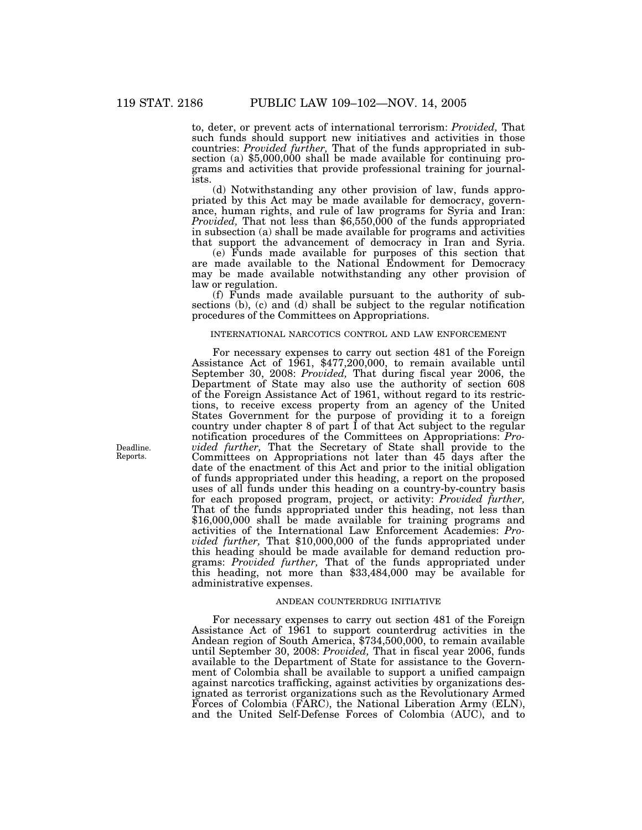to, deter, or prevent acts of international terrorism: *Provided,* That such funds should support new initiatives and activities in those countries: *Provided further,* That of the funds appropriated in sub- section (a) \$5,000,000 shall be made available for continuing programs and activities that provide professional training for journalists.

(d) Notwithstanding any other provision of law, funds appropriated by this Act may be made available for democracy, governance, human rights, and rule of law programs for Syria and Iran: *Provided,* That not less than \$6,550,000 of the funds appropriated in subsection (a) shall be made available for programs and activities that support the advancement of democracy in Iran and Syria.

(e) Funds made available for purposes of this section that are made available to the National Endowment for Democracy may be made available notwithstanding any other provision of law or regulation.

(f) Funds made available pursuant to the authority of subsections (b), (c) and (d) shall be subject to the regular notification procedures of the Committees on Appropriations.

### INTERNATIONAL NARCOTICS CONTROL AND LAW ENFORCEMENT

For necessary expenses to carry out section 481 of the Foreign Assistance Act of 1961, \$477,200,000, to remain available until September 30, 2008: *Provided,* That during fiscal year 2006, the Department of State may also use the authority of section 608 of the Foreign Assistance Act of 1961, without regard to its restrictions, to receive excess property from an agency of the United States Government for the purpose of providing it to a foreign country under chapter 8 of part I of that Act subject to the regular notification procedures of the Committees on Appropriations: *Provided further,* That the Secretary of State shall provide to the Committees on Appropriations not later than 45 days after the date of the enactment of this Act and prior to the initial obligation of funds appropriated under this heading, a report on the proposed uses of all funds under this heading on a country-by-country basis for each proposed program, project, or activity: *Provided further,* That of the funds appropriated under this heading, not less than \$16,000,000 shall be made available for training programs and activities of the International Law Enforcement Academies: *Provided further,* That \$10,000,000 of the funds appropriated under this heading should be made available for demand reduction programs: *Provided further,* That of the funds appropriated under this heading, not more than \$33,484,000 may be available for administrative expenses.

## ANDEAN COUNTERDRUG INITIATIVE

For necessary expenses to carry out section 481 of the Foreign Assistance Act of 1961 to support counterdrug activities in the Andean region of South America, \$734,500,000, to remain available until September 30, 2008: *Provided,* That in fiscal year 2006, funds available to the Department of State for assistance to the Government of Colombia shall be available to support a unified campaign against narcotics trafficking, against activities by organizations designated as terrorist organizations such as the Revolutionary Armed Forces of Colombia (FARC), the National Liberation Army (ELN), and the United Self-Defense Forces of Colombia (AUC), and to

Deadline. Reports.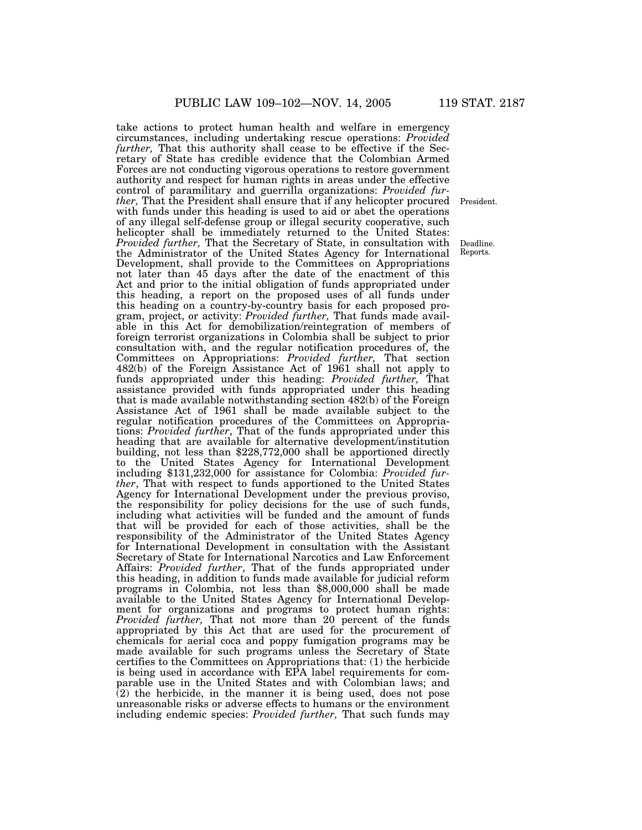take actions to protect human health and welfare in emergency circumstances, including undertaking rescue operations: *Provided further*, That this authority shall cease to be effective if the Secretary of State has credible evidence that the Colombian Armed Forces are not conducting vigorous operations to restore government authority and respect for human rights in areas under the effective control of paramilitary and guerrilla organizations: *Provided further,* That the President shall ensure that if any helicopter procured with funds under this heading is used to aid or abet the operations of any illegal self-defense group or illegal security cooperative, such helicopter shall be immediately returned to the United States: *Provided further,* That the Secretary of State, in consultation with the Administrator of the United States Agency for International Development, shall provide to the Committees on Appropriations not later than 45 days after the date of the enactment of this Act and prior to the initial obligation of funds appropriated under this heading, a report on the proposed uses of all funds under this heading on a country-by-country basis for each proposed program, project, or activity: *Provided further,* That funds made available in this Act for demobilization/reintegration of members of foreign terrorist organizations in Colombia shall be subject to prior consultation with, and the regular notification procedures of, the Committees on Appropriations: *Provided further,* That section 482(b) of the Foreign Assistance Act of 1961 shall not apply to funds appropriated under this heading: *Provided further,* That assistance provided with funds appropriated under this heading that is made available notwithstanding section 482(b) of the Foreign Assistance Act of 1961 shall be made available subject to the regular notification procedures of the Committees on Appropriations: *Provided further*, That of the funds appropriated under this heading that are available for alternative development/institution building, not less than \$228,772,000 shall be apportioned directly to the United States Agency for International Development including \$131,232,000 for assistance for Colombia: *Provided further*, That with respect to funds apportioned to the United States Agency for International Development under the previous proviso, the responsibility for policy decisions for the use of such funds, including what activities will be funded and the amount of funds that will be provided for each of those activities, shall be the responsibility of the Administrator of the United States Agency for International Development in consultation with the Assistant Secretary of State for International Narcotics and Law Enforcement Affairs: *Provided further*, That of the funds appropriated under this heading, in addition to funds made available for judicial reform programs in Colombia, not less than \$8,000,000 shall be made available to the United States Agency for International Development for organizations and programs to protect human rights: *Provided further,* That not more than 20 percent of the funds appropriated by this Act that are used for the procurement of chemicals for aerial coca and poppy fumigation programs may be made available for such programs unless the Secretary of State certifies to the Committees on Appropriations that: (1) the herbicide is being used in accordance with EPA label requirements for comparable use in the United States and with Colombian laws; and (2) the herbicide, in the manner it is being used, does not pose unreasonable risks or adverse effects to humans or the environment including endemic species: *Provided further,* That such funds may

President.

Deadline. Reports.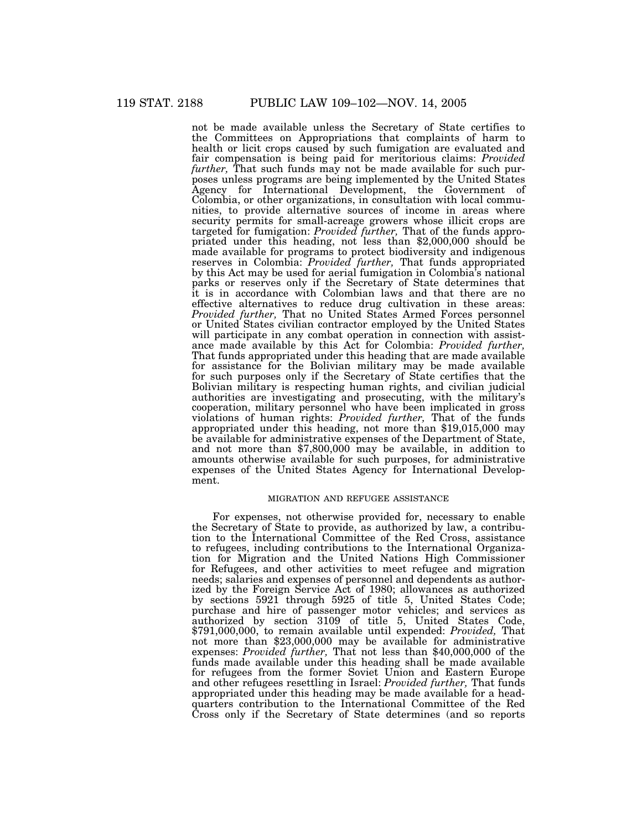not be made available unless the Secretary of State certifies to the Committees on Appropriations that complaints of harm to health or licit crops caused by such fumigation are evaluated and fair compensation is being paid for meritorious claims: *Provided further*, That such funds may not be made available for such purposes unless programs are being implemented by the United States Agency for International Development, the Government of Colombia, or other organizations, in consultation with local communities, to provide alternative sources of income in areas where security permits for small-acreage growers whose illicit crops are targeted for fumigation: *Provided further*, That of the funds appropriated under this heading, not less than \$2,000,000 should be made available for programs to protect biodiversity and indigenous reserves in Colombia: *Provided further,* That funds appropriated by this Act may be used for aerial fumigation in Colombia's national parks or reserves only if the Secretary of State determines that it is in accordance with Colombian laws and that there are no effective alternatives to reduce drug cultivation in these areas: *Provided further,* That no United States Armed Forces personnel or United States civilian contractor employed by the United States will participate in any combat operation in connection with assistance made available by this Act for Colombia: *Provided further,* That funds appropriated under this heading that are made available for assistance for the Bolivian military may be made available for such purposes only if the Secretary of State certifies that the Bolivian military is respecting human rights, and civilian judicial authorities are investigating and prosecuting, with the military's cooperation, military personnel who have been implicated in gross violations of human rights: *Provided further,* That of the funds appropriated under this heading, not more than \$19,015,000 may be available for administrative expenses of the Department of State, and not more than \$7,800,000 may be available, in addition to amounts otherwise available for such purposes, for administrative expenses of the United States Agency for International Development.

## MIGRATION AND REFUGEE ASSISTANCE

For expenses, not otherwise provided for, necessary to enable the Secretary of State to provide, as authorized by law, a contribution to the International Committee of the Red Cross, assistance to refugees, including contributions to the International Organization for Migration and the United Nations High Commissioner for Refugees, and other activities to meet refugee and migration needs; salaries and expenses of personnel and dependents as authorized by the Foreign Service Act of 1980; allowances as authorized by sections 5921 through 5925 of title 5, United States Code; purchase and hire of passenger motor vehicles; and services as authorized by section 3109 of title 5, United States Code, \$791,000,000, to remain available until expended: *Provided,* That not more than \$23,000,000 may be available for administrative expenses: *Provided further,* That not less than \$40,000,000 of the funds made available under this heading shall be made available for refugees from the former Soviet Union and Eastern Europe and other refugees resettling in Israel: *Provided further,* That funds appropriated under this heading may be made available for a headquarters contribution to the International Committee of the Red Cross only if the Secretary of State determines (and so reports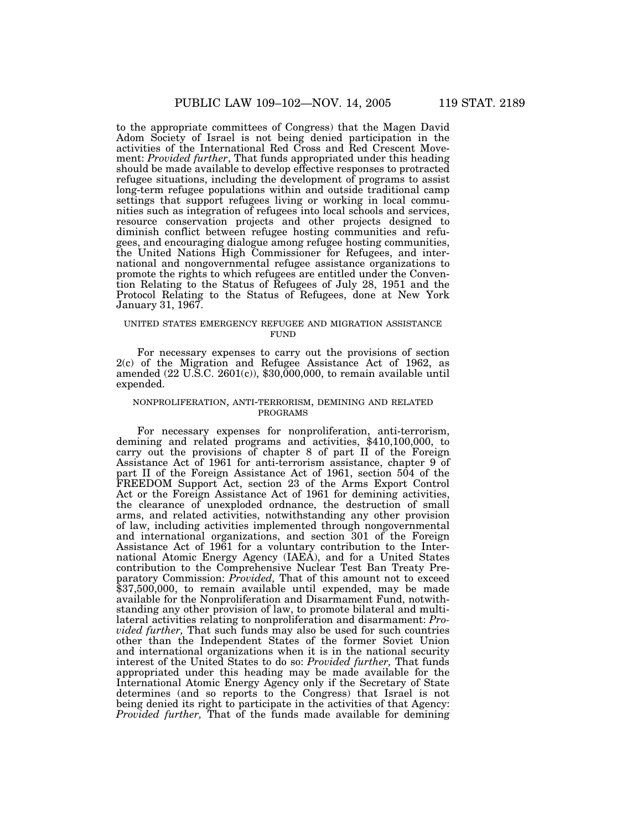to the appropriate committees of Congress) that the Magen David Adom Society of Israel is not being denied participation in the activities of the International Red Cross and Red Crescent Movement: *Provided further*, That funds appropriated under this heading should be made available to develop effective responses to protracted refugee situations, including the development of programs to assist long-term refugee populations within and outside traditional camp settings that support refugees living or working in local communities such as integration of refugees into local schools and services, resource conservation projects and other projects designed to diminish conflict between refugee hosting communities and refugees, and encouraging dialogue among refugee hosting communities, the United Nations High Commissioner for Refugees, and international and nongovernmental refugee assistance organizations to promote the rights to which refugees are entitled under the Convention Relating to the Status of Refugees of July 28, 1951 and the Protocol Relating to the Status of Refugees, done at New York January 31, 1967.

### UNITED STATES EMERGENCY REFUGEE AND MIGRATION ASSISTANCE **FUND**

For necessary expenses to carry out the provisions of section 2(c) of the Migration and Refugee Assistance Act of 1962, as amended  $(22 \text{ U.S.C. } 2601(c))$ , \$30,000,000, to remain available until expended.

## NONPROLIFERATION, ANTI-TERRORISM, DEMINING AND RELATED PROGRAMS

For necessary expenses for nonproliferation, anti-terrorism, demining and related programs and activities, \$410,100,000, to carry out the provisions of chapter 8 of part II of the Foreign Assistance Act of 1961 for anti-terrorism assistance, chapter 9 of part II of the Foreign Assistance Act of 1961, section 504 of the FREEDOM Support Act, section 23 of the Arms Export Control Act or the Foreign Assistance Act of 1961 for demining activities, the clearance of unexploded ordnance, the destruction of small arms, and related activities, notwithstanding any other provision of law, including activities implemented through nongovernmental and international organizations, and section 301 of the Foreign Assistance Act of 1961 for a voluntary contribution to the International Atomic Energy Agency (IAEA), and for a United States contribution to the Comprehensive Nuclear Test Ban Treaty Preparatory Commission: *Provided,* That of this amount not to exceed \$37,500,000, to remain available until expended, may be made available for the Nonproliferation and Disarmament Fund, notwithstanding any other provision of law, to promote bilateral and multilateral activities relating to nonproliferation and disarmament: *Provided further,* That such funds may also be used for such countries other than the Independent States of the former Soviet Union and international organizations when it is in the national security interest of the United States to do so: *Provided further,* That funds appropriated under this heading may be made available for the International Atomic Energy Agency only if the Secretary of State determines (and so reports to the Congress) that Israel is not being denied its right to participate in the activities of that Agency: *Provided further,* That of the funds made available for demining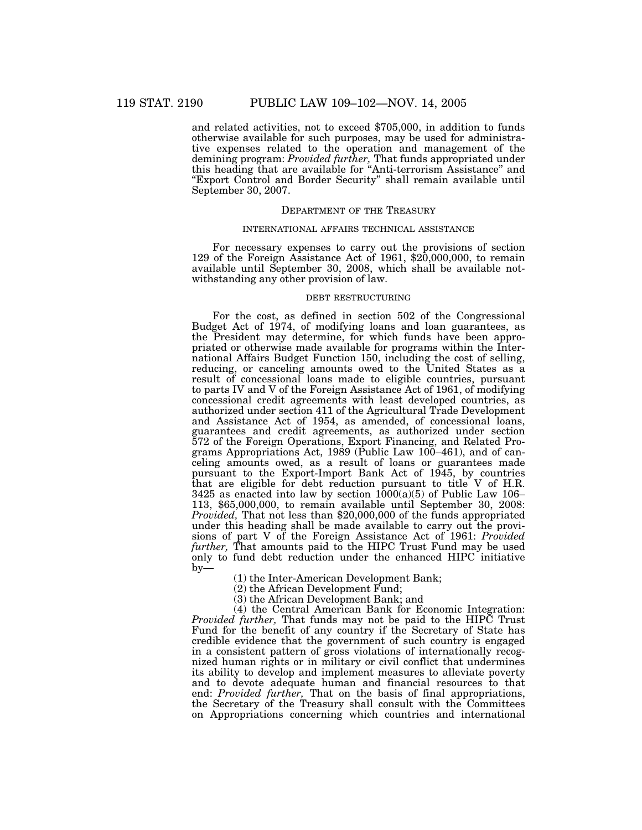and related activities, not to exceed \$705,000, in addition to funds otherwise available for such purposes, may be used for administrative expenses related to the operation and management of the demining program: *Provided further,* That funds appropriated under this heading that are available for ''Anti-terrorism Assistance'' and "Export Control and Border Security" shall remain available until September 30, 2007.

## DEPARTMENT OF THE TREASURY

## INTERNATIONAL AFFAIRS TECHNICAL ASSISTANCE

For necessary expenses to carry out the provisions of section 129 of the Foreign Assistance Act of 1961, \$20,000,000, to remain available until September 30, 2008, which shall be available notwithstanding any other provision of law.

#### DEBT RESTRUCTURING

For the cost, as defined in section 502 of the Congressional Budget Act of 1974, of modifying loans and loan guarantees, as the President may determine, for which funds have been appropriated or otherwise made available for programs within the International Affairs Budget Function 150, including the cost of selling, reducing, or canceling amounts owed to the United States as a result of concessional loans made to eligible countries, pursuant to parts IV and V of the Foreign Assistance Act of 1961, of modifying concessional credit agreements with least developed countries, as authorized under section 411 of the Agricultural Trade Development and Assistance Act of 1954, as amended, of concessional loans, guarantees and credit agreements, as authorized under section 572 of the Foreign Operations, Export Financing, and Related Programs Appropriations Act, 1989 (Public Law 100–461), and of canceling amounts owed, as a result of loans or guarantees made pursuant to the Export-Import Bank Act of 1945, by countries that are eligible for debt reduction pursuant to title V of H.R. 3425 as enacted into law by section  $1000(a)(5)$  of Public Law 106– 113, \$65,000,000, to remain available until September 30, 2008: *Provided,* That not less than \$20,000,000 of the funds appropriated under this heading shall be made available to carry out the provisions of part V of the Foreign Assistance Act of 1961: *Provided further,* That amounts paid to the HIPC Trust Fund may be used only to fund debt reduction under the enhanced HIPC initiative by—

(1) the Inter-American Development Bank;

(2) the African Development Fund;

(3) the African Development Bank; and

(4) the Central American Bank for Economic Integration: *Provided further,* That funds may not be paid to the HIPC Trust Fund for the benefit of any country if the Secretary of State has credible evidence that the government of such country is engaged in a consistent pattern of gross violations of internationally recognized human rights or in military or civil conflict that undermines its ability to develop and implement measures to alleviate poverty and to devote adequate human and financial resources to that end: *Provided further,* That on the basis of final appropriations, the Secretary of the Treasury shall consult with the Committees on Appropriations concerning which countries and international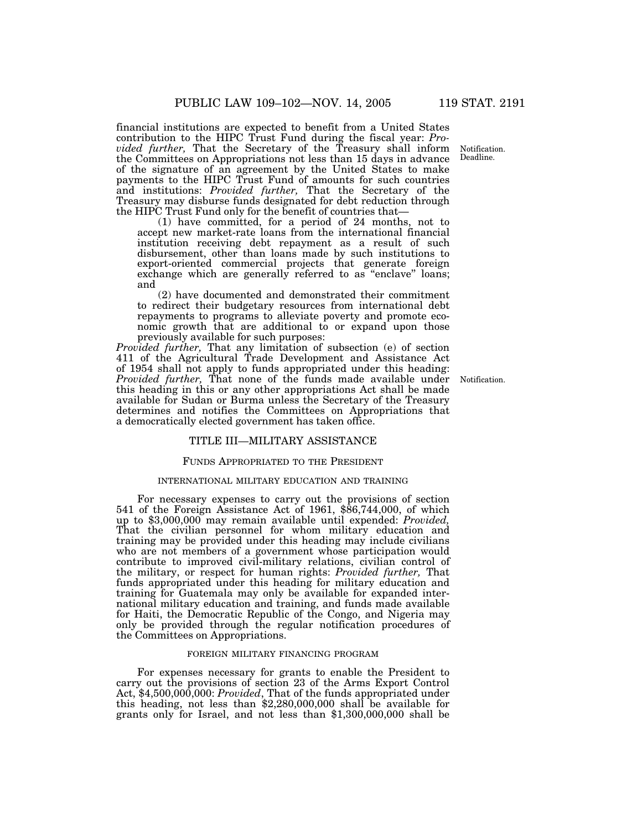financial institutions are expected to benefit from a United States contribution to the HIPC Trust Fund during the fiscal year: *Provided further,* That the Secretary of the Treasury shall inform the Committees on Appropriations not less than 15 days in advance of the signature of an agreement by the United States to make payments to the HIPC Trust Fund of amounts for such countries and institutions: *Provided further,* That the Secretary of the Treasury may disburse funds designated for debt reduction through the HIPC Trust Fund only for the benefit of countries that—

(1) have committed, for a period of 24 months, not to accept new market-rate loans from the international financial institution receiving debt repayment as a result of such disbursement, other than loans made by such institutions to export-oriented commercial projects that generate foreign exchange which are generally referred to as "enclave" loans; and

(2) have documented and demonstrated their commitment to redirect their budgetary resources from international debt repayments to programs to alleviate poverty and promote economic growth that are additional to or expand upon those previously available for such purposes:

*Provided further,* That any limitation of subsection (e) of section 411 of the Agricultural Trade Development and Assistance Act of 1954 shall not apply to funds appropriated under this heading: *Provided further,* That none of the funds made available under Notification. this heading in this or any other appropriations Act shall be made available for Sudan or Burma unless the Secretary of the Treasury determines and notifies the Committees on Appropriations that a democratically elected government has taken office.

### TITLE III—MILITARY ASSISTANCE

### FUNDS APPROPRIATED TO THE PRESIDENT

#### INTERNATIONAL MILITARY EDUCATION AND TRAINING

For necessary expenses to carry out the provisions of section 541 of the Foreign Assistance Act of 1961, \$86,744,000, of which up to \$3,000,000 may remain available until expended: *Provided,* That the civilian personnel for whom military education and training may be provided under this heading may include civilians who are not members of a government whose participation would contribute to improved civil-military relations, civilian control of the military, or respect for human rights: *Provided further,* That funds appropriated under this heading for military education and training for Guatemala may only be available for expanded international military education and training, and funds made available for Haiti, the Democratic Republic of the Congo, and Nigeria may only be provided through the regular notification procedures of the Committees on Appropriations.

#### FOREIGN MILITARY FINANCING PROGRAM

For expenses necessary for grants to enable the President to carry out the provisions of section 23 of the Arms Export Control Act, \$4,500,000,000: *Provided*, That of the funds appropriated under this heading, not less than \$2,280,000,000 shall be available for grants only for Israel, and not less than \$1,300,000,000 shall be

Notification. Deadline.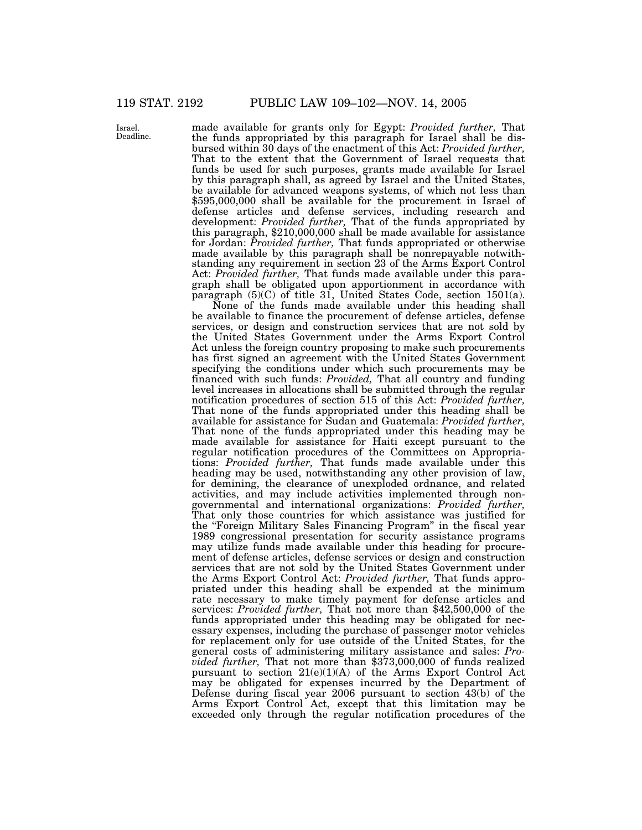Israel. Deadline.

made available for grants only for Egypt: *Provided further,* That the funds appropriated by this paragraph for Israel shall be disbursed within 30 days of the enactment of this Act: *Provided further,* That to the extent that the Government of Israel requests that funds be used for such purposes, grants made available for Israel by this paragraph shall, as agreed by Israel and the United States, be available for advanced weapons systems, of which not less than \$595,000,000 shall be available for the procurement in Israel of defense articles and defense services, including research and development: *Provided further,* That of the funds appropriated by this paragraph, \$210,000,000 shall be made available for assistance for Jordan: *Provided further,* That funds appropriated or otherwise made available by this paragraph shall be nonrepayable notwithstanding any requirement in section 23 of the Arms Export Control Act: *Provided further,* That funds made available under this paragraph shall be obligated upon apportionment in accordance with paragraph  $(5)(C)$  of title 31, United States Code, section 1501(a).

None of the funds made available under this heading shall be available to finance the procurement of defense articles, defense services, or design and construction services that are not sold by the United States Government under the Arms Export Control Act unless the foreign country proposing to make such procurements has first signed an agreement with the United States Government specifying the conditions under which such procurements may be financed with such funds: *Provided,* That all country and funding level increases in allocations shall be submitted through the regular notification procedures of section 515 of this Act: *Provided further,* That none of the funds appropriated under this heading shall be available for assistance for Sudan and Guatemala: *Provided further,* That none of the funds appropriated under this heading may be made available for assistance for Haiti except pursuant to the regular notification procedures of the Committees on Appropriations: *Provided further,* That funds made available under this heading may be used, notwithstanding any other provision of law, for demining, the clearance of unexploded ordnance, and related activities, and may include activities implemented through nongovernmental and international organizations: *Provided further,* That only those countries for which assistance was justified for the ''Foreign Military Sales Financing Program'' in the fiscal year 1989 congressional presentation for security assistance programs may utilize funds made available under this heading for procurement of defense articles, defense services or design and construction services that are not sold by the United States Government under the Arms Export Control Act: *Provided further,* That funds appropriated under this heading shall be expended at the minimum rate necessary to make timely payment for defense articles and services: *Provided further,* That not more than \$42,500,000 of the funds appropriated under this heading may be obligated for necessary expenses, including the purchase of passenger motor vehicles for replacement only for use outside of the United States, for the general costs of administering military assistance and sales: *Provided further,* That not more than \$373,000,000 of funds realized pursuant to section 21(e)(1)(A) of the Arms Export Control Act may be obligated for expenses incurred by the Department of Defense during fiscal year 2006 pursuant to section 43(b) of the Arms Export Control Act, except that this limitation may be exceeded only through the regular notification procedures of the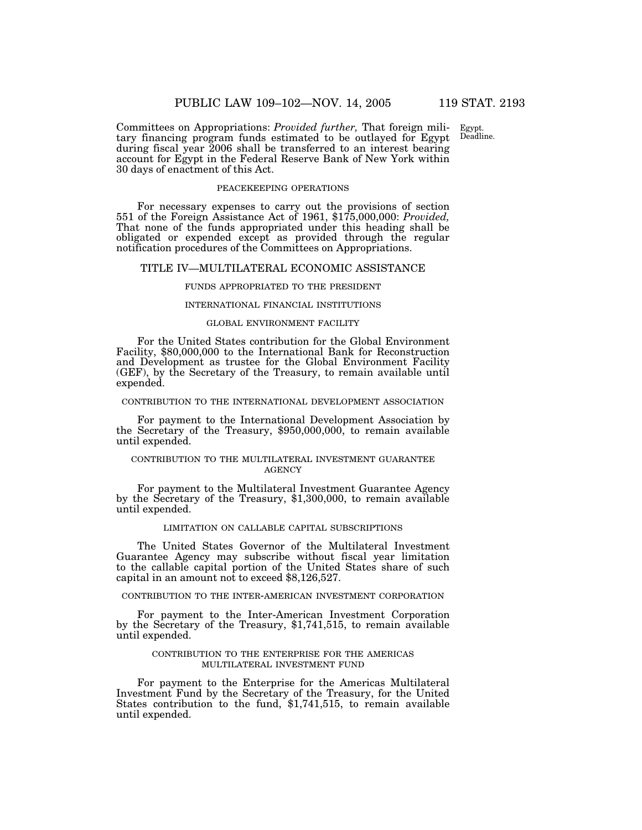Egypt. Deadline.

Committees on Appropriations: *Provided further,* That foreign military financing program funds estimated to be outlayed for Egypt during fiscal year 2006 shall be transferred to an interest bearing account for Egypt in the Federal Reserve Bank of New York within 30 days of enactment of this Act.

#### PEACEKEEPING OPERATIONS

For necessary expenses to carry out the provisions of section 551 of the Foreign Assistance Act of 1961, \$175,000,000: *Provided,* That none of the funds appropriated under this heading shall be obligated or expended except as provided through the regular notification procedures of the Committees on Appropriations.

#### TITLE IV—MULTILATERAL ECONOMIC ASSISTANCE

#### FUNDS APPROPRIATED TO THE PRESIDENT

## INTERNATIONAL FINANCIAL INSTITUTIONS

### GLOBAL ENVIRONMENT FACILITY

For the United States contribution for the Global Environment Facility, \$80,000,000 to the International Bank for Reconstruction and Development as trustee for the Global Environment Facility (GEF), by the Secretary of the Treasury, to remain available until expended.

### CONTRIBUTION TO THE INTERNATIONAL DEVELOPMENT ASSOCIATION

For payment to the International Development Association by the Secretary of the Treasury, \$950,000,000, to remain available until expended.

## CONTRIBUTION TO THE MULTILATERAL INVESTMENT GUARANTEE **AGENCY**

For payment to the Multilateral Investment Guarantee Agency by the Secretary of the Treasury, \$1,300,000, to remain available until expended.

### LIMITATION ON CALLABLE CAPITAL SUBSCRIPTIONS

The United States Governor of the Multilateral Investment Guarantee Agency may subscribe without fiscal year limitation to the callable capital portion of the United States share of such capital in an amount not to exceed \$8,126,527.

## CONTRIBUTION TO THE INTER-AMERICAN INVESTMENT CORPORATION

For payment to the Inter-American Investment Corporation by the Secretary of the Treasury, \$1,741,515, to remain available until expended.

## CONTRIBUTION TO THE ENTERPRISE FOR THE AMERICAS MULTILATERAL INVESTMENT FUND

For payment to the Enterprise for the Americas Multilateral Investment Fund by the Secretary of the Treasury, for the United States contribution to the fund, \$1,741,515, to remain available until expended.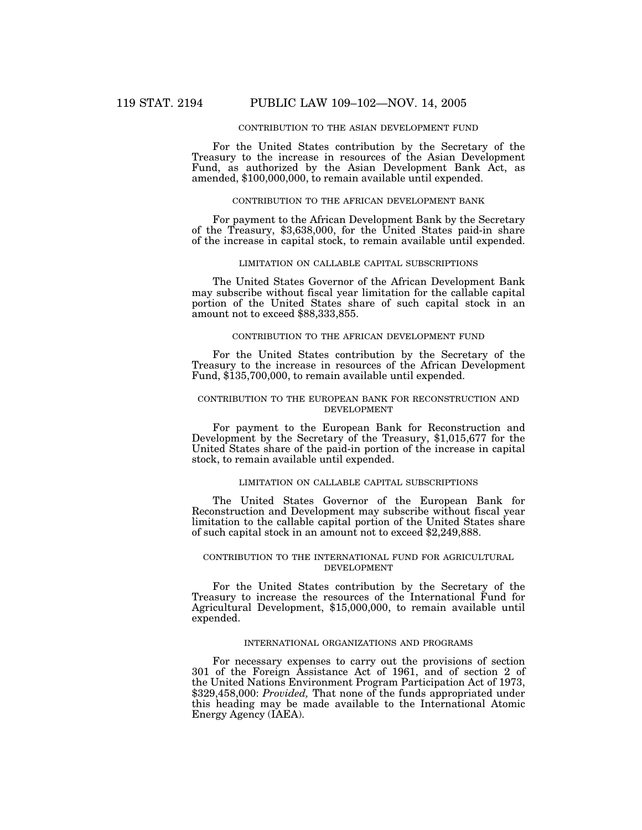## CONTRIBUTION TO THE ASIAN DEVELOPMENT FUND

For the United States contribution by the Secretary of the Treasury to the increase in resources of the Asian Development Fund, as authorized by the Asian Development Bank Act, as amended, \$100,000,000, to remain available until expended.

## CONTRIBUTION TO THE AFRICAN DEVELOPMENT BANK

For payment to the African Development Bank by the Secretary of the Treasury, \$3,638,000, for the United States paid-in share of the increase in capital stock, to remain available until expended.

## LIMITATION ON CALLABLE CAPITAL SUBSCRIPTIONS

The United States Governor of the African Development Bank may subscribe without fiscal year limitation for the callable capital portion of the United States share of such capital stock in an amount not to exceed \$88,333,855.

## CONTRIBUTION TO THE AFRICAN DEVELOPMENT FUND

For the United States contribution by the Secretary of the Treasury to the increase in resources of the African Development Fund, \$135,700,000, to remain available until expended.

## CONTRIBUTION TO THE EUROPEAN BANK FOR RECONSTRUCTION AND DEVELOPMENT

For payment to the European Bank for Reconstruction and Development by the Secretary of the Treasury, \$1,015,677 for the United States share of the paid-in portion of the increase in capital stock, to remain available until expended.

## LIMITATION ON CALLABLE CAPITAL SUBSCRIPTIONS

The United States Governor of the European Bank for Reconstruction and Development may subscribe without fiscal year limitation to the callable capital portion of the United States share of such capital stock in an amount not to exceed \$2,249,888.

#### CONTRIBUTION TO THE INTERNATIONAL FUND FOR AGRICULTURAL DEVELOPMENT

For the United States contribution by the Secretary of the Treasury to increase the resources of the International Fund for Agricultural Development, \$15,000,000, to remain available until expended.

## INTERNATIONAL ORGANIZATIONS AND PROGRAMS

For necessary expenses to carry out the provisions of section 301 of the Foreign Assistance Act of 1961, and of section 2 of the United Nations Environment Program Participation Act of 1973, \$329,458,000: *Provided*, That none of the funds appropriated under this heading may be made available to the International Atomic Energy Agency (IAEA).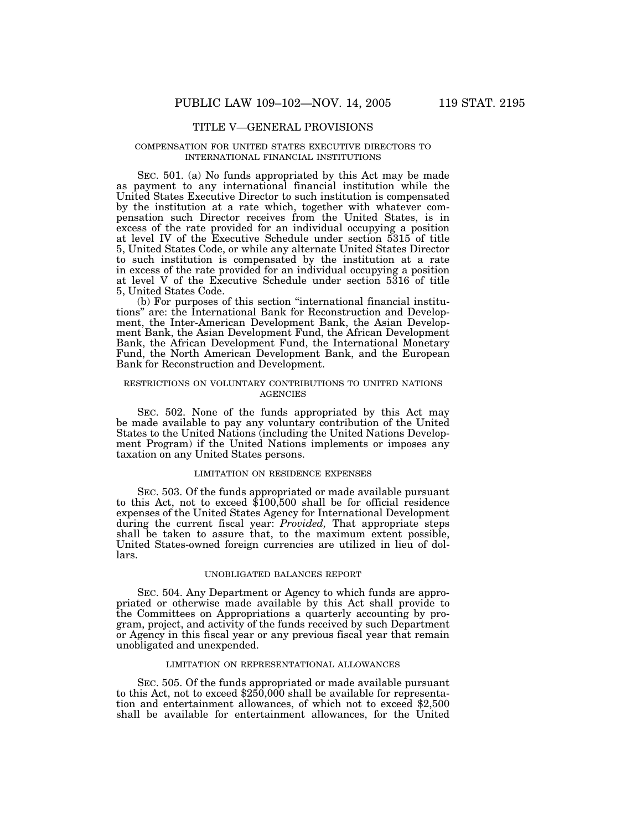## TITLE V—GENERAL PROVISIONS

#### COMPENSATION FOR UNITED STATES EXECUTIVE DIRECTORS TO INTERNATIONAL FINANCIAL INSTITUTIONS

SEC. 501. (a) No funds appropriated by this Act may be made as payment to any international financial institution while the United States Executive Director to such institution is compensated by the institution at a rate which, together with whatever compensation such Director receives from the United States, is in excess of the rate provided for an individual occupying a position at level IV of the Executive Schedule under section 5315 of title 5, United States Code, or while any alternate United States Director to such institution is compensated by the institution at a rate in excess of the rate provided for an individual occupying a position at level V of the Executive Schedule under section 5316 of title 5, United States Code.

(b) For purposes of this section ''international financial institutions'' are: the International Bank for Reconstruction and Development, the Inter-American Development Bank, the Asian Development Bank, the Asian Development Fund, the African Development Bank, the African Development Fund, the International Monetary Fund, the North American Development Bank, and the European Bank for Reconstruction and Development.

## RESTRICTIONS ON VOLUNTARY CONTRIBUTIONS TO UNITED NATIONS **AGENCIES**

SEC. 502. None of the funds appropriated by this Act may be made available to pay any voluntary contribution of the United States to the United Nations (including the United Nations Development Program) if the United Nations implements or imposes any taxation on any United States persons.

## LIMITATION ON RESIDENCE EXPENSES

SEC. 503. Of the funds appropriated or made available pursuant to this Act, not to exceed \$100,500 shall be for official residence expenses of the United States Agency for International Development during the current fiscal year: *Provided*, That appropriate steps shall be taken to assure that, to the maximum extent possible, United States-owned foreign currencies are utilized in lieu of dollars.

#### UNOBLIGATED BALANCES REPORT

SEC. 504. Any Department or Agency to which funds are appropriated or otherwise made available by this Act shall provide to the Committees on Appropriations a quarterly accounting by program, project, and activity of the funds received by such Department or Agency in this fiscal year or any previous fiscal year that remain unobligated and unexpended.

## LIMITATION ON REPRESENTATIONAL ALLOWANCES

SEC. 505. Of the funds appropriated or made available pursuant to this Act, not to exceed \$250,000 shall be available for representation and entertainment allowances, of which not to exceed \$2,500 shall be available for entertainment allowances, for the United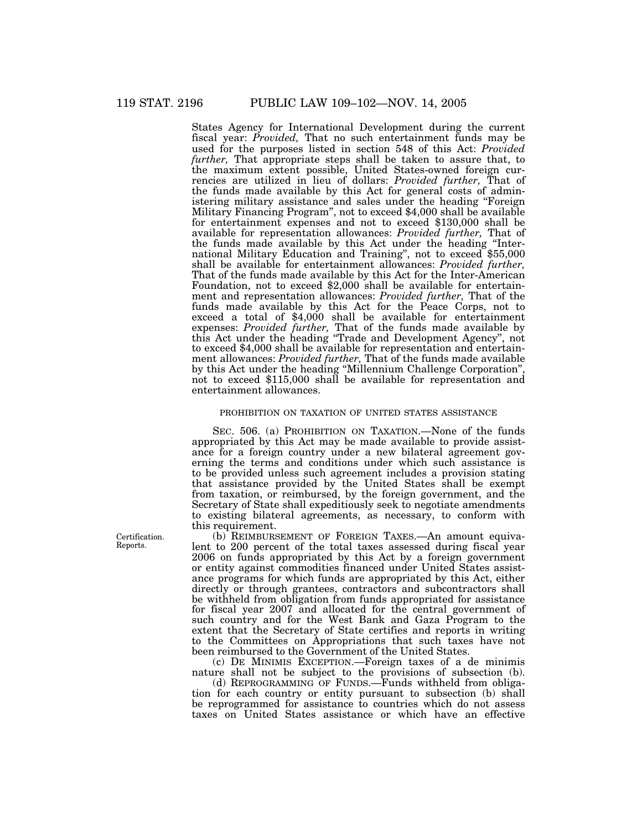States Agency for International Development during the current fiscal year: *Provided,* That no such entertainment funds may be used for the purposes listed in section 548 of this Act: *Provided further,* That appropriate steps shall be taken to assure that, to the maximum extent possible, United States-owned foreign currencies are utilized in lieu of dollars: *Provided further,* That of the funds made available by this Act for general costs of administering military assistance and sales under the heading ''Foreign Military Financing Program'', not to exceed \$4,000 shall be available for entertainment expenses and not to exceed \$130,000 shall be available for representation allowances: *Provided further,* That of the funds made available by this Act under the heading ''International Military Education and Training'', not to exceed \$55,000 shall be available for entertainment allowances: *Provided further,* That of the funds made available by this Act for the Inter-American Foundation, not to exceed \$2,000 shall be available for entertainment and representation allowances: *Provided further,* That of the funds made available by this Act for the Peace Corps, not to exceed a total of \$4,000 shall be available for entertainment expenses: *Provided further,* That of the funds made available by this Act under the heading ''Trade and Development Agency'', not to exceed \$4,000 shall be available for representation and entertainment allowances: *Provided further,* That of the funds made available by this Act under the heading ''Millennium Challenge Corporation'', not to exceed \$115,000 shall be available for representation and entertainment allowances.

## PROHIBITION ON TAXATION OF UNITED STATES ASSISTANCE

SEC. 506. (a) PROHIBITION ON TAXATION.—None of the funds appropriated by this Act may be made available to provide assistance for a foreign country under a new bilateral agreement governing the terms and conditions under which such assistance is to be provided unless such agreement includes a provision stating that assistance provided by the United States shall be exempt from taxation, or reimbursed, by the foreign government, and the Secretary of State shall expeditiously seek to negotiate amendments to existing bilateral agreements, as necessary, to conform with this requirement.

(b) REIMBURSEMENT OF FOREIGN TAXES.—An amount equivalent to 200 percent of the total taxes assessed during fiscal year 2006 on funds appropriated by this Act by a foreign government or entity against commodities financed under United States assistance programs for which funds are appropriated by this Act, either directly or through grantees, contractors and subcontractors shall be withheld from obligation from funds appropriated for assistance for fiscal year 2007 and allocated for the central government of such country and for the West Bank and Gaza Program to the extent that the Secretary of State certifies and reports in writing to the Committees on Appropriations that such taxes have not been reimbursed to the Government of the United States.

(c) DE MINIMIS EXCEPTION.—Foreign taxes of a de minimis nature shall not be subject to the provisions of subsection (b).

(d) REPROGRAMMING OF FUNDS.—Funds withheld from obligation for each country or entity pursuant to subsection (b) shall be reprogrammed for assistance to countries which do not assess taxes on United States assistance or which have an effective

Certification. Reports.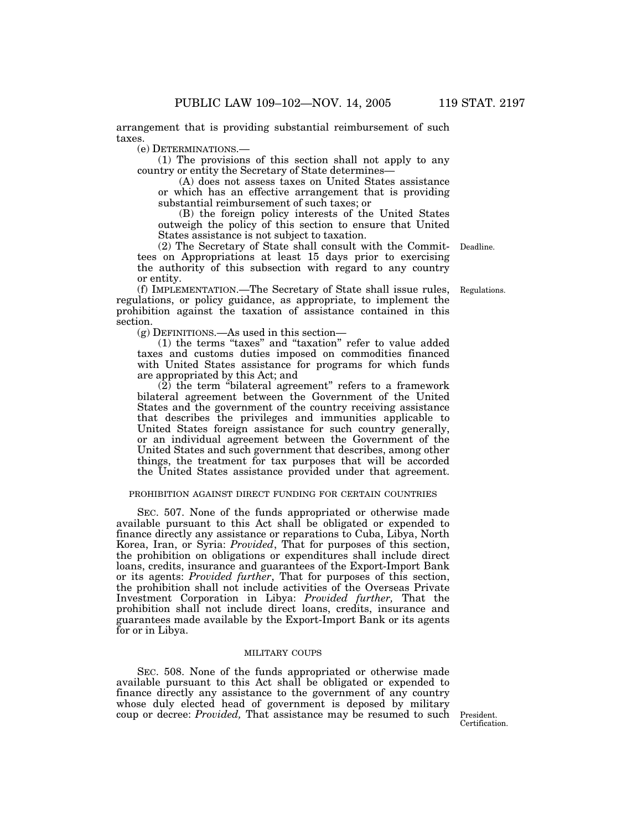arrangement that is providing substantial reimbursement of such taxes.

(e) DETERMINATIONS.—

(1) The provisions of this section shall not apply to any country or entity the Secretary of State determines—

(A) does not assess taxes on United States assistance or which has an effective arrangement that is providing substantial reimbursement of such taxes; or

(B) the foreign policy interests of the United States outweigh the policy of this section to ensure that United States assistance is not subject to taxation.

(2) The Secretary of State shall consult with the Commit-Deadline. tees on Appropriations at least 15 days prior to exercising the authority of this subsection with regard to any country or entity.

(f) IMPLEMENTATION.—The Secretary of State shall issue rules, regulations, or policy guidance, as appropriate, to implement the prohibition against the taxation of assistance contained in this section.

(g) DEFINITIONS.—As used in this section—

(1) the terms ''taxes'' and ''taxation'' refer to value added taxes and customs duties imposed on commodities financed with United States assistance for programs for which funds are appropriated by this Act; and

 $(2)$  the term "bilateral agreement" refers to a framework bilateral agreement between the Government of the United States and the government of the country receiving assistance that describes the privileges and immunities applicable to United States foreign assistance for such country generally, or an individual agreement between the Government of the United States and such government that describes, among other things, the treatment for tax purposes that will be accorded the United States assistance provided under that agreement.

## PROHIBITION AGAINST DIRECT FUNDING FOR CERTAIN COUNTRIES

SEC. 507. None of the funds appropriated or otherwise made available pursuant to this Act shall be obligated or expended to finance directly any assistance or reparations to Cuba, Libya, North Korea, Iran, or Syria: *Provided*, That for purposes of this section, the prohibition on obligations or expenditures shall include direct loans, credits, insurance and guarantees of the Export-Import Bank or its agents: *Provided further*, That for purposes of this section, the prohibition shall not include activities of the Overseas Private Investment Corporation in Libya: *Provided further,* That the prohibition shall not include direct loans, credits, insurance and guarantees made available by the Export-Import Bank or its agents for or in Libya.

## MILITARY COUPS

SEC. 508. None of the funds appropriated or otherwise made available pursuant to this Act shall be obligated or expended to finance directly any assistance to the government of any country whose duly elected head of government is deposed by military coup or decree: *Provided,* That assistance may be resumed to such President.

Certification.

Regulations.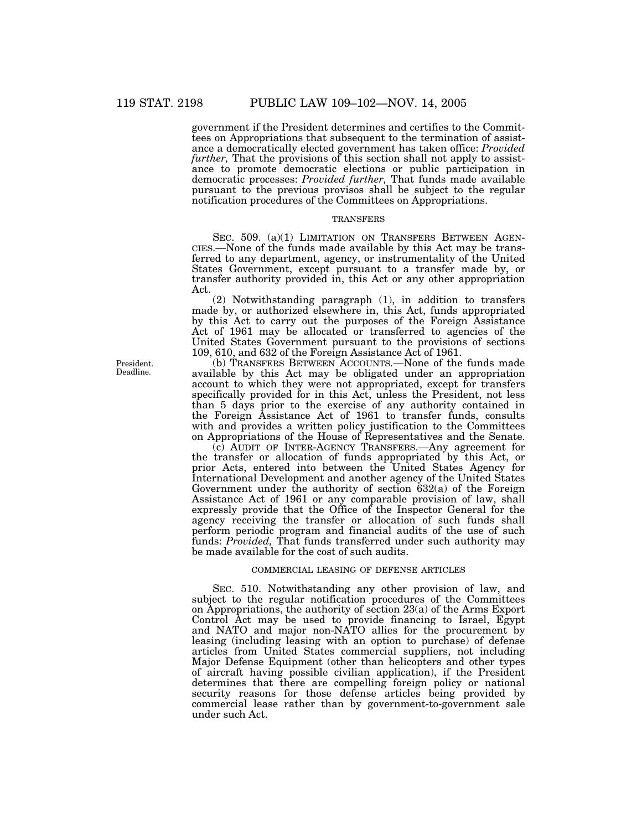government if the President determines and certifies to the Committees on Appropriations that subsequent to the termination of assistance a democratically elected government has taken office: *Provided further*, That the provisions of this section shall not apply to assistance to promote democratic elections or public participation in democratic processes: *Provided further,* That funds made available pursuant to the previous provisos shall be subject to the regular notification procedures of the Committees on Appropriations.

## **TRANSFERS**

SEC. 509. (a)(1) LIMITATION ON TRANSFERS BETWEEN AGEN-CIES.—None of the funds made available by this Act may be transferred to any department, agency, or instrumentality of the United States Government, except pursuant to a transfer made by, or transfer authority provided in, this Act or any other appropriation Act.

(2) Notwithstanding paragraph (1), in addition to transfers made by, or authorized elsewhere in, this Act, funds appropriated by this Act to carry out the purposes of the Foreign Assistance Act of 1961 may be allocated or transferred to agencies of the United States Government pursuant to the provisions of sections 109, 610, and 632 of the Foreign Assistance Act of 1961.

(b) TRANSFERS BETWEEN ACCOUNTS.—None of the funds made available by this Act may be obligated under an appropriation account to which they were not appropriated, except for transfers specifically provided for in this Act, unless the President, not less than 5 days prior to the exercise of any authority contained in the Foreign Assistance Act of 1961 to transfer funds, consults with and provides a written policy justification to the Committees on Appropriations of the House of Representatives and the Senate.

(c) AUDIT OF INTER-AGENCY TRANSFERS.—Any agreement for the transfer or allocation of funds appropriated by this Act, or prior Acts, entered into between the United States Agency for International Development and another agency of the United States Government under the authority of section 632(a) of the Foreign Assistance Act of 1961 or any comparable provision of law, shall expressly provide that the Office of the Inspector General for the agency receiving the transfer or allocation of such funds shall perform periodic program and financial audits of the use of such funds: *Provided,* That funds transferred under such authority may be made available for the cost of such audits.

## COMMERCIAL LEASING OF DEFENSE ARTICLES

SEC. 510. Notwithstanding any other provision of law, and subject to the regular notification procedures of the Committees on Appropriations, the authority of section 23(a) of the Arms Export Control Act may be used to provide financing to Israel, Egypt and NATO and major non-NATO allies for the procurement by leasing (including leasing with an option to purchase) of defense articles from United States commercial suppliers, not including Major Defense Equipment (other than helicopters and other types of aircraft having possible civilian application), if the President determines that there are compelling foreign policy or national security reasons for those defense articles being provided by commercial lease rather than by government-to-government sale under such Act.

President. Deadline.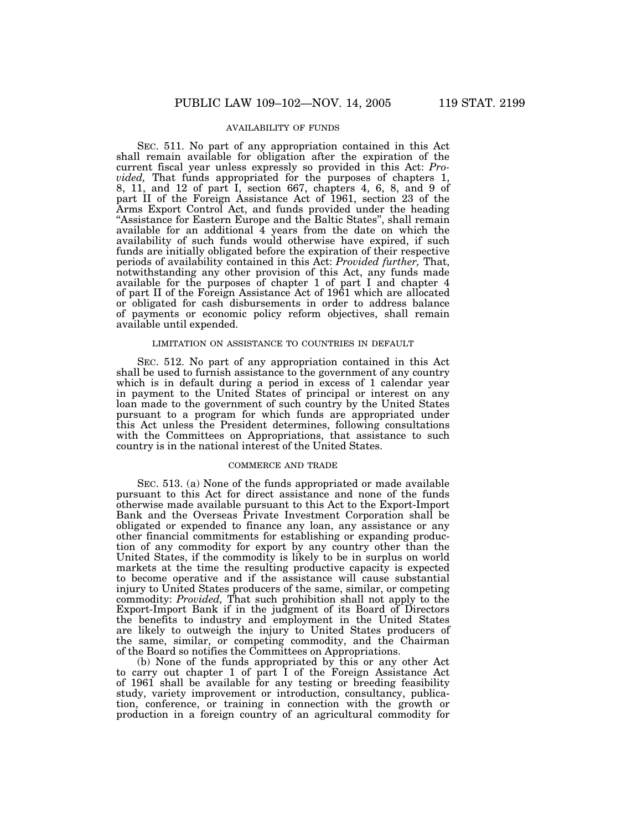## AVAILABILITY OF FUNDS

SEC. 511. No part of any appropriation contained in this Act shall remain available for obligation after the expiration of the current fiscal year unless expressly so provided in this Act: *Provided,* That funds appropriated for the purposes of chapters 1, 8, 11, and 12 of part I, section 667, chapters 4, 6, 8, and 9 of part II of the Foreign Assistance Act of 1961, section 23 of the Arms Export Control Act, and funds provided under the heading ''Assistance for Eastern Europe and the Baltic States'', shall remain available for an additional 4 years from the date on which the availability of such funds would otherwise have expired, if such funds are initially obligated before the expiration of their respective periods of availability contained in this Act: *Provided further,* That, notwithstanding any other provision of this Act, any funds made available for the purposes of chapter 1 of part I and chapter 4 of part II of the Foreign Assistance Act of 1961 which are allocated or obligated for cash disbursements in order to address balance of payments or economic policy reform objectives, shall remain available until expended.

## LIMITATION ON ASSISTANCE TO COUNTRIES IN DEFAULT

SEC. 512. No part of any appropriation contained in this Act shall be used to furnish assistance to the government of any country which is in default during a period in excess of 1 calendar year in payment to the United States of principal or interest on any loan made to the government of such country by the United States pursuant to a program for which funds are appropriated under this Act unless the President determines, following consultations with the Committees on Appropriations, that assistance to such country is in the national interest of the United States.

## COMMERCE AND TRADE

SEC. 513. (a) None of the funds appropriated or made available pursuant to this Act for direct assistance and none of the funds otherwise made available pursuant to this Act to the Export-Import Bank and the Overseas Private Investment Corporation shall be obligated or expended to finance any loan, any assistance or any other financial commitments for establishing or expanding production of any commodity for export by any country other than the United States, if the commodity is likely to be in surplus on world markets at the time the resulting productive capacity is expected to become operative and if the assistance will cause substantial injury to United States producers of the same, similar, or competing commodity: *Provided,* That such prohibition shall not apply to the Export-Import Bank if in the judgment of its Board of Directors the benefits to industry and employment in the United States are likely to outweigh the injury to United States producers of the same, similar, or competing commodity, and the Chairman of the Board so notifies the Committees on Appropriations.

(b) None of the funds appropriated by this or any other Act to carry out chapter 1 of part I of the Foreign Assistance Act of 1961 shall be available for any testing or breeding feasibility study, variety improvement or introduction, consultancy, publication, conference, or training in connection with the growth or production in a foreign country of an agricultural commodity for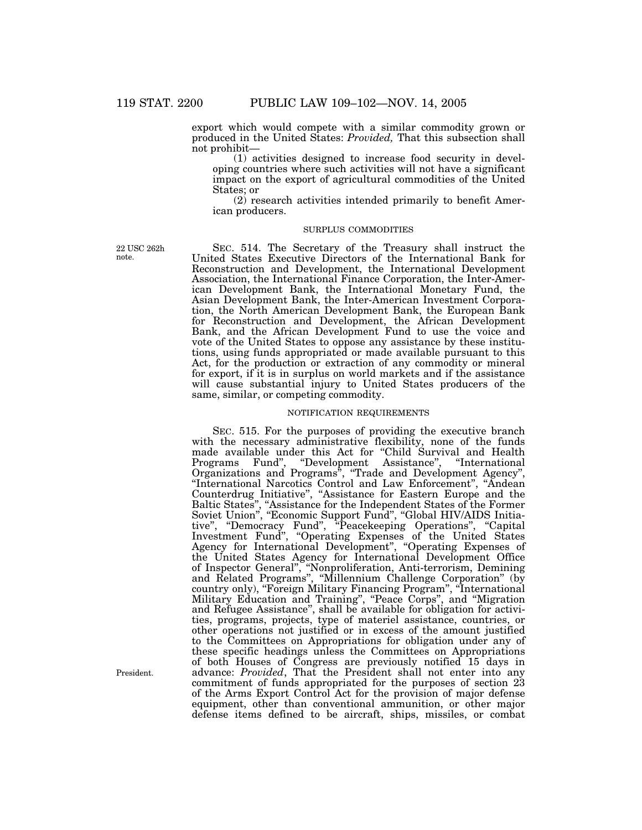export which would compete with a similar commodity grown or produced in the United States: *Provided,* That this subsection shall not prohibit—

(1) activities designed to increase food security in developing countries where such activities will not have a significant impact on the export of agricultural commodities of the United States; or

(2) research activities intended primarily to benefit American producers.

### SURPLUS COMMODITIES

22 USC 262h note.

SEC. 514. The Secretary of the Treasury shall instruct the United States Executive Directors of the International Bank for Reconstruction and Development, the International Development Association, the International Finance Corporation, the Inter-American Development Bank, the International Monetary Fund, the Asian Development Bank, the Inter-American Investment Corporation, the North American Development Bank, the European Bank for Reconstruction and Development, the African Development Bank, and the African Development Fund to use the voice and vote of the United States to oppose any assistance by these institutions, using funds appropriated or made available pursuant to this Act, for the production or extraction of any commodity or mineral for export, if it is in surplus on world markets and if the assistance will cause substantial injury to United States producers of the same, similar, or competing commodity.

#### NOTIFICATION REQUIREMENTS

SEC. 515. For the purposes of providing the executive branch with the necessary administrative flexibility, none of the funds made available under this Act for ''Child Survival and Health Programs Fund", "Development Assistance", "International Organizations and Programs'', ''Trade and Development Agency'', ''International Narcotics Control and Law Enforcement'', ''Andean Counterdrug Initiative'', ''Assistance for Eastern Europe and the Baltic States", "Assistance for the Independent States of the Former Soviet Union", "Economic Support Fund", "Global HIV/AIDS Initiative'', ''Democracy Fund'', ''Peacekeeping Operations'', ''Capital Investment Fund", "Operating Expenses of the United States Agency for International Development'', ''Operating Expenses of the United States Agency for International Development Office of Inspector General'', ''Nonproliferation, Anti-terrorism, Demining and Related Programs'', ''Millennium Challenge Corporation'' (by country only), "Foreign Military Financing Program", "International Military Education and Training'', ''Peace Corps'', and ''Migration and Refugee Assistance'', shall be available for obligation for activities, programs, projects, type of materiel assistance, countries, or other operations not justified or in excess of the amount justified to the Committees on Appropriations for obligation under any of these specific headings unless the Committees on Appropriations of both Houses of Congress are previously notified 15 days in advance: *Provided*, That the President shall not enter into any commitment of funds appropriated for the purposes of section 23 of the Arms Export Control Act for the provision of major defense equipment, other than conventional ammunition, or other major defense items defined to be aircraft, ships, missiles, or combat

President.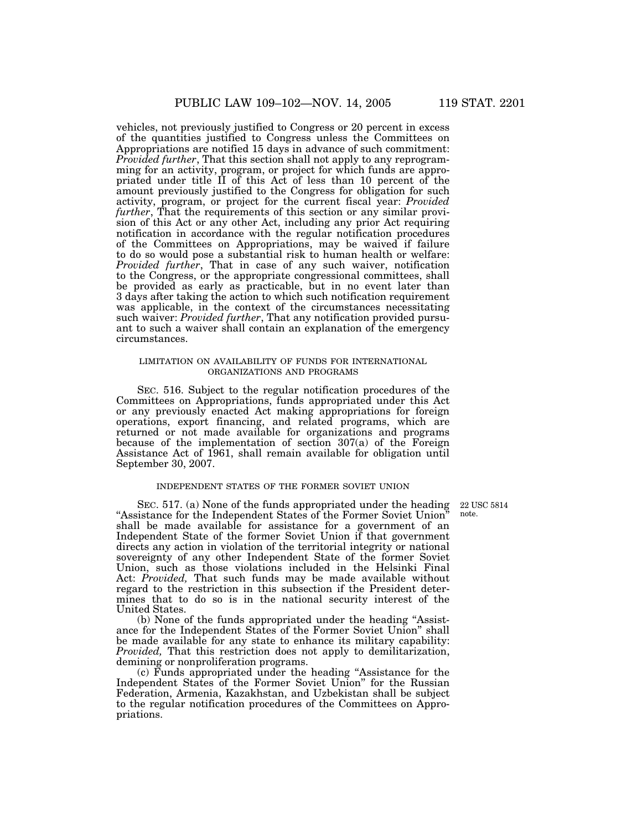vehicles, not previously justified to Congress or 20 percent in excess of the quantities justified to Congress unless the Committees on Appropriations are notified 15 days in advance of such commitment: *Provided further*, That this section shall not apply to any reprogramming for an activity, program, or project for which funds are appropriated under title II of this Act of less than 10 percent of the amount previously justified to the Congress for obligation for such activity, program, or project for the current fiscal year: *Provided further*, That the requirements of this section or any similar provision of this Act or any other Act, including any prior Act requiring notification in accordance with the regular notification procedures of the Committees on Appropriations, may be waived if failure to do so would pose a substantial risk to human health or welfare: *Provided further*, That in case of any such waiver, notification to the Congress, or the appropriate congressional committees, shall be provided as early as practicable, but in no event later than 3 days after taking the action to which such notification requirement was applicable, in the context of the circumstances necessitating such waiver: *Provided further*, That any notification provided pursuant to such a waiver shall contain an explanation of the emergency circumstances.

## LIMITATION ON AVAILABILITY OF FUNDS FOR INTERNATIONAL ORGANIZATIONS AND PROGRAMS

SEC. 516. Subject to the regular notification procedures of the Committees on Appropriations, funds appropriated under this Act or any previously enacted Act making appropriations for foreign operations, export financing, and related programs, which are returned or not made available for organizations and programs because of the implementation of section 307(a) of the Foreign Assistance Act of 1961, shall remain available for obligation until September 30, 2007.

#### INDEPENDENT STATES OF THE FORMER SOVIET UNION

22 USC 5814 note.

SEC. 517. (a) None of the funds appropriated under the heading ''Assistance for the Independent States of the Former Soviet Union'' shall be made available for assistance for a government of an Independent State of the former Soviet Union if that government directs any action in violation of the territorial integrity or national sovereignty of any other Independent State of the former Soviet Union, such as those violations included in the Helsinki Final Act: *Provided,* That such funds may be made available without regard to the restriction in this subsection if the President determines that to do so is in the national security interest of the United States.

(b) None of the funds appropriated under the heading ''Assistance for the Independent States of the Former Soviet Union'' shall be made available for any state to enhance its military capability: *Provided,* That this restriction does not apply to demilitarization, demining or nonproliferation programs.

(c) Funds appropriated under the heading ''Assistance for the Independent States of the Former Soviet Union'' for the Russian Federation, Armenia, Kazakhstan, and Uzbekistan shall be subject to the regular notification procedures of the Committees on Appropriations.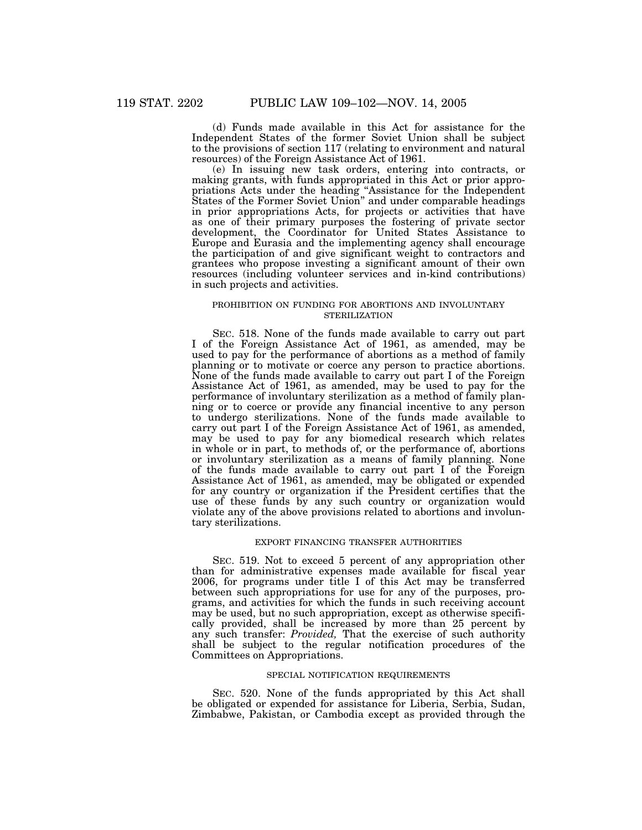(d) Funds made available in this Act for assistance for the Independent States of the former Soviet Union shall be subject to the provisions of section 117 (relating to environment and natural resources) of the Foreign Assistance Act of 1961.

(e) In issuing new task orders, entering into contracts, or making grants, with funds appropriated in this Act or prior appropriations Acts under the heading ''Assistance for the Independent States of the Former Soviet Union'' and under comparable headings in prior appropriations Acts, for projects or activities that have as one of their primary purposes the fostering of private sector development, the Coordinator for United States Assistance to Europe and Eurasia and the implementing agency shall encourage the participation of and give significant weight to contractors and grantees who propose investing a significant amount of their own resources (including volunteer services and in-kind contributions) in such projects and activities.

## PROHIBITION ON FUNDING FOR ABORTIONS AND INVOLUNTARY STERILIZATION

SEC. 518. None of the funds made available to carry out part I of the Foreign Assistance Act of 1961, as amended, may be used to pay for the performance of abortions as a method of family planning or to motivate or coerce any person to practice abortions. None of the funds made available to carry out part I of the Foreign Assistance Act of 1961, as amended, may be used to pay for the performance of involuntary sterilization as a method of family planning or to coerce or provide any financial incentive to any person to undergo sterilizations. None of the funds made available to carry out part I of the Foreign Assistance Act of 1961, as amended, may be used to pay for any biomedical research which relates in whole or in part, to methods of, or the performance of, abortions or involuntary sterilization as a means of family planning. None of the funds made available to carry out part I of the Foreign Assistance Act of 1961, as amended, may be obligated or expended for any country or organization if the President certifies that the use of these funds by any such country or organization would violate any of the above provisions related to abortions and involuntary sterilizations.

## EXPORT FINANCING TRANSFER AUTHORITIES

SEC. 519. Not to exceed 5 percent of any appropriation other than for administrative expenses made available for fiscal year 2006, for programs under title I of this Act may be transferred between such appropriations for use for any of the purposes, programs, and activities for which the funds in such receiving account may be used, but no such appropriation, except as otherwise specifically provided, shall be increased by more than 25 percent by any such transfer: *Provided,* That the exercise of such authority shall be subject to the regular notification procedures of the Committees on Appropriations.

### SPECIAL NOTIFICATION REQUIREMENTS

SEC. 520. None of the funds appropriated by this Act shall be obligated or expended for assistance for Liberia, Serbia, Sudan, Zimbabwe, Pakistan, or Cambodia except as provided through the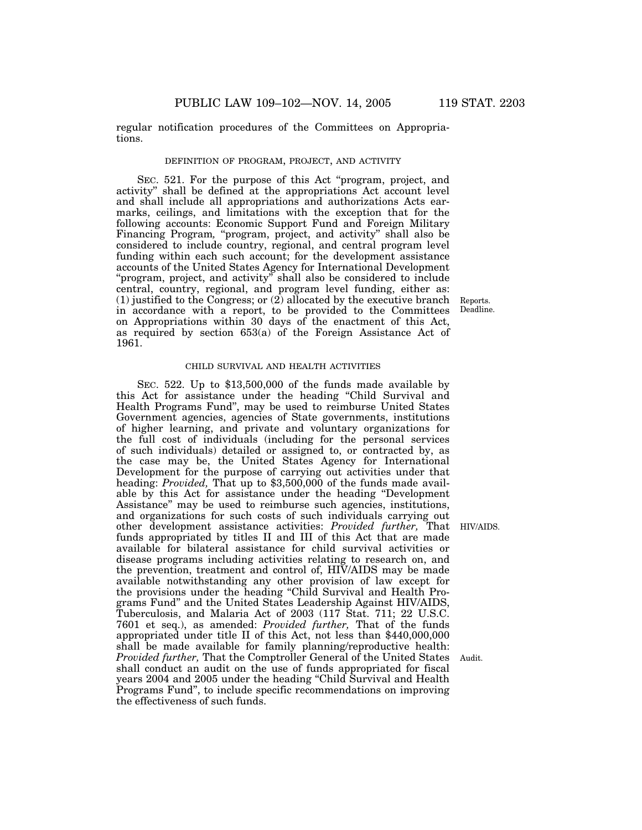regular notification procedures of the Committees on Appropriations.

### DEFINITION OF PROGRAM, PROJECT, AND ACTIVITY

SEC. 521. For the purpose of this Act ''program, project, and activity'' shall be defined at the appropriations Act account level and shall include all appropriations and authorizations Acts earmarks, ceilings, and limitations with the exception that for the following accounts: Economic Support Fund and Foreign Military Financing Program, "program, project, and activity" shall also be considered to include country, regional, and central program level funding within each such account; for the development assistance accounts of the United States Agency for International Development "program, project, and activity" shall also be considered to include central, country, regional, and program level funding, either as: (1) justified to the Congress; or  $(2)$  allocated by the executive branch in accordance with a report, to be provided to the Committees on Appropriations within 30 days of the enactment of this Act, as required by section 653(a) of the Foreign Assistance Act of 1961.

## CHILD SURVIVAL AND HEALTH ACTIVITIES

SEC. 522. Up to \$13,500,000 of the funds made available by this Act for assistance under the heading ''Child Survival and Health Programs Fund'', may be used to reimburse United States Government agencies, agencies of State governments, institutions of higher learning, and private and voluntary organizations for the full cost of individuals (including for the personal services of such individuals) detailed or assigned to, or contracted by, as the case may be, the United States Agency for International Development for the purpose of carrying out activities under that heading: *Provided,* That up to \$3,500,000 of the funds made available by this Act for assistance under the heading ''Development Assistance'' may be used to reimburse such agencies, institutions, and organizations for such costs of such individuals carrying out other development assistance activities: *Provided further,* That HIV/AIDS. funds appropriated by titles II and III of this Act that are made available for bilateral assistance for child survival activities or disease programs including activities relating to research on, and the prevention, treatment and control of, HIV/AIDS may be made available notwithstanding any other provision of law except for the provisions under the heading ''Child Survival and Health Programs Fund'' and the United States Leadership Against HIV/AIDS, Tuberculosis, and Malaria Act of 2003 (117 Stat. 711; 22 U.S.C. 7601 et seq.), as amended: *Provided further,* That of the funds appropriated under title II of this Act, not less than \$440,000,000 shall be made available for family planning/reproductive health: *Provided further,* That the Comptroller General of the United States shall conduct an audit on the use of funds appropriated for fiscal years 2004 and 2005 under the heading ''Child Survival and Health Programs Fund'', to include specific recommendations on improving the effectiveness of such funds.

Reports. Deadline.

Audit.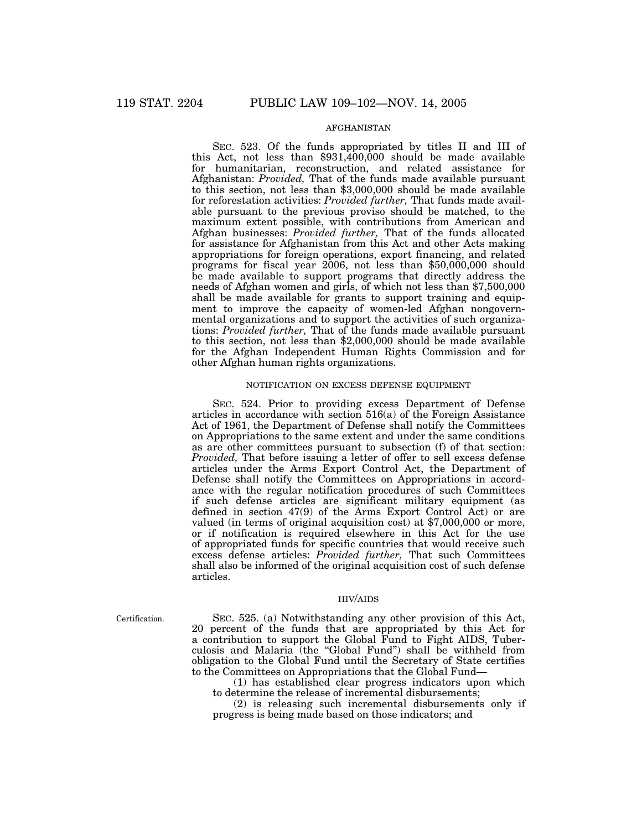## AFGHANISTAN

SEC. 523. Of the funds appropriated by titles II and III of this Act, not less than \$931,400,000 should be made available for humanitarian, reconstruction, and related assistance for Afghanistan: *Provided,* That of the funds made available pursuant to this section, not less than \$3,000,000 should be made available for reforestation activities: *Provided further,* That funds made available pursuant to the previous proviso should be matched, to the maximum extent possible, with contributions from American and Afghan businesses: *Provided further,* That of the funds allocated for assistance for Afghanistan from this Act and other Acts making appropriations for foreign operations, export financing, and related programs for fiscal year 2006, not less than \$50,000,000 should be made available to support programs that directly address the needs of Afghan women and girls, of which not less than \$7,500,000 shall be made available for grants to support training and equipment to improve the capacity of women-led Afghan nongovernmental organizations and to support the activities of such organizations: *Provided further*, That of the funds made available pursuant to this section, not less than \$2,000,000 should be made available for the Afghan Independent Human Rights Commission and for other Afghan human rights organizations.

## NOTIFICATION ON EXCESS DEFENSE EQUIPMENT

SEC. 524. Prior to providing excess Department of Defense articles in accordance with section 516(a) of the Foreign Assistance Act of 1961, the Department of Defense shall notify the Committees on Appropriations to the same extent and under the same conditions as are other committees pursuant to subsection (f) of that section: *Provided,* That before issuing a letter of offer to sell excess defense articles under the Arms Export Control Act, the Department of Defense shall notify the Committees on Appropriations in accordance with the regular notification procedures of such Committees if such defense articles are significant military equipment (as defined in section 47(9) of the Arms Export Control Act) or are valued (in terms of original acquisition cost) at \$7,000,000 or more, or if notification is required elsewhere in this Act for the use of appropriated funds for specific countries that would receive such excess defense articles: *Provided further,* That such Committees shall also be informed of the original acquisition cost of such defense articles.

### HIV/AIDS

Certification.

SEC. 525. (a) Notwithstanding any other provision of this Act, 20 percent of the funds that are appropriated by this Act for a contribution to support the Global Fund to Fight AIDS, Tuberculosis and Malaria (the ''Global Fund'') shall be withheld from obligation to the Global Fund until the Secretary of State certifies to the Committees on Appropriations that the Global Fund—

(1) has established clear progress indicators upon which to determine the release of incremental disbursements;

(2) is releasing such incremental disbursements only if progress is being made based on those indicators; and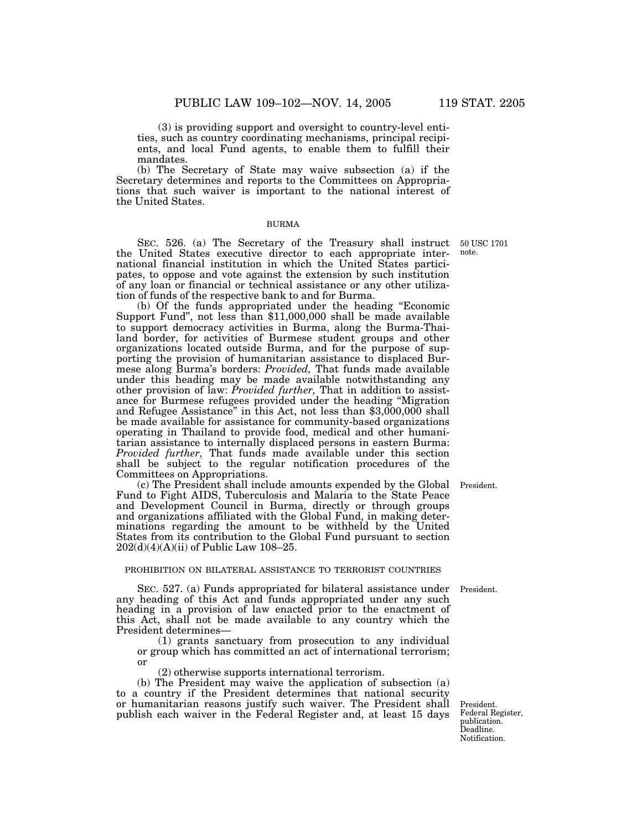(3) is providing support and oversight to country-level entities, such as country coordinating mechanisms, principal recipients, and local Fund agents, to enable them to fulfill their mandates.

(b) The Secretary of State may waive subsection (a) if the Secretary determines and reports to the Committees on Appropriations that such waiver is important to the national interest of the United States.

## BURMA

SEC. 526. (a) The Secretary of the Treasury shall instruct 50 USC 1701 the United States executive director to each appropriate international financial institution in which the United States participates, to oppose and vote against the extension by such institution of any loan or financial or technical assistance or any other utilization of funds of the respective bank to and for Burma.

(b) Of the funds appropriated under the heading ''Economic Support Fund'', not less than \$11,000,000 shall be made available to support democracy activities in Burma, along the Burma-Thailand border, for activities of Burmese student groups and other organizations located outside Burma, and for the purpose of supporting the provision of humanitarian assistance to displaced Burmese along Burma's borders: *Provided,* That funds made available under this heading may be made available notwithstanding any other provision of law: *Provided further,* That in addition to assistance for Burmese refugees provided under the heading ''Migration and Refugee Assistance'' in this Act, not less than \$3,000,000 shall be made available for assistance for community-based organizations operating in Thailand to provide food, medical and other humanitarian assistance to internally displaced persons in eastern Burma: *Provided further,* That funds made available under this section shall be subject to the regular notification procedures of the Committees on Appropriations.

(c) The President shall include amounts expended by the Global President. Fund to Fight AIDS, Tuberculosis and Malaria to the State Peace and Development Council in Burma, directly or through groups and organizations affiliated with the Global Fund, in making determinations regarding the amount to be withheld by the United States from its contribution to the Global Fund pursuant to section 202(d)(4)(A)(ii) of Public Law 108–25.

#### PROHIBITION ON BILATERAL ASSISTANCE TO TERRORIST COUNTRIES

SEC. 527. (a) Funds appropriated for bilateral assistance under President. any heading of this Act and funds appropriated under any such heading in a provision of law enacted prior to the enactment of this Act, shall not be made available to any country which the President determines—

(1) grants sanctuary from prosecution to any individual or group which has committed an act of international terrorism; or

(2) otherwise supports international terrorism.

(b) The President may waive the application of subsection (a) to a country if the President determines that national security or humanitarian reasons justify such waiver. The President shall publish each waiver in the Federal Register and, at least 15 days

President. Federal Register, publication. Deadline. Notification.

note.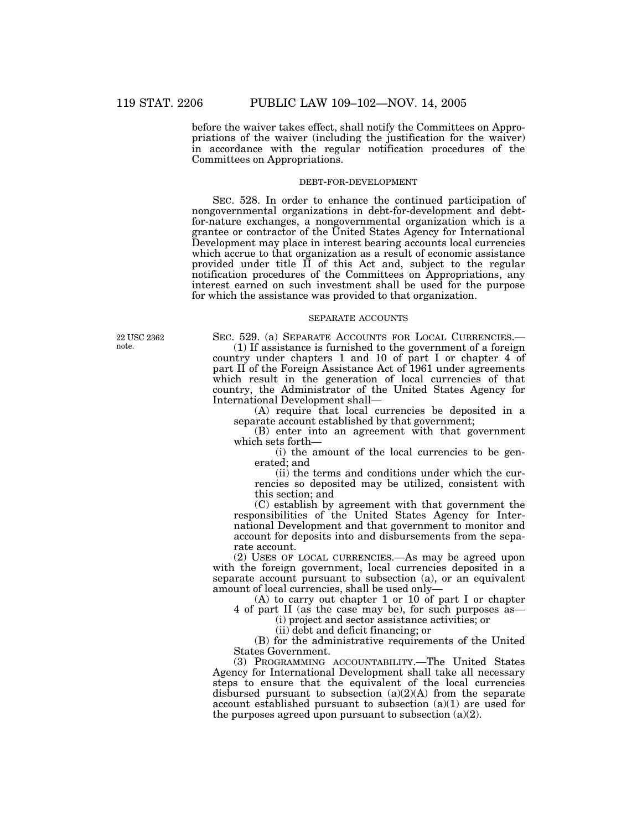before the waiver takes effect, shall notify the Committees on Appropriations of the waiver (including the justification for the waiver) in accordance with the regular notification procedures of the Committees on Appropriations.

#### DEBT-FOR-DEVELOPMENT

SEC. 528. In order to enhance the continued participation of nongovernmental organizations in debt-for-development and debtfor-nature exchanges, a nongovernmental organization which is a grantee or contractor of the United States Agency for International Development may place in interest bearing accounts local currencies which accrue to that organization as a result of economic assistance provided under title  $\overrightarrow{II}$  of this Act and, subject to the regular notification procedures of the Committees on Appropriations, any interest earned on such investment shall be used for the purpose for which the assistance was provided to that organization.

## SEPARATE ACCOUNTS

22 USC 2362 note.

SEC. 529. (a) SEPARATE ACCOUNTS FOR LOCAL CURRENCIES.—

(1) If assistance is furnished to the government of a foreign country under chapters 1 and 10 of part I or chapter 4 of part II of the Foreign Assistance Act of 1961 under agreements which result in the generation of local currencies of that country, the Administrator of the United States Agency for International Development shall—

(A) require that local currencies be deposited in a separate account established by that government;

(B) enter into an agreement with that government which sets forth—

(i) the amount of the local currencies to be generated; and

(ii) the terms and conditions under which the currencies so deposited may be utilized, consistent with this section; and

(C) establish by agreement with that government the responsibilities of the United States Agency for International Development and that government to monitor and account for deposits into and disbursements from the separate account.

(2) USES OF LOCAL CURRENCIES.—As may be agreed upon with the foreign government, local currencies deposited in a separate account pursuant to subsection (a), or an equivalent amount of local currencies, shall be used only—

(A) to carry out chapter 1 or 10 of part I or chapter 4 of part II (as the case may be), for such purposes as—

(i) project and sector assistance activities; or

(ii) debt and deficit financing; or

(B) for the administrative requirements of the United States Government.

(3) PROGRAMMING ACCOUNTABILITY.—The United States Agency for International Development shall take all necessary steps to ensure that the equivalent of the local currencies disbursed pursuant to subsection  $(a)(2)(A)$  from the separate account established pursuant to subsection (a)(1) are used for the purposes agreed upon pursuant to subsection  $(a)(2)$ .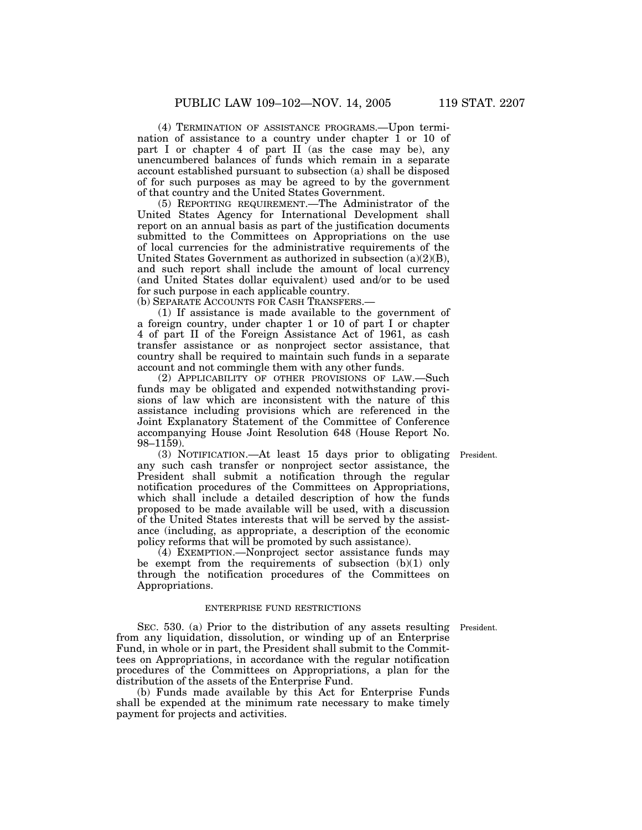(4) TERMINATION OF ASSISTANCE PROGRAMS.—Upon termination of assistance to a country under chapter 1 or 10 of part I or chapter 4 of part II (as the case may be), any unencumbered balances of funds which remain in a separate account established pursuant to subsection (a) shall be disposed of for such purposes as may be agreed to by the government of that country and the United States Government.

(5) REPORTING REQUIREMENT.—The Administrator of the United States Agency for International Development shall report on an annual basis as part of the justification documents submitted to the Committees on Appropriations on the use of local currencies for the administrative requirements of the United States Government as authorized in subsection (a)(2)(B), and such report shall include the amount of local currency (and United States dollar equivalent) used and/or to be used for such purpose in each applicable country.

(b) SEPARATE ACCOUNTS FOR CASH TRANSFERS.—

(1) If assistance is made available to the government of a foreign country, under chapter 1 or 10 of part I or chapter 4 of part II of the Foreign Assistance Act of 1961, as cash transfer assistance or as nonproject sector assistance, that country shall be required to maintain such funds in a separate account and not commingle them with any other funds.

(2) APPLICABILITY OF OTHER PROVISIONS OF LAW.—Such funds may be obligated and expended notwithstanding provisions of law which are inconsistent with the nature of this assistance including provisions which are referenced in the Joint Explanatory Statement of the Committee of Conference accompanying House Joint Resolution 648 (House Report No. 98–1159).

(3) NOTIFICATION.—At least 15 days prior to obligating President.

any such cash transfer or nonproject sector assistance, the President shall submit a notification through the regular notification procedures of the Committees on Appropriations, which shall include a detailed description of how the funds proposed to be made available will be used, with a discussion of the United States interests that will be served by the assistance (including, as appropriate, a description of the economic policy reforms that will be promoted by such assistance). (4) EXEMPTION.—Nonproject sector assistance funds may

be exempt from the requirements of subsection (b)(1) only through the notification procedures of the Committees on Appropriations.

#### ENTERPRISE FUND RESTRICTIONS

SEC. 530. (a) Prior to the distribution of any assets resulting President. from any liquidation, dissolution, or winding up of an Enterprise Fund, in whole or in part, the President shall submit to the Committees on Appropriations, in accordance with the regular notification procedures of the Committees on Appropriations, a plan for the distribution of the assets of the Enterprise Fund.

(b) Funds made available by this Act for Enterprise Funds shall be expended at the minimum rate necessary to make timely payment for projects and activities.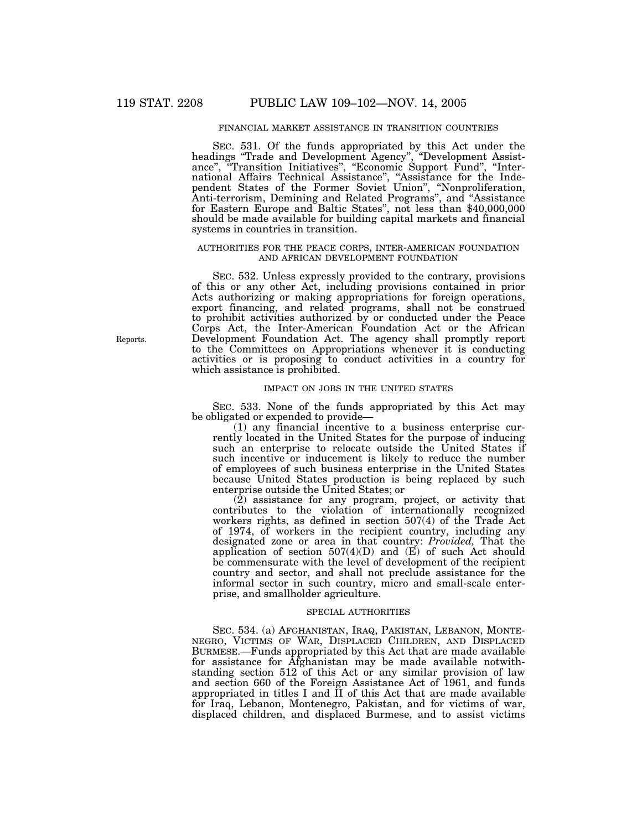## FINANCIAL MARKET ASSISTANCE IN TRANSITION COUNTRIES

SEC. 531. Of the funds appropriated by this Act under the headings ''Trade and Development Agency'', ''Development Assistance", "Transition Initiatives", "Economic Support Fund", "International Affairs Technical Assistance'', ''Assistance for the Independent States of the Former Soviet Union'', ''Nonproliferation, Anti-terrorism, Demining and Related Programs'', and ''Assistance for Eastern Europe and Baltic States'', not less than \$40,000,000 should be made available for building capital markets and financial systems in countries in transition.

## AUTHORITIES FOR THE PEACE CORPS, INTER-AMERICAN FOUNDATION AND AFRICAN DEVELOPMENT FOUNDATION

SEC. 532. Unless expressly provided to the contrary, provisions of this or any other Act, including provisions contained in prior Acts authorizing or making appropriations for foreign operations, export financing, and related programs, shall not be construed to prohibit activities authorized by or conducted under the Peace Corps Act, the Inter-American Foundation Act or the African Development Foundation Act. The agency shall promptly report to the Committees on Appropriations whenever it is conducting activities or is proposing to conduct activities in a country for which assistance is prohibited.

## IMPACT ON JOBS IN THE UNITED STATES

SEC. 533. None of the funds appropriated by this Act may be obligated or expended to provide—

(1) any financial incentive to a business enterprise currently located in the United States for the purpose of inducing such an enterprise to relocate outside the United States if such incentive or inducement is likely to reduce the number of employees of such business enterprise in the United States because United States production is being replaced by such enterprise outside the United States; or

(2) assistance for any program, project, or activity that contributes to the violation of internationally recognized workers rights, as defined in section 507(4) of the Trade Act of 1974, of workers in the recipient country, including any designated zone or area in that country: *Provided,* That the application of section  $507(4)(D)$  and  $(E)$  of such Act should be commensurate with the level of development of the recipient country and sector, and shall not preclude assistance for the informal sector in such country, micro and small-scale enterprise, and smallholder agriculture.

## SPECIAL AUTHORITIES

SEC. 534. (a) AFGHANISTAN, IRAQ, PAKISTAN, LEBANON, MONTE-NEGRO, VICTIMS OF WAR, DISPLACED CHILDREN, AND DISPLACED BURMESE.—Funds appropriated by this Act that are made available for assistance for Afghanistan may be made available notwithstanding section 512 of this Act or any similar provision of law and section 660 of the Foreign Assistance Act of 1961, and funds appropriated in titles I and II of this Act that are made available for Iraq, Lebanon, Montenegro, Pakistan, and for victims of war, displaced children, and displaced Burmese, and to assist victims

Reports.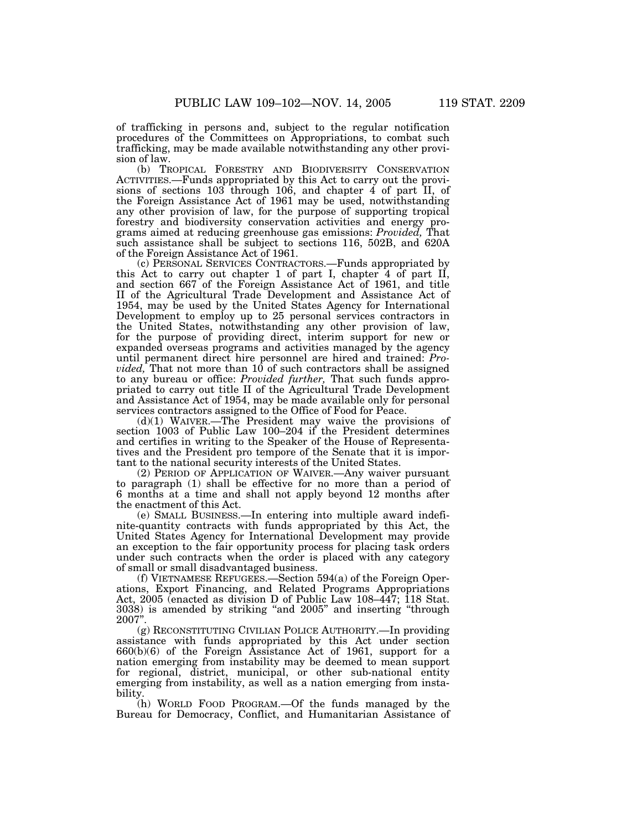of trafficking in persons and, subject to the regular notification procedures of the Committees on Appropriations, to combat such trafficking, may be made available notwithstanding any other provision of law.

(b) TROPICAL FORESTRY AND BIODIVERSITY CONSERVATION ACTIVITIES.—Funds appropriated by this Act to carry out the provisions of sections 103 through 106, and chapter 4 of part II, of the Foreign Assistance Act of 1961 may be used, notwithstanding any other provision of law, for the purpose of supporting tropical forestry and biodiversity conservation activities and energy programs aimed at reducing greenhouse gas emissions: *Provided,* That such assistance shall be subject to sections 116, 502B, and 620A of the Foreign Assistance Act of 1961.

(c) PERSONAL SERVICES CONTRACTORS.—Funds appropriated by this Act to carry out chapter 1 of part I, chapter  $\overline{4}$  of part II, and section 667 of the Foreign Assistance Act of 1961, and title II of the Agricultural Trade Development and Assistance Act of 1954, may be used by the United States Agency for International Development to employ up to 25 personal services contractors in the United States, notwithstanding any other provision of law, for the purpose of providing direct, interim support for new or expanded overseas programs and activities managed by the agency until permanent direct hire personnel are hired and trained: *Provided*, That not more than 10 of such contractors shall be assigned to any bureau or office: *Provided further,* That such funds appropriated to carry out title II of the Agricultural Trade Development and Assistance Act of 1954, may be made available only for personal services contractors assigned to the Office of Food for Peace.

(d)(1) WAIVER.—The President may waive the provisions of section 1003 of Public Law 100–204 if the President determines and certifies in writing to the Speaker of the House of Representatives and the President pro tempore of the Senate that it is important to the national security interests of the United States.

(2) PERIOD OF APPLICATION OF WAIVER.—Any waiver pursuant to paragraph (1) shall be effective for no more than a period of 6 months at a time and shall not apply beyond 12 months after the enactment of this Act.

(e) SMALL BUSINESS.—In entering into multiple award indefinite-quantity contracts with funds appropriated by this Act, the United States Agency for International Development may provide an exception to the fair opportunity process for placing task orders under such contracts when the order is placed with any category of small or small disadvantaged business.

(f) VIETNAMESE REFUGEES.—Section 594(a) of the Foreign Operations, Export Financing, and Related Programs Appropriations Act, 2005 (enacted as division D of Public Law 108–447; 118 Stat. 3038) is amended by striking ''and 2005'' and inserting ''through 2007''.

(g) RECONSTITUTING CIVILIAN POLICE AUTHORITY.—In providing assistance with funds appropriated by this Act under section 660(b)(6) of the Foreign Assistance Act of 1961, support for a nation emerging from instability may be deemed to mean support for regional, district, municipal, or other sub-national entity emerging from instability, as well as a nation emerging from instability.

(h) WORLD FOOD PROGRAM.—Of the funds managed by the Bureau for Democracy, Conflict, and Humanitarian Assistance of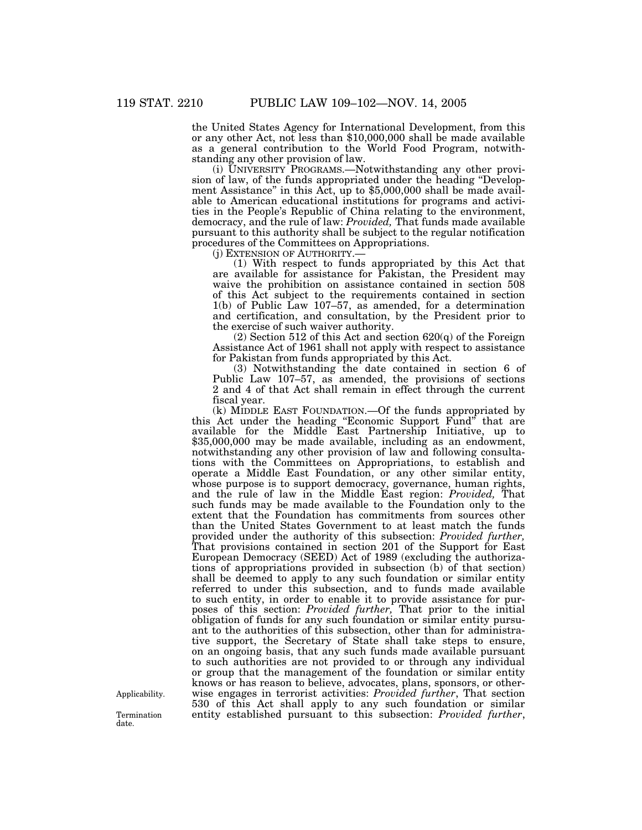the United States Agency for International Development, from this or any other Act, not less than \$10,000,000 shall be made available as a general contribution to the World Food Program, notwithstanding any other provision of law.

(i) UNIVERSITY PROGRAMS.—Notwithstanding any other provision of law, of the funds appropriated under the heading ''Development Assistance'' in this Act, up to \$5,000,000 shall be made available to American educational institutions for programs and activities in the People's Republic of China relating to the environment, democracy, and the rule of law: *Provided,* That funds made available pursuant to this authority shall be subject to the regular notification procedures of the Committees on Appropriations.<br>(j) EXTENSION OF AUTHORITY.—

 $(1)$  With respect to funds appropriated by this Act that are available for assistance for Pakistan, the President may waive the prohibition on assistance contained in section 508 of this Act subject to the requirements contained in section 1(b) of Public Law 107–57, as amended, for a determination and certification, and consultation, by the President prior to the exercise of such waiver authority.

(2) Section 512 of this Act and section 620(q) of the Foreign Assistance Act of 1961 shall not apply with respect to assistance for Pakistan from funds appropriated by this Act.

(3) Notwithstanding the date contained in section 6 of Public Law 107–57, as amended, the provisions of sections 2 and 4 of that Act shall remain in effect through the current fiscal year.

(k) MIDDLE EAST FOUNDATION.—Of the funds appropriated by this Act under the heading "Economic Support Fund" that are available for the Middle East Partnership Initiative, up to \$35,000,000 may be made available, including as an endowment, notwithstanding any other provision of law and following consultations with the Committees on Appropriations, to establish and operate a Middle East Foundation, or any other similar entity, whose purpose is to support democracy, governance, human rights, and the rule of law in the Middle East region: *Provided,* That such funds may be made available to the Foundation only to the extent that the Foundation has commitments from sources other than the United States Government to at least match the funds provided under the authority of this subsection: *Provided further,* That provisions contained in section 201 of the Support for East European Democracy (SEED) Act of 1989 (excluding the authorizations of appropriations provided in subsection (b) of that section) shall be deemed to apply to any such foundation or similar entity referred to under this subsection, and to funds made available to such entity, in order to enable it to provide assistance for purposes of this section: *Provided further,* That prior to the initial obligation of funds for any such foundation or similar entity pursuant to the authorities of this subsection, other than for administrative support, the Secretary of State shall take steps to ensure, on an ongoing basis, that any such funds made available pursuant to such authorities are not provided to or through any individual or group that the management of the foundation or similar entity knows or has reason to believe, advocates, plans, sponsors, or otherwise engages in terrorist activities: *Provided further*, That section 530 of this Act shall apply to any such foundation or similar Termination entity established pursuant to this subsection: *Provided further*, date.

Applicability.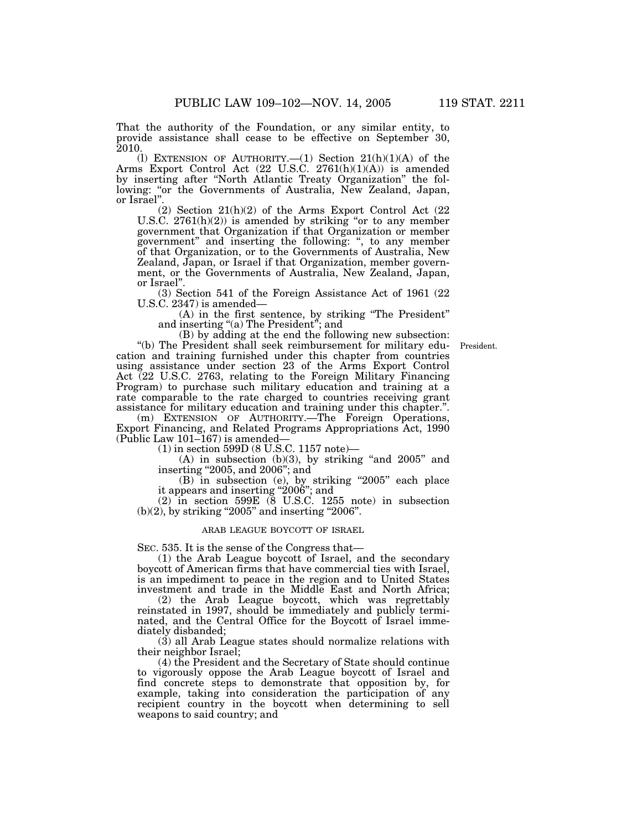That the authority of the Foundation, or any similar entity, to provide assistance shall cease to be effective on September 30, 2010.

(l) EXTENSION OF AUTHORITY.  $-(1)$  Section 21(h)(1)(A) of the Arms Export Control Act (22 U.S.C. 2761(h)(1)(A)) is amended by inserting after ''North Atlantic Treaty Organization'' the following: "or the Governments of Australia, New Zealand, Japan, or Israel''.

(2) Section 21(h)(2) of the Arms Export Control Act (22 U.S.C.  $2761(h)(2)$  is amended by striking "or to any member government that Organization if that Organization or member government'' and inserting the following: '', to any member of that Organization, or to the Governments of Australia, New Zealand, Japan, or Israel if that Organization, member government, or the Governments of Australia, New Zealand, Japan, or Israel''.

(3) Section 541 of the Foreign Assistance Act of 1961 (22 U.S.C. 2347) is amended—

(A) in the first sentence, by striking ''The President'' and inserting "(a) The President"; and

President.

(B) by adding at the end the following new subsection: ''(b) The President shall seek reimbursement for military education and training furnished under this chapter from countries using assistance under section 23 of the Arms Export Control Act (22 U.S.C. 2763, relating to the Foreign Military Financing Program) to purchase such military education and training at a rate comparable to the rate charged to countries receiving grant assistance for military education and training under this chapter.''.

(m) EXTENSION OF AUTHORITY.—The Foreign Operations, Export Financing, and Related Programs Appropriations Act, 1990 (Public Law 101–167) is amended—

(1) in section 599D (8 U.S.C. 1157 note)—

(A) in subsection (b)(3), by striking ''and 2005'' and inserting ''2005, and 2006''; and

(B) in subsection (e), by striking ''2005'' each place it appears and inserting "2006"; and

(2) in section 599E (8 U.S.C. 1255 note) in subsection  $(b)(2)$ , by striking "2005" and inserting "2006".

## ARAB LEAGUE BOYCOTT OF ISRAEL

SEC. 535. It is the sense of the Congress that—

(1) the Arab League boycott of Israel, and the secondary boycott of American firms that have commercial ties with Israel, is an impediment to peace in the region and to United States investment and trade in the Middle East and North Africa;

(2) the Arab League boycott, which was regrettably reinstated in 1997, should be immediately and publicly terminated, and the Central Office for the Boycott of Israel immediately disbanded;

(3) all Arab League states should normalize relations with their neighbor Israel;

(4) the President and the Secretary of State should continue to vigorously oppose the Arab League boycott of Israel and find concrete steps to demonstrate that opposition by, for example, taking into consideration the participation of any recipient country in the boycott when determining to sell weapons to said country; and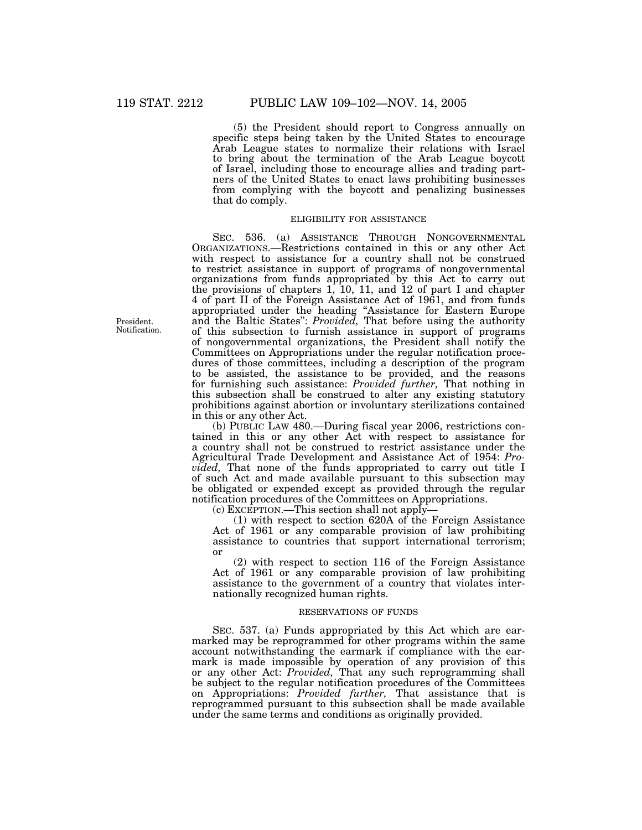(5) the President should report to Congress annually on specific steps being taken by the United States to encourage Arab League states to normalize their relations with Israel to bring about the termination of the Arab League boycott of Israel, including those to encourage allies and trading partners of the United States to enact laws prohibiting businesses from complying with the boycott and penalizing businesses that do comply.

## ELIGIBILITY FOR ASSISTANCE

SEC. 536. (a) ASSISTANCE THROUGH NONGOVERNMENTAL ORGANIZATIONS.—Restrictions contained in this or any other Act with respect to assistance for a country shall not be construed to restrict assistance in support of programs of nongovernmental organizations from funds appropriated by this Act to carry out the provisions of chapters 1, 10, 11, and 12 of part I and chapter 4 of part II of the Foreign Assistance Act of 1961, and from funds appropriated under the heading ''Assistance for Eastern Europe and the Baltic States'': *Provided,* That before using the authority of this subsection to furnish assistance in support of programs of nongovernmental organizations, the President shall notify the Committees on Appropriations under the regular notification procedures of those committees, including a description of the program to be assisted, the assistance to be provided, and the reasons for furnishing such assistance: *Provided further,* That nothing in this subsection shall be construed to alter any existing statutory prohibitions against abortion or involuntary sterilizations contained in this or any other Act.

(b) PUBLIC LAW 480.—During fiscal year 2006, restrictions contained in this or any other Act with respect to assistance for a country shall not be construed to restrict assistance under the Agricultural Trade Development and Assistance Act of 1954: *Provided,* That none of the funds appropriated to carry out title I of such Act and made available pursuant to this subsection may be obligated or expended except as provided through the regular notification procedures of the Committees on Appropriations.

(c) EXCEPTION.—This section shall not apply—

(1) with respect to section 620A of the Foreign Assistance Act of 1961 or any comparable provision of law prohibiting assistance to countries that support international terrorism; or

(2) with respect to section 116 of the Foreign Assistance Act of 1961 or any comparable provision of law prohibiting assistance to the government of a country that violates internationally recognized human rights.

## RESERVATIONS OF FUNDS

SEC. 537. (a) Funds appropriated by this Act which are earmarked may be reprogrammed for other programs within the same account notwithstanding the earmark if compliance with the earmark is made impossible by operation of any provision of this or any other Act: *Provided,* That any such reprogramming shall be subject to the regular notification procedures of the Committees on Appropriations: *Provided further,* That assistance that is reprogrammed pursuant to this subsection shall be made available under the same terms and conditions as originally provided.

President. Notification.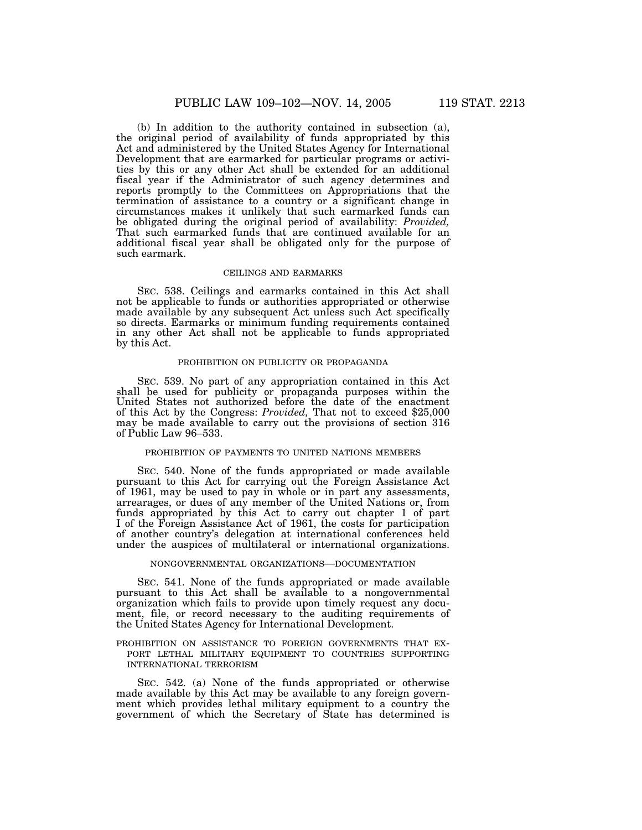(b) In addition to the authority contained in subsection (a), the original period of availability of funds appropriated by this Act and administered by the United States Agency for International Development that are earmarked for particular programs or activities by this or any other Act shall be extended for an additional fiscal year if the Administrator of such agency determines and reports promptly to the Committees on Appropriations that the termination of assistance to a country or a significant change in circumstances makes it unlikely that such earmarked funds can be obligated during the original period of availability: *Provided,* That such earmarked funds that are continued available for an additional fiscal year shall be obligated only for the purpose of such earmark.

## CEILINGS AND EARMARKS

SEC. 538. Ceilings and earmarks contained in this Act shall not be applicable to funds or authorities appropriated or otherwise made available by any subsequent Act unless such Act specifically so directs. Earmarks or minimum funding requirements contained in any other Act shall not be applicable to funds appropriated by this Act.

### PROHIBITION ON PUBLICITY OR PROPAGANDA

SEC. 539. No part of any appropriation contained in this Act shall be used for publicity or propaganda purposes within the United States not authorized before the date of the enactment of this Act by the Congress: *Provided,* That not to exceed \$25,000 may be made available to carry out the provisions of section 316 of Public Law 96–533.

# PROHIBITION OF PAYMENTS TO UNITED NATIONS MEMBERS

SEC. 540. None of the funds appropriated or made available pursuant to this Act for carrying out the Foreign Assistance Act of 1961, may be used to pay in whole or in part any assessments, arrearages, or dues of any member of the United Nations or, from funds appropriated by this Act to carry out chapter 1 of part I of the Foreign Assistance Act of 1961, the costs for participation of another country's delegation at international conferences held under the auspices of multilateral or international organizations.

#### NONGOVERNMENTAL ORGANIZATIONS—DOCUMENTATION

SEC. 541. None of the funds appropriated or made available pursuant to this Act shall be available to a nongovernmental organization which fails to provide upon timely request any document, file, or record necessary to the auditing requirements of the United States Agency for International Development.

## PROHIBITION ON ASSISTANCE TO FOREIGN GOVERNMENTS THAT EX-PORT LETHAL MILITARY EQUIPMENT TO COUNTRIES SUPPORTING INTERNATIONAL TERRORISM

SEC. 542. (a) None of the funds appropriated or otherwise made available by this Act may be available to any foreign government which provides lethal military equipment to a country the government of which the Secretary of State has determined is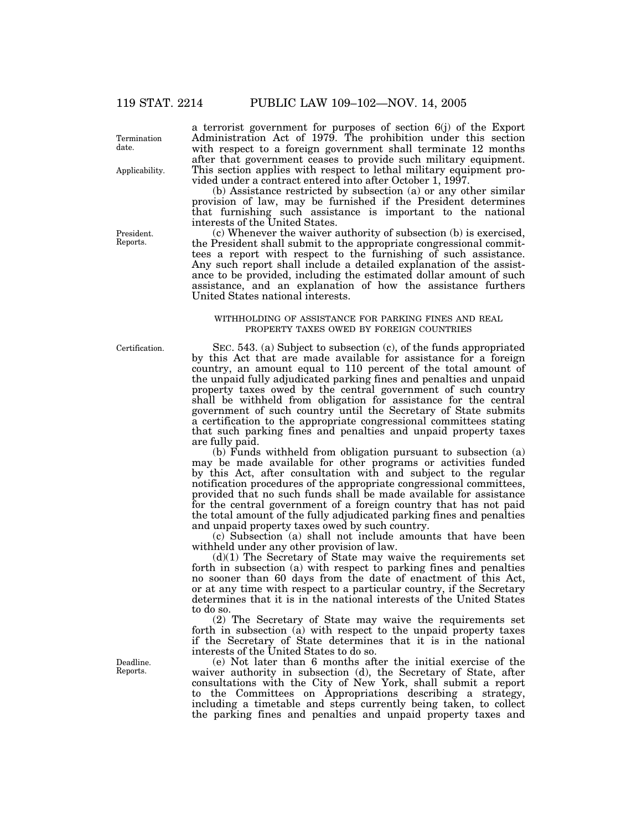Termination date.

Applicability.

President. Reports.

a terrorist government for purposes of section 6(j) of the Export Administration Act of 1979. The prohibition under this section with respect to a foreign government shall terminate 12 months after that government ceases to provide such military equipment. This section applies with respect to lethal military equipment provided under a contract entered into after October 1, 1997.

(b) Assistance restricted by subsection (a) or any other similar provision of law, may be furnished if the President determines that furnishing such assistance is important to the national interests of the United States.

(c) Whenever the waiver authority of subsection (b) is exercised, the President shall submit to the appropriate congressional committees a report with respect to the furnishing of such assistance. Any such report shall include a detailed explanation of the assistance to be provided, including the estimated dollar amount of such assistance, and an explanation of how the assistance furthers United States national interests.

## WITHHOLDING OF ASSISTANCE FOR PARKING FINES AND REAL PROPERTY TAXES OWED BY FOREIGN COUNTRIES

Certification.

Deadline. Reports.

SEC. 543. (a) Subject to subsection (c), of the funds appropriated by this Act that are made available for assistance for a foreign country, an amount equal to 110 percent of the total amount of the unpaid fully adjudicated parking fines and penalties and unpaid property taxes owed by the central government of such country shall be withheld from obligation for assistance for the central government of such country until the Secretary of State submits a certification to the appropriate congressional committees stating that such parking fines and penalties and unpaid property taxes are fully paid.

(b) Funds withheld from obligation pursuant to subsection (a) may be made available for other programs or activities funded by this Act, after consultation with and subject to the regular notification procedures of the appropriate congressional committees, provided that no such funds shall be made available for assistance for the central government of a foreign country that has not paid the total amount of the fully adjudicated parking fines and penalties and unpaid property taxes owed by such country.

(c) Subsection (a) shall not include amounts that have been withheld under any other provision of law.

 $(d)(1)$  The Secretary of State may waive the requirements set forth in subsection (a) with respect to parking fines and penalties no sooner than 60 days from the date of enactment of this Act, or at any time with respect to a particular country, if the Secretary determines that it is in the national interests of the United States to do so.

(2) The Secretary of State may waive the requirements set forth in subsection (a) with respect to the unpaid property taxes if the Secretary of State determines that it is in the national interests of the United States to do so.

(e) Not later than 6 months after the initial exercise of the waiver authority in subsection (d), the Secretary of State, after consultations with the City of New York, shall submit a report to the Committees on Appropriations describing a strategy, including a timetable and steps currently being taken, to collect the parking fines and penalties and unpaid property taxes and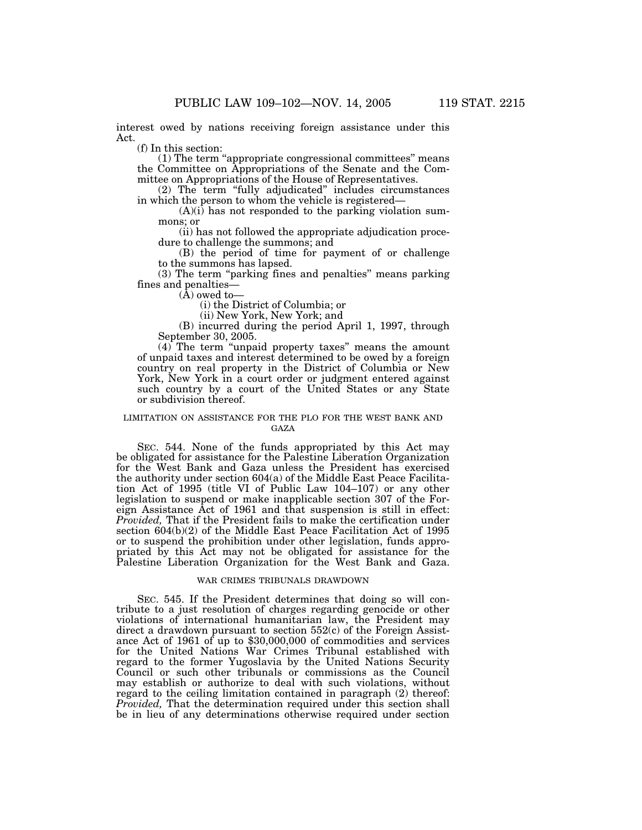interest owed by nations receiving foreign assistance under this Act.

(f) In this section:

(1) The term ''appropriate congressional committees'' means the Committee on Appropriations of the Senate and the Committee on Appropriations of the House of Representatives.

(2) The term "fully adjudicated" includes circumstances in which the person to whom the vehicle is registered—

 $(A)(i)$  has not responded to the parking violation summons; or

(ii) has not followed the appropriate adjudication procedure to challenge the summons; and

(B) the period of time for payment of or challenge to the summons has lapsed.

(3) The term ''parking fines and penalties'' means parking fines and penalties—

 $(\tilde{A})$  owed to-

(i) the District of Columbia; or

(ii) New York, New York; and

(B) incurred during the period April 1, 1997, through September 30, 2005.

(4) The term ''unpaid property taxes'' means the amount of unpaid taxes and interest determined to be owed by a foreign country on real property in the District of Columbia or New York, New York in a court order or judgment entered against such country by a court of the United States or any State or subdivision thereof.

### LIMITATION ON ASSISTANCE FOR THE PLO FOR THE WEST BANK AND GAZA

SEC. 544. None of the funds appropriated by this Act may be obligated for assistance for the Palestine Liberation Organization for the West Bank and Gaza unless the President has exercised the authority under section 604(a) of the Middle East Peace Facilitation Act of 1995 (title VI of Public Law 104–107) or any other legislation to suspend or make inapplicable section 307 of the Foreign Assistance Act of 1961 and that suspension is still in effect: *Provided,* That if the President fails to make the certification under section 604(b)(2) of the Middle East Peace Facilitation Act of 1995 or to suspend the prohibition under other legislation, funds appropriated by this Act may not be obligated for assistance for the Palestine Liberation Organization for the West Bank and Gaza.

## WAR CRIMES TRIBUNALS DRAWDOWN

SEC. 545. If the President determines that doing so will contribute to a just resolution of charges regarding genocide or other violations of international humanitarian law, the President may direct a drawdown pursuant to section 552(c) of the Foreign Assistance Act of 1961 of up to \$30,000,000 of commodities and services for the United Nations War Crimes Tribunal established with regard to the former Yugoslavia by the United Nations Security Council or such other tribunals or commissions as the Council may establish or authorize to deal with such violations, without regard to the ceiling limitation contained in paragraph (2) thereof: *Provided,* That the determination required under this section shall be in lieu of any determinations otherwise required under section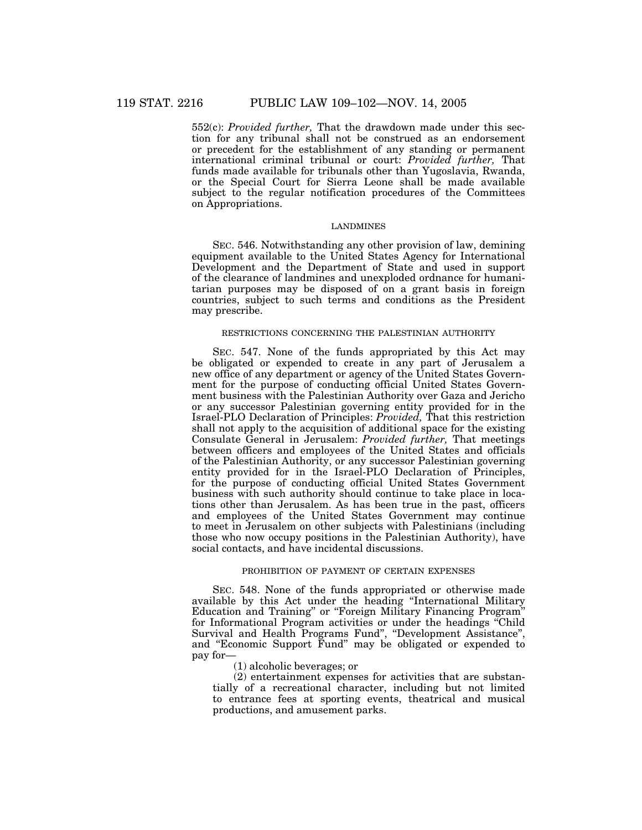552(c): *Provided further,* That the drawdown made under this section for any tribunal shall not be construed as an endorsement or precedent for the establishment of any standing or permanent international criminal tribunal or court: *Provided further,* That funds made available for tribunals other than Yugoslavia, Rwanda, or the Special Court for Sierra Leone shall be made available subject to the regular notification procedures of the Committees on Appropriations.

## LANDMINES

SEC. 546. Notwithstanding any other provision of law, demining equipment available to the United States Agency for International Development and the Department of State and used in support of the clearance of landmines and unexploded ordnance for humanitarian purposes may be disposed of on a grant basis in foreign countries, subject to such terms and conditions as the President may prescribe.

### RESTRICTIONS CONCERNING THE PALESTINIAN AUTHORITY

SEC. 547. None of the funds appropriated by this Act may be obligated or expended to create in any part of Jerusalem a new office of any department or agency of the United States Government for the purpose of conducting official United States Government business with the Palestinian Authority over Gaza and Jericho or any successor Palestinian governing entity provided for in the Israel-PLO Declaration of Principles: *Provided,* That this restriction shall not apply to the acquisition of additional space for the existing Consulate General in Jerusalem: *Provided further,* That meetings between officers and employees of the United States and officials of the Palestinian Authority, or any successor Palestinian governing entity provided for in the Israel-PLO Declaration of Principles, for the purpose of conducting official United States Government business with such authority should continue to take place in locations other than Jerusalem. As has been true in the past, officers and employees of the United States Government may continue to meet in Jerusalem on other subjects with Palestinians (including those who now occupy positions in the Palestinian Authority), have social contacts, and have incidental discussions.

# PROHIBITION OF PAYMENT OF CERTAIN EXPENSES

SEC. 548. None of the funds appropriated or otherwise made available by this Act under the heading ''International Military Education and Training'' or ''Foreign Military Financing Program'' for Informational Program activities or under the headings ''Child Survival and Health Programs Fund'', ''Development Assistance'', and ''Economic Support Fund'' may be obligated or expended to pay for—

(1) alcoholic beverages; or

(2) entertainment expenses for activities that are substantially of a recreational character, including but not limited to entrance fees at sporting events, theatrical and musical productions, and amusement parks.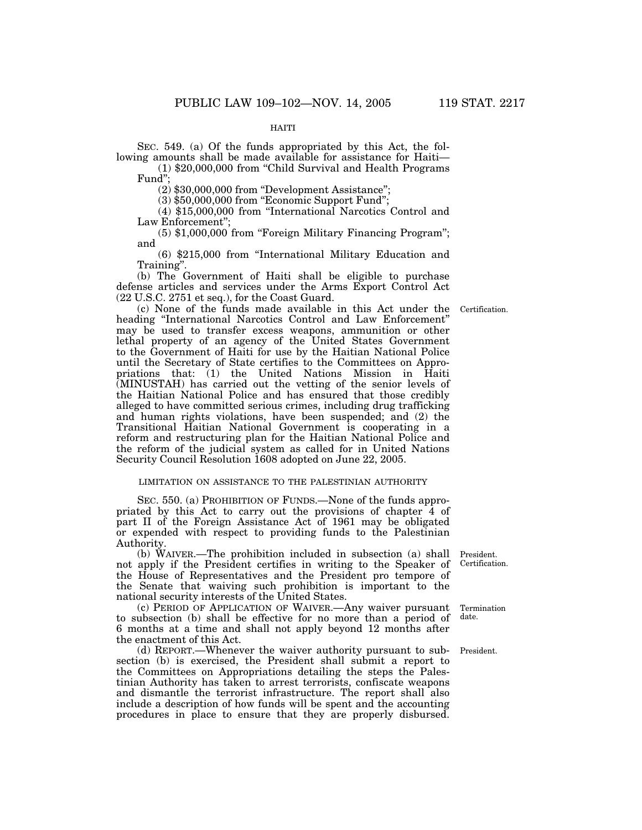## HAITI

SEC. 549. (a) Of the funds appropriated by this Act, the following amounts shall be made available for assistance for Haiti—

(1) \$20,000,000 from ''Child Survival and Health Programs Fund'';

(2) \$30,000,000 from ''Development Assistance'';

(3) \$50,000,000 from ''Economic Support Fund'';

(4) \$15,000,000 from ''International Narcotics Control and Law Enforcement'';

(5) \$1,000,000 from ''Foreign Military Financing Program''; and

(6) \$215,000 from ''International Military Education and Training''.

(b) The Government of Haiti shall be eligible to purchase defense articles and services under the Arms Export Control Act (22 U.S.C. 2751 et seq.), for the Coast Guard.

(c) None of the funds made available in this Act under the heading ''International Narcotics Control and Law Enforcement'' may be used to transfer excess weapons, ammunition or other lethal property of an agency of the United States Government to the Government of Haiti for use by the Haitian National Police until the Secretary of State certifies to the Committees on Appropriations that: (1) the United Nations Mission in Haiti (MINUSTAH) has carried out the vetting of the senior levels of the Haitian National Police and has ensured that those credibly alleged to have committed serious crimes, including drug trafficking and human rights violations, have been suspended; and (2) the Transitional Haitian National Government is cooperating in a reform and restructuring plan for the Haitian National Police and the reform of the judicial system as called for in United Nations Security Council Resolution 1608 adopted on June 22, 2005.

# LIMITATION ON ASSISTANCE TO THE PALESTINIAN AUTHORITY

SEC. 550. (a) PROHIBITION OF FUNDS.—None of the funds appropriated by this Act to carry out the provisions of chapter  $\overline{4}$  of part II of the Foreign Assistance Act of 1961 may be obligated or expended with respect to providing funds to the Palestinian Authority.

(b) WAIVER.—The prohibition included in subsection (a) shall not apply if the President certifies in writing to the Speaker of the House of Representatives and the President pro tempore of the Senate that waiving such prohibition is important to the national security interests of the United States.

(c) PERIOD OF APPLICATION OF WAIVER.—Any waiver pursuant to subsection (b) shall be effective for no more than a period of 6 months at a time and shall not apply beyond 12 months after the enactment of this Act.

(d) REPORT.—Whenever the waiver authority pursuant to subsection (b) is exercised, the President shall submit a report to the Committees on Appropriations detailing the steps the Palestinian Authority has taken to arrest terrorists, confiscate weapons and dismantle the terrorist infrastructure. The report shall also include a description of how funds will be spent and the accounting procedures in place to ensure that they are properly disbursed.

President. Certification.

Termination date.

President.

Certification.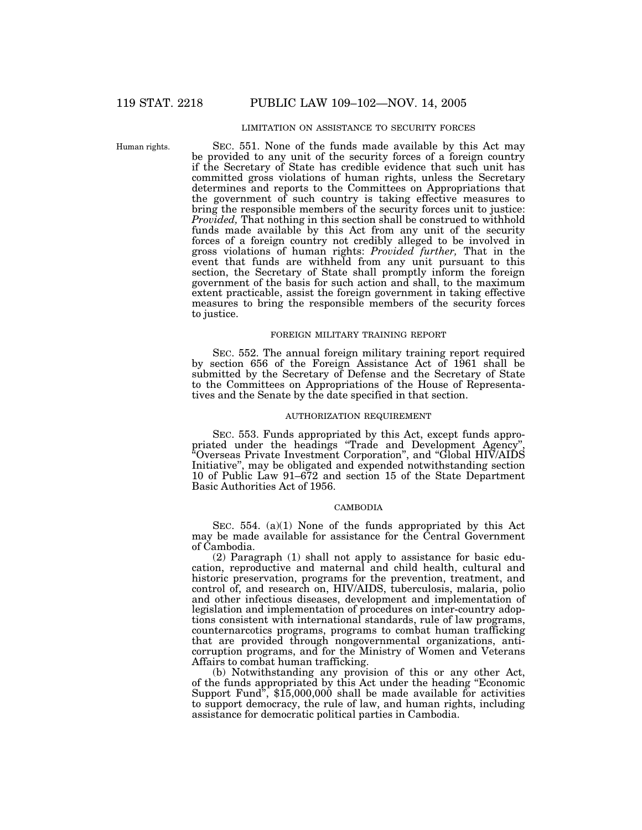# LIMITATION ON ASSISTANCE TO SECURITY FORCES

Human rights.

SEC. 551. None of the funds made available by this Act may be provided to any unit of the security forces of a foreign country if the Secretary of State has credible evidence that such unit has committed gross violations of human rights, unless the Secretary determines and reports to the Committees on Appropriations that the government of such country is taking effective measures to bring the responsible members of the security forces unit to justice: *Provided,* That nothing in this section shall be construed to withhold funds made available by this Act from any unit of the security forces of a foreign country not credibly alleged to be involved in gross violations of human rights: *Provided further,* That in the event that funds are withheld from any unit pursuant to this section, the Secretary of State shall promptly inform the foreign government of the basis for such action and shall, to the maximum extent practicable, assist the foreign government in taking effective measures to bring the responsible members of the security forces to justice.

## FOREIGN MILITARY TRAINING REPORT

SEC. 552. The annual foreign military training report required by section 656 of the Foreign Assistance Act of 1961 shall be submitted by the Secretary of Defense and the Secretary of State to the Committees on Appropriations of the House of Representatives and the Senate by the date specified in that section.

## AUTHORIZATION REQUIREMENT

SEC. 553. Funds appropriated by this Act, except funds appropriated under the headings "Trade and Development Agency' ''Overseas Private Investment Corporation'', and ''Global HIV/AIDS Initiative'', may be obligated and expended notwithstanding section 10 of Public Law 91–672 and section 15 of the State Department Basic Authorities Act of 1956.

## CAMBODIA

SEC. 554. (a)(1) None of the funds appropriated by this Act may be made available for assistance for the Central Government of Cambodia.

(2) Paragraph (1) shall not apply to assistance for basic education, reproductive and maternal and child health, cultural and historic preservation, programs for the prevention, treatment, and control of, and research on, HIV/AIDS, tuberculosis, malaria, polio and other infectious diseases, development and implementation of legislation and implementation of procedures on inter-country adoptions consistent with international standards, rule of law programs, counternarcotics programs, programs to combat human trafficking that are provided through nongovernmental organizations, anticorruption programs, and for the Ministry of Women and Veterans Affairs to combat human trafficking.

(b) Notwithstanding any provision of this or any other Act, of the funds appropriated by this Act under the heading ''Economic Support Fund'', \$15,000,000 shall be made available for activities to support democracy, the rule of law, and human rights, including assistance for democratic political parties in Cambodia.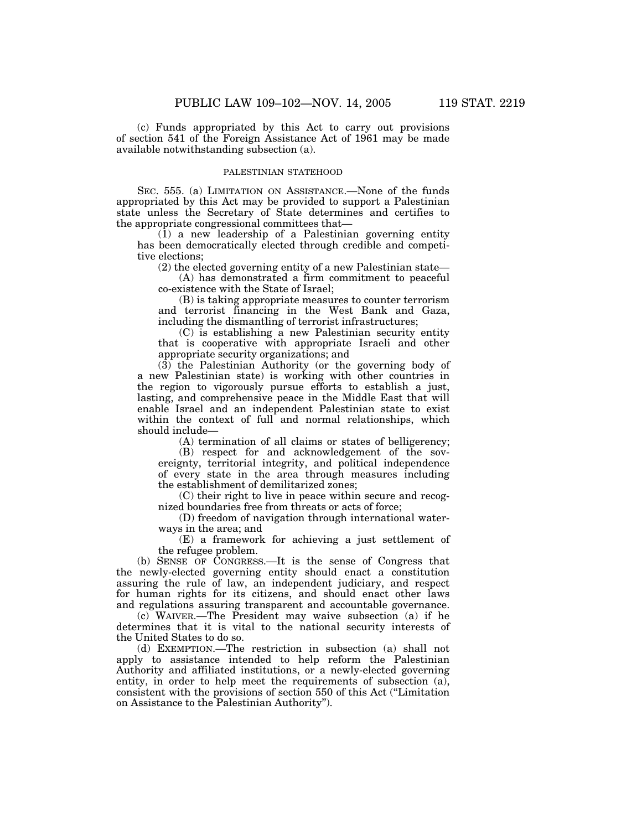(c) Funds appropriated by this Act to carry out provisions of section 541 of the Foreign Assistance Act of 1961 may be made available notwithstanding subsection (a).

## PALESTINIAN STATEHOOD

SEC. 555. (a) LIMITATION ON ASSISTANCE.—None of the funds appropriated by this Act may be provided to support a Palestinian state unless the Secretary of State determines and certifies to the appropriate congressional committees that—

(1) a new leadership of a Palestinian governing entity has been democratically elected through credible and competitive elections;

(2) the elected governing entity of a new Palestinian state—

(A) has demonstrated a firm commitment to peaceful co-existence with the State of Israel;

(B) is taking appropriate measures to counter terrorism and terrorist financing in the West Bank and Gaza, including the dismantling of terrorist infrastructures;

(C) is establishing a new Palestinian security entity that is cooperative with appropriate Israeli and other appropriate security organizations; and

(3) the Palestinian Authority (or the governing body of a new Palestinian state) is working with other countries in the region to vigorously pursue efforts to establish a just, lasting, and comprehensive peace in the Middle East that will enable Israel and an independent Palestinian state to exist within the context of full and normal relationships, which should include—

(A) termination of all claims or states of belligerency;

(B) respect for and acknowledgement of the sovereignty, territorial integrity, and political independence of every state in the area through measures including the establishment of demilitarized zones;

(C) their right to live in peace within secure and recognized boundaries free from threats or acts of force;

(D) freedom of navigation through international waterways in the area; and

(E) a framework for achieving a just settlement of the refugee problem.

(b) SENSE OF CONGRESS.—It is the sense of Congress that the newly-elected governing entity should enact a constitution assuring the rule of law, an independent judiciary, and respect for human rights for its citizens, and should enact other laws and regulations assuring transparent and accountable governance.

(c) WAIVER.—The President may waive subsection (a) if he determines that it is vital to the national security interests of the United States to do so.

(d) EXEMPTION.—The restriction in subsection (a) shall not apply to assistance intended to help reform the Palestinian Authority and affiliated institutions, or a newly-elected governing entity, in order to help meet the requirements of subsection (a), consistent with the provisions of section 550 of this Act (''Limitation on Assistance to the Palestinian Authority'').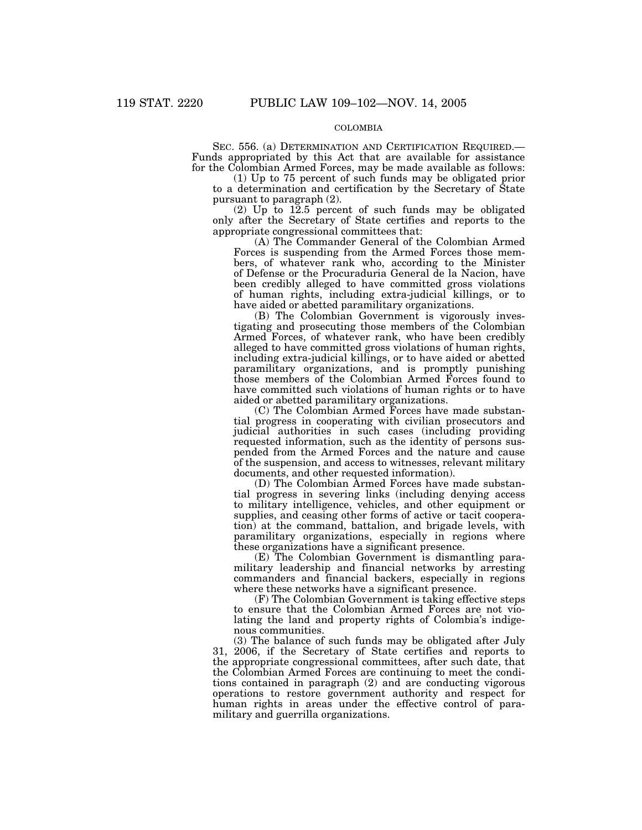# COLOMBIA

SEC. 556. (a) DETERMINATION AND CERTIFICATION REQUIRED.— Funds appropriated by this Act that are available for assistance for the Colombian Armed Forces, may be made available as follows:

(1) Up to 75 percent of such funds may be obligated prior to a determination and certification by the Secretary of State pursuant to paragraph (2).

(2) Up to 12.5 percent of such funds may be obligated only after the Secretary of State certifies and reports to the appropriate congressional committees that:

(A) The Commander General of the Colombian Armed Forces is suspending from the Armed Forces those members, of whatever rank who, according to the Minister of Defense or the Procuraduria General de la Nacion, have been credibly alleged to have committed gross violations of human rights, including extra-judicial killings, or to have aided or abetted paramilitary organizations.

(B) The Colombian Government is vigorously investigating and prosecuting those members of the Colombian Armed Forces, of whatever rank, who have been credibly alleged to have committed gross violations of human rights, including extra-judicial killings, or to have aided or abetted paramilitary organizations, and is promptly punishing those members of the Colombian Armed Forces found to have committed such violations of human rights or to have aided or abetted paramilitary organizations.

(C) The Colombian Armed Forces have made substantial progress in cooperating with civilian prosecutors and judicial authorities in such cases (including providing requested information, such as the identity of persons suspended from the Armed Forces and the nature and cause of the suspension, and access to witnesses, relevant military documents, and other requested information).

(D) The Colombian Armed Forces have made substantial progress in severing links (including denying access to military intelligence, vehicles, and other equipment or supplies, and ceasing other forms of active or tacit cooperation) at the command, battalion, and brigade levels, with paramilitary organizations, especially in regions where these organizations have a significant presence.

(E) The Colombian Government is dismantling paramilitary leadership and financial networks by arresting commanders and financial backers, especially in regions where these networks have a significant presence.

(F) The Colombian Government is taking effective steps to ensure that the Colombian Armed Forces are not violating the land and property rights of Colombia's indigenous communities.

(3) The balance of such funds may be obligated after July 31, 2006, if the Secretary of State certifies and reports to the appropriate congressional committees, after such date, that the Colombian Armed Forces are continuing to meet the conditions contained in paragraph (2) and are conducting vigorous operations to restore government authority and respect for human rights in areas under the effective control of paramilitary and guerrilla organizations.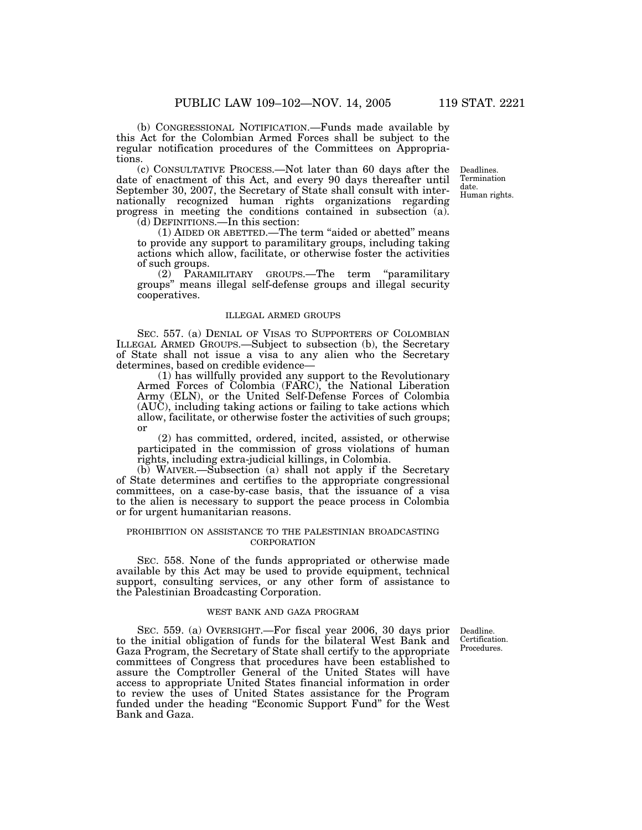(b) CONGRESSIONAL NOTIFICATION.—Funds made available by this Act for the Colombian Armed Forces shall be subject to the regular notification procedures of the Committees on Appropriations.

(c) CONSULTATIVE PROCESS.—Not later than 60 days after the date of enactment of this Act, and every 90 days thereafter until September 30, 2007, the Secretary of State shall consult with internationally recognized human rights organizations regarding progress in meeting the conditions contained in subsection (a).

(d) DEFINITIONS.—In this section:

(1) AIDED OR ABETTED.—The term ''aided or abetted'' means to provide any support to paramilitary groups, including taking actions which allow, facilitate, or otherwise foster the activities of such groups.

(2) PARAMILITARY GROUPS.—The term ''paramilitary groups'' means illegal self-defense groups and illegal security cooperatives.

### ILLEGAL ARMED GROUPS

SEC. 557. (a) DENIAL OF VISAS TO SUPPORTERS OF COLOMBIAN ILLEGAL ARMED GROUPS.—Subject to subsection (b), the Secretary of State shall not issue a visa to any alien who the Secretary determines, based on credible evidence—

(1) has willfully provided any support to the Revolutionary Armed Forces of Colombia (FARC), the National Liberation Army (ELN), or the United Self-Defense Forces of Colombia (AUC), including taking actions or failing to take actions which allow, facilitate, or otherwise foster the activities of such groups; or

(2) has committed, ordered, incited, assisted, or otherwise participated in the commission of gross violations of human rights, including extra-judicial killings, in Colombia.

(b) WAIVER.—Subsection (a) shall not apply if the Secretary of State determines and certifies to the appropriate congressional committees, on a case-by-case basis, that the issuance of a visa to the alien is necessary to support the peace process in Colombia or for urgent humanitarian reasons.

## PROHIBITION ON ASSISTANCE TO THE PALESTINIAN BROADCASTING **CORPORATION**

SEC. 558. None of the funds appropriated or otherwise made available by this Act may be used to provide equipment, technical support, consulting services, or any other form of assistance to the Palestinian Broadcasting Corporation.

## WEST BANK AND GAZA PROGRAM

Deadline. Certification. Procedures.

SEC. 559. (a) OVERSIGHT.—For fiscal year 2006, 30 days prior to the initial obligation of funds for the bilateral West Bank and Gaza Program, the Secretary of State shall certify to the appropriate committees of Congress that procedures have been established to assure the Comptroller General of the United States will have access to appropriate United States financial information in order to review the uses of United States assistance for the Program funded under the heading "Economic Support Fund" for the West Bank and Gaza.

Deadlines. Termination date. Human rights.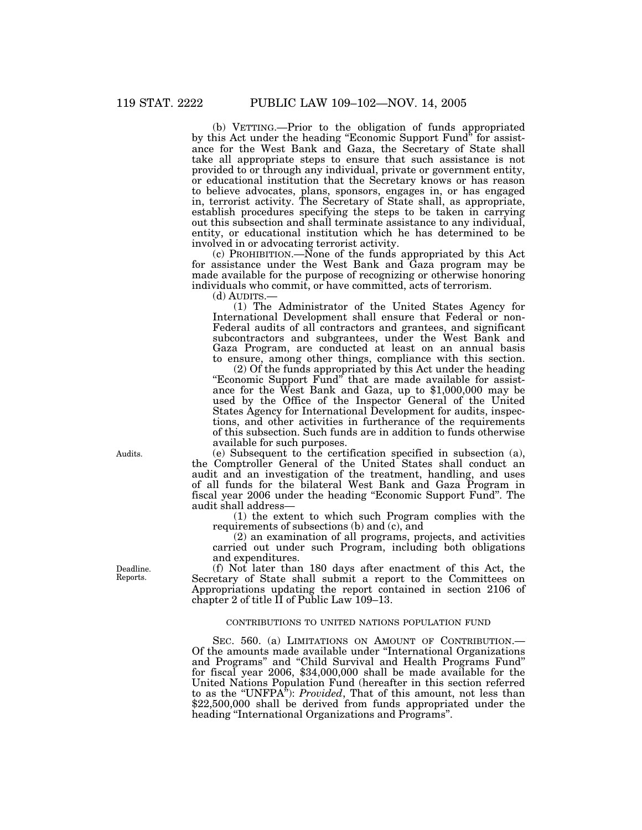(b) VETTING.—Prior to the obligation of funds appropriated by this Act under the heading ''Economic Support Fund'' for assistance for the West Bank and Gaza, the Secretary of State shall take all appropriate steps to ensure that such assistance is not provided to or through any individual, private or government entity, or educational institution that the Secretary knows or has reason to believe advocates, plans, sponsors, engages in, or has engaged in, terrorist activity. The Secretary of State shall, as appropriate, establish procedures specifying the steps to be taken in carrying out this subsection and shall terminate assistance to any individual, entity, or educational institution which he has determined to be involved in or advocating terrorist activity.

(c) PROHIBITION.—None of the funds appropriated by this Act for assistance under the West Bank and Gaza program may be made available for the purpose of recognizing or otherwise honoring individuals who commit, or have committed, acts of terrorism.

(d) AUDITS.—

(1) The Administrator of the United States Agency for International Development shall ensure that Federal or non-Federal audits of all contractors and grantees, and significant subcontractors and subgrantees, under the West Bank and Gaza Program, are conducted at least on an annual basis to ensure, among other things, compliance with this section.

(2) Of the funds appropriated by this Act under the heading "Economic Support Fund" that are made available for assistance for the West Bank and Gaza, up to \$1,000,000 may be used by the Office of the Inspector General of the United States Agency for International Development for audits, inspections, and other activities in furtherance of the requirements of this subsection. Such funds are in addition to funds otherwise available for such purposes.

(e) Subsequent to the certification specified in subsection (a), the Comptroller General of the United States shall conduct an audit and an investigation of the treatment, handling, and uses of all funds for the bilateral West Bank and Gaza Program in fiscal year 2006 under the heading ''Economic Support Fund''. The audit shall address—

(1) the extent to which such Program complies with the requirements of subsections (b) and (c), and

(2) an examination of all programs, projects, and activities carried out under such Program, including both obligations and expenditures.

(f) Not later than 180 days after enactment of this Act, the Secretary of State shall submit a report to the Committees on Appropriations updating the report contained in section 2106 of chapter 2 of title II of Public Law 109–13.

## CONTRIBUTIONS TO UNITED NATIONS POPULATION FUND

SEC. 560. (a) LIMITATIONS ON AMOUNT OF CONTRIBUTION. Of the amounts made available under ''International Organizations and Programs'' and ''Child Survival and Health Programs Fund'' for fiscal year 2006, \$34,000,000 shall be made available for the United Nations Population Fund (hereafter in this section referred to as the ''UNFPA''): *Provided*, That of this amount, not less than \$22,500,000 shall be derived from funds appropriated under the heading ''International Organizations and Programs''.

Deadline. Reports.

Audits.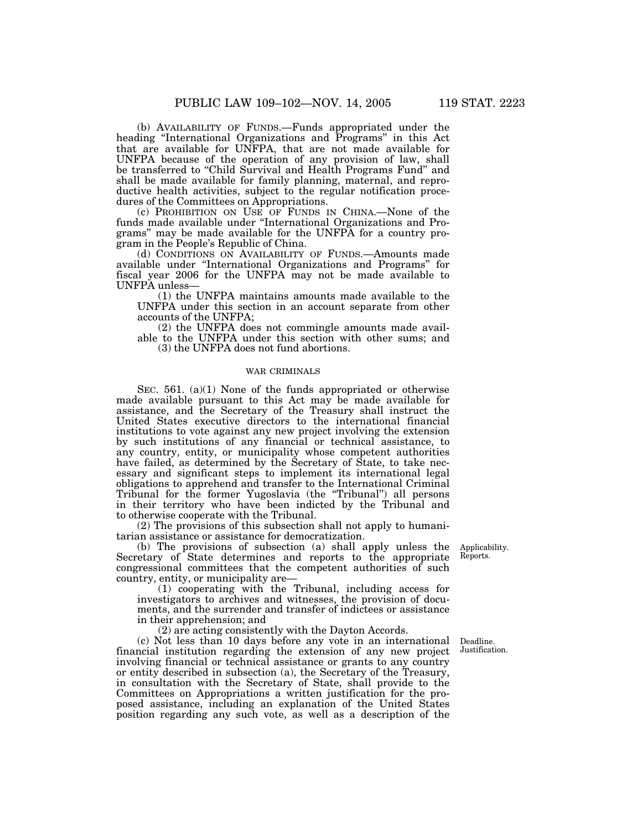(b) AVAILABILITY OF FUNDS.—Funds appropriated under the heading ''International Organizations and Programs'' in this Act that are available for UNFPA, that are not made available for UNFPA because of the operation of any provision of law, shall be transferred to ''Child Survival and Health Programs Fund'' and shall be made available for family planning, maternal, and reproductive health activities, subject to the regular notification procedures of the Committees on Appropriations.

(c) PROHIBITION ON USE OF FUNDS IN CHINA.—None of the funds made available under ''International Organizations and Programs'' may be made available for the UNFPA for a country program in the People's Republic of China.

(d) CONDITIONS ON AVAILABILITY OF FUNDS.—Amounts made available under ''International Organizations and Programs'' for fiscal year 2006 for the UNFPA may not be made available to UNFPA unless—

(1) the UNFPA maintains amounts made available to the UNFPA under this section in an account separate from other accounts of the UNFPA;

(2) the UNFPA does not commingle amounts made available to the UNFPA under this section with other sums; and (3) the UNFPA does not fund abortions.

# WAR CRIMINALS

SEC. 561. (a)(1) None of the funds appropriated or otherwise made available pursuant to this Act may be made available for assistance, and the Secretary of the Treasury shall instruct the United States executive directors to the international financial institutions to vote against any new project involving the extension by such institutions of any financial or technical assistance, to any country, entity, or municipality whose competent authorities have failed, as determined by the Secretary of State, to take necessary and significant steps to implement its international legal obligations to apprehend and transfer to the International Criminal Tribunal for the former Yugoslavia (the ''Tribunal'') all persons in their territory who have been indicted by the Tribunal and to otherwise cooperate with the Tribunal.

(2) The provisions of this subsection shall not apply to humanitarian assistance or assistance for democratization.

(b) The provisions of subsection (a) shall apply unless the Secretary of State determines and reports to the appropriate congressional committees that the competent authorities of such country, entity, or municipality are—

(1) cooperating with the Tribunal, including access for investigators to archives and witnesses, the provision of documents, and the surrender and transfer of indictees or assistance in their apprehension; and

(2) are acting consistently with the Dayton Accords.

(c) Not less than 10 days before any vote in an international financial institution regarding the extension of any new project involving financial or technical assistance or grants to any country or entity described in subsection (a), the Secretary of the Treasury, in consultation with the Secretary of State, shall provide to the Committees on Appropriations a written justification for the proposed assistance, including an explanation of the United States position regarding any such vote, as well as a description of the

Applicability. Reports.

Deadline. Justification.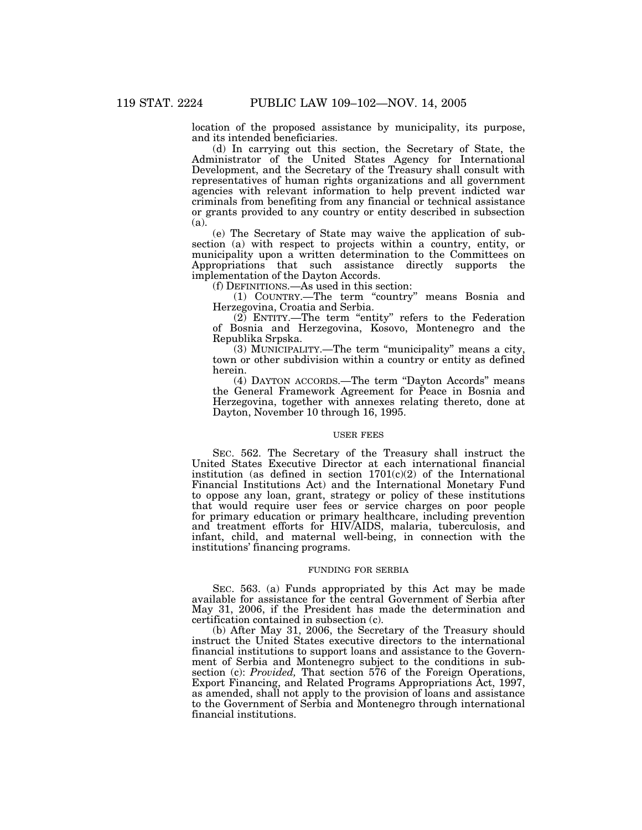location of the proposed assistance by municipality, its purpose, and its intended beneficiaries.

(d) In carrying out this section, the Secretary of State, the Administrator of the United States Agency for International Development, and the Secretary of the Treasury shall consult with representatives of human rights organizations and all government agencies with relevant information to help prevent indicted war criminals from benefiting from any financial or technical assistance or grants provided to any country or entity described in subsection (a).

(e) The Secretary of State may waive the application of subsection (a) with respect to projects within a country, entity, or municipality upon a written determination to the Committees on Appropriations that such assistance directly supports the implementation of the Dayton Accords.

(f) DEFINITIONS.—As used in this section:

(1) COUNTRY.—The term ''country'' means Bosnia and Herzegovina, Croatia and Serbia.

(2) ENTITY.—The term ''entity'' refers to the Federation of Bosnia and Herzegovina, Kosovo, Montenegro and the Republika Srpska.

(3) MUNICIPALITY.—The term ''municipality'' means a city, town or other subdivision within a country or entity as defined herein.

(4) DAYTON ACCORDS.—The term ''Dayton Accords'' means the General Framework Agreement for Peace in Bosnia and Herzegovina, together with annexes relating thereto, done at Dayton, November 10 through 16, 1995.

### USER FEES

SEC. 562. The Secretary of the Treasury shall instruct the United States Executive Director at each international financial institution (as defined in section  $1701(c)(2)$  of the International Financial Institutions Act) and the International Monetary Fund to oppose any loan, grant, strategy or policy of these institutions that would require user fees or service charges on poor people for primary education or primary healthcare, including prevention and treatment efforts for HIV/AIDS, malaria, tuberculosis, and infant, child, and maternal well-being, in connection with the institutions' financing programs.

## FUNDING FOR SERBIA

SEC. 563. (a) Funds appropriated by this Act may be made available for assistance for the central Government of Serbia after May 31, 2006, if the President has made the determination and certification contained in subsection (c).

(b) After May 31, 2006, the Secretary of the Treasury should instruct the United States executive directors to the international financial institutions to support loans and assistance to the Government of Serbia and Montenegro subject to the conditions in subsection (c): *Provided,* That section 576 of the Foreign Operations, Export Financing, and Related Programs Appropriations Act, 1997, as amended, shall not apply to the provision of loans and assistance to the Government of Serbia and Montenegro through international financial institutions.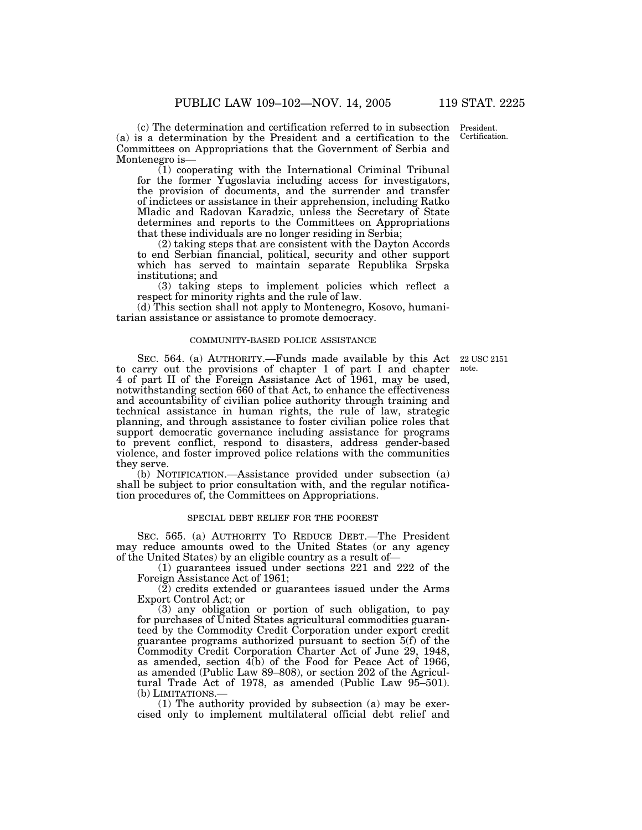President. Certification.

(c) The determination and certification referred to in subsection (a) is a determination by the President and a certification to the Committees on Appropriations that the Government of Serbia and Montenegro is—

(1) cooperating with the International Criminal Tribunal for the former Yugoslavia including access for investigators, the provision of documents, and the surrender and transfer of indictees or assistance in their apprehension, including Ratko Mladic and Radovan Karadzic, unless the Secretary of State determines and reports to the Committees on Appropriations that these individuals are no longer residing in Serbia;

(2) taking steps that are consistent with the Dayton Accords to end Serbian financial, political, security and other support which has served to maintain separate Republika Srpska institutions; and

(3) taking steps to implement policies which reflect a respect for minority rights and the rule of law.

(d) This section shall not apply to Montenegro, Kosovo, humanitarian assistance or assistance to promote democracy.

### COMMUNITY-BASED POLICE ASSISTANCE

22 USC 2151 note.

SEC. 564. (a) AUTHORITY.—Funds made available by this Act to carry out the provisions of chapter 1 of part I and chapter 4 of part II of the Foreign Assistance Act of 1961, may be used, notwithstanding section 660 of that Act, to enhance the effectiveness and accountability of civilian police authority through training and technical assistance in human rights, the rule of law, strategic planning, and through assistance to foster civilian police roles that support democratic governance including assistance for programs to prevent conflict, respond to disasters, address gender-based violence, and foster improved police relations with the communities they serve.

(b) NOTIFICATION.—Assistance provided under subsection (a) shall be subject to prior consultation with, and the regular notification procedures of, the Committees on Appropriations.

### SPECIAL DEBT RELIEF FOR THE POOREST

SEC. 565. (a) AUTHORITY TO REDUCE DEBT.—The President may reduce amounts owed to the United States (or any agency of the United States) by an eligible country as a result of—

(1) guarantees issued under sections 221 and 222 of the Foreign Assistance Act of 1961;

(2) credits extended or guarantees issued under the Arms Export Control Act; or

(3) any obligation or portion of such obligation, to pay for purchases of United States agricultural commodities guaranteed by the Commodity Credit Corporation under export credit guarantee programs authorized pursuant to section 5(f) of the Commodity Credit Corporation Charter Act of June 29, 1948, as amended, section 4(b) of the Food for Peace Act of 1966, as amended (Public Law 89–808), or section 202 of the Agricultural Trade Act of 1978, as amended (Public Law 95–501). (b) LIMITATIONS.—

(1) The authority provided by subsection (a) may be exercised only to implement multilateral official debt relief and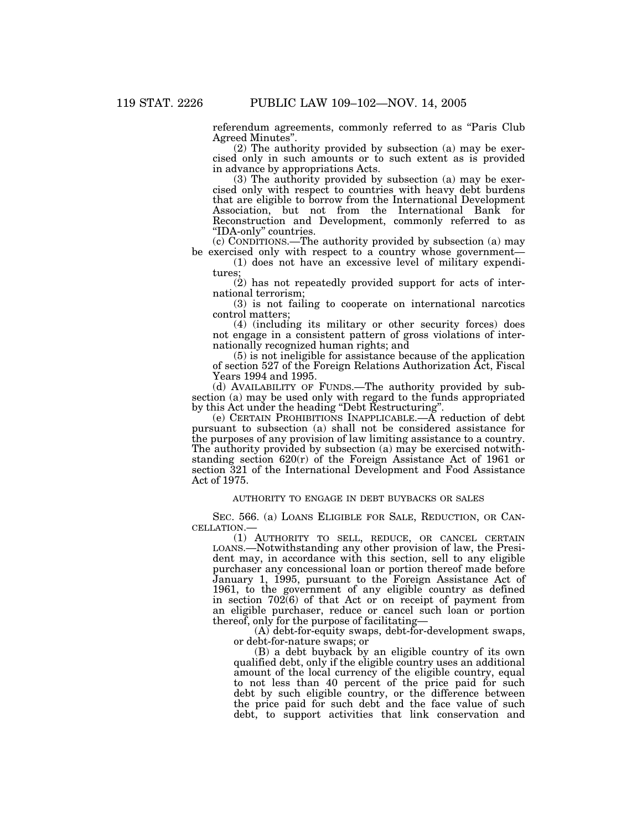referendum agreements, commonly referred to as "Paris Club Agreed Minutes''.

(2) The authority provided by subsection (a) may be exercised only in such amounts or to such extent as is provided in advance by appropriations Acts.

(3) The authority provided by subsection (a) may be exercised only with respect to countries with heavy debt burdens that are eligible to borrow from the International Development Association, but not from the International Bank for Reconstruction and Development, commonly referred to as "IDA-only" countries.

(c) CONDITIONS.—The authority provided by subsection (a) may be exercised only with respect to a country whose government—

(1) does not have an excessive level of military expenditures;

(2) has not repeatedly provided support for acts of international terrorism;

(3) is not failing to cooperate on international narcotics control matters;

(4) (including its military or other security forces) does not engage in a consistent pattern of gross violations of internationally recognized human rights; and

(5) is not ineligible for assistance because of the application of section 527 of the Foreign Relations Authorization Act, Fiscal Years 1994 and 1995.

(d) AVAILABILITY OF FUNDS.—The authority provided by subsection (a) may be used only with regard to the funds appropriated by this Act under the heading ''Debt Restructuring''.

(e) CERTAIN PROHIBITIONS INAPPLICABLE.—A reduction of debt pursuant to subsection (a) shall not be considered assistance for the purposes of any provision of law limiting assistance to a country. The authority provided by subsection (a) may be exercised notwithstanding section 620(r) of the Foreign Assistance Act of 1961 or section 321 of the International Development and Food Assistance Act of 1975.

# AUTHORITY TO ENGAGE IN DEBT BUYBACKS OR SALES

SEC. 566. (a) LOANS ELIGIBLE FOR SALE, REDUCTION, OR CANCELLATION.—

(1) AUTHORITY TO SELL, REDUCE, OR CANCEL CERTAIN LOANS.—Notwithstanding any other provision of law, the President may, in accordance with this section, sell to any eligible purchaser any concessional loan or portion thereof made before January 1, 1995, pursuant to the Foreign Assistance Act of 1961, to the government of any eligible country as defined in section 702(6) of that Act or on receipt of payment from an eligible purchaser, reduce or cancel such loan or portion thereof, only for the purpose of facilitating—

(A) debt-for-equity swaps, debt-for-development swaps, or debt-for-nature swaps; or

(B) a debt buyback by an eligible country of its own qualified debt, only if the eligible country uses an additional amount of the local currency of the eligible country, equal to not less than 40 percent of the price paid for such debt by such eligible country, or the difference between the price paid for such debt and the face value of such debt, to support activities that link conservation and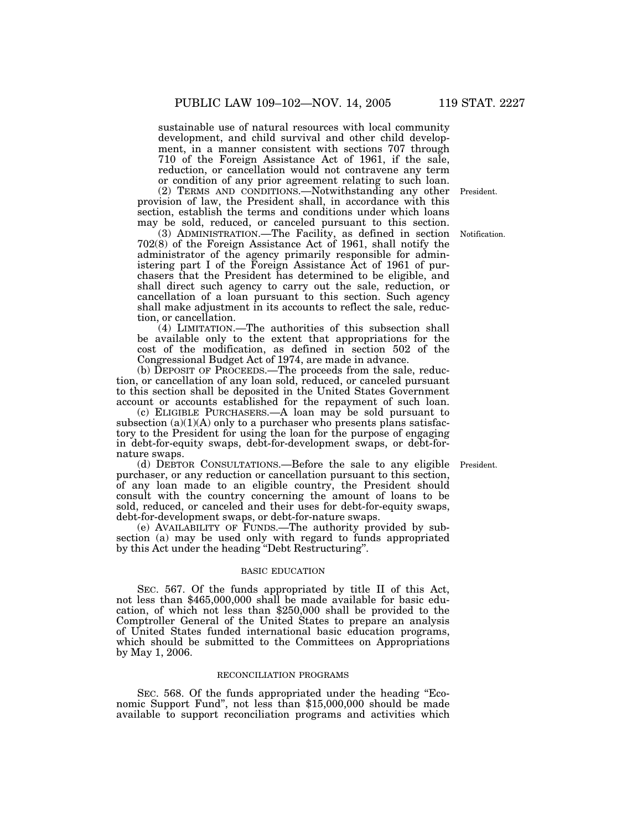sustainable use of natural resources with local community development, and child survival and other child development, in a manner consistent with sections 707 through 710 of the Foreign Assistance Act of 1961, if the sale, reduction, or cancellation would not contravene any term or condition of any prior agreement relating to such loan.

(2) TERMS AND CONDITIONS.—Notwithstanding any other President. provision of law, the President shall, in accordance with this section, establish the terms and conditions under which loans may be sold, reduced, or canceled pursuant to this section.

(3) ADMINISTRATION.—The Facility, as defined in section Notification. 702(8) of the Foreign Assistance Act of 1961, shall notify the administrator of the agency primarily responsible for administering part I of the Foreign Assistance Act of 1961 of purchasers that the President has determined to be eligible, and shall direct such agency to carry out the sale, reduction, or cancellation of a loan pursuant to this section. Such agency shall make adjustment in its accounts to reflect the sale, reduction, or cancellation.

(4) LIMITATION.—The authorities of this subsection shall be available only to the extent that appropriations for the cost of the modification, as defined in section 502 of the Congressional Budget Act of 1974, are made in advance.

(b) DEPOSIT OF PROCEEDS.—The proceeds from the sale, reduction, or cancellation of any loan sold, reduced, or canceled pursuant to this section shall be deposited in the United States Government account or accounts established for the repayment of such loan.

(c) ELIGIBLE PURCHASERS.—A loan may be sold pursuant to subsection  $(a)(1)(A)$  only to a purchaser who presents plans satisfactory to the President for using the loan for the purpose of engaging in debt-for-equity swaps, debt-for-development swaps, or debt-fornature swaps.

(d) DEBTOR CONSULTATIONS.—Before the sale to any eligible President. purchaser, or any reduction or cancellation pursuant to this section, of any loan made to an eligible country, the President should consult with the country concerning the amount of loans to be sold, reduced, or canceled and their uses for debt-for-equity swaps, debt-for-development swaps, or debt-for-nature swaps.

(e) AVAILABILITY OF FUNDS.—The authority provided by subsection (a) may be used only with regard to funds appropriated by this Act under the heading ''Debt Restructuring''.

## BASIC EDUCATION

SEC. 567. Of the funds appropriated by title II of this Act, not less than \$465,000,000 shall be made available for basic education, of which not less than \$250,000 shall be provided to the Comptroller General of the United States to prepare an analysis of United States funded international basic education programs, which should be submitted to the Committees on Appropriations by May 1, 2006.

## RECONCILIATION PROGRAMS

SEC. 568. Of the funds appropriated under the heading "Economic Support Fund'', not less than \$15,000,000 should be made available to support reconciliation programs and activities which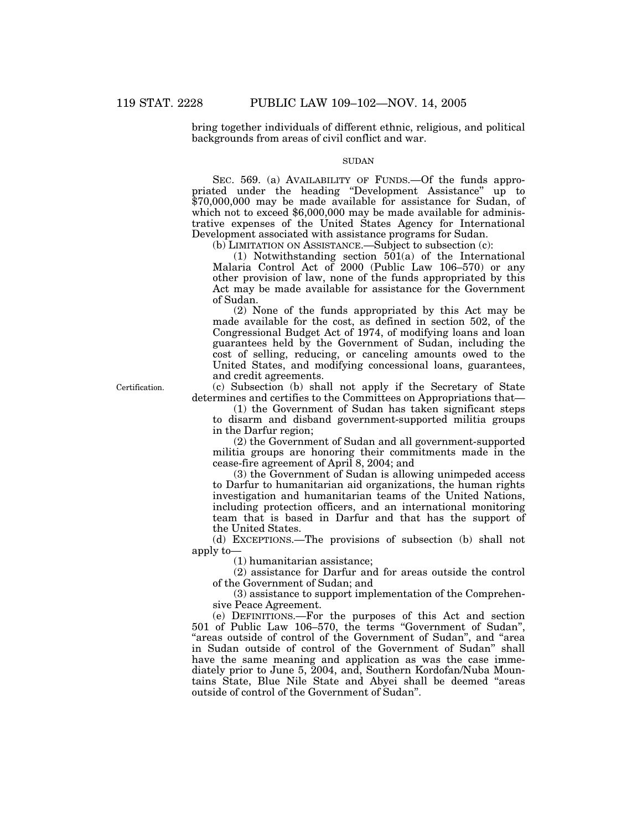bring together individuals of different ethnic, religious, and political backgrounds from areas of civil conflict and war.

# **SUDAN**

SEC. 569. (a) AVAILABILITY OF FUNDS.—Of the funds appropriated under the heading "Development Assistance" up to \$70,000,000 may be made available for assistance for Sudan, of which not to exceed \$6,000,000 may be made available for administrative expenses of the United States Agency for International Development associated with assistance programs for Sudan.

(b) LIMITATION ON ASSISTANCE.—Subject to subsection (c):

(1) Notwithstanding section 501(a) of the International Malaria Control Act of 2000 (Public Law 106–570) or any other provision of law, none of the funds appropriated by this Act may be made available for assistance for the Government of Sudan.

(2) None of the funds appropriated by this Act may be made available for the cost, as defined in section 502, of the Congressional Budget Act of 1974, of modifying loans and loan guarantees held by the Government of Sudan, including the cost of selling, reducing, or canceling amounts owed to the United States, and modifying concessional loans, guarantees, and credit agreements.

Certification.

(c) Subsection (b) shall not apply if the Secretary of State determines and certifies to the Committees on Appropriations that—

(1) the Government of Sudan has taken significant steps to disarm and disband government-supported militia groups in the Darfur region;

(2) the Government of Sudan and all government-supported militia groups are honoring their commitments made in the cease-fire agreement of April 8, 2004; and

(3) the Government of Sudan is allowing unimpeded access to Darfur to humanitarian aid organizations, the human rights investigation and humanitarian teams of the United Nations, including protection officers, and an international monitoring team that is based in Darfur and that has the support of the United States.

(d) EXCEPTIONS.—The provisions of subsection (b) shall not apply to—

(1) humanitarian assistance;

(2) assistance for Darfur and for areas outside the control of the Government of Sudan; and

(3) assistance to support implementation of the Comprehensive Peace Agreement.

(e) DEFINITIONS.—For the purposes of this Act and section 501 of Public Law 106–570, the terms ''Government of Sudan'', ''areas outside of control of the Government of Sudan'', and ''area in Sudan outside of control of the Government of Sudan'' shall have the same meaning and application as was the case immediately prior to June 5, 2004, and, Southern Kordofan/Nuba Mountains State, Blue Nile State and Abyei shall be deemed ''areas outside of control of the Government of Sudan''.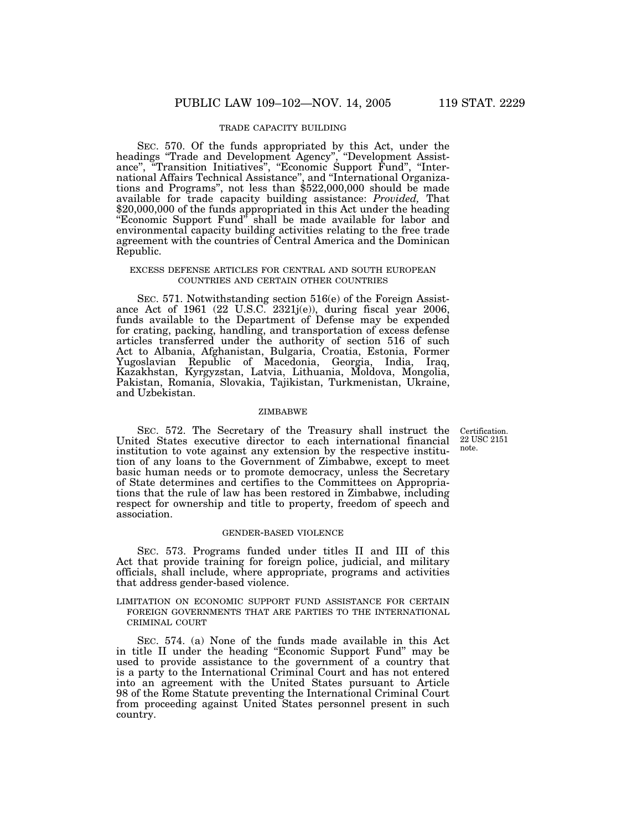## TRADE CAPACITY BUILDING

SEC. 570. Of the funds appropriated by this Act, under the headings ''Trade and Development Agency'', ''Development Assistance'', ''Transition Initiatives'', ''Economic Support Fund'', ''International Affairs Technical Assistance'', and ''International Organizations and Programs'', not less than \$522,000,000 should be made available for trade capacity building assistance: *Provided,* That \$20,000,000 of the funds appropriated in this Act under the heading "Economic Support Fund" shall be made available for labor and environmental capacity building activities relating to the free trade agreement with the countries of Central America and the Dominican Republic.

## EXCESS DEFENSE ARTICLES FOR CENTRAL AND SOUTH EUROPEAN COUNTRIES AND CERTAIN OTHER COUNTRIES

SEC. 571. Notwithstanding section 516(e) of the Foreign Assistance Act of 1961 (22 U.S.C. 2321j(e)), during fiscal year 2006, funds available to the Department of Defense may be expended for crating, packing, handling, and transportation of excess defense articles transferred under the authority of section 516 of such Act to Albania, Afghanistan, Bulgaria, Croatia, Estonia, Former Yugoslavian Republic of Macedonia, Georgia, India, Iraq, Kazakhstan, Kyrgyzstan, Latvia, Lithuania, Moldova, Mongolia, Pakistan, Romania, Slovakia, Tajikistan, Turkmenistan, Ukraine, and Uzbekistan.

#### ZIMBABWE

Certification. 22 USC 2151 note.

SEC. 572. The Secretary of the Treasury shall instruct the United States executive director to each international financial institution to vote against any extension by the respective institution of any loans to the Government of Zimbabwe, except to meet basic human needs or to promote democracy, unless the Secretary of State determines and certifies to the Committees on Appropriations that the rule of law has been restored in Zimbabwe, including respect for ownership and title to property, freedom of speech and association.

#### GENDER-BASED VIOLENCE

SEC. 573. Programs funded under titles II and III of this Act that provide training for foreign police, judicial, and military officials, shall include, where appropriate, programs and activities that address gender-based violence.

LIMITATION ON ECONOMIC SUPPORT FUND ASSISTANCE FOR CERTAIN FOREIGN GOVERNMENTS THAT ARE PARTIES TO THE INTERNATIONAL CRIMINAL COURT

SEC. 574. (a) None of the funds made available in this Act in title II under the heading ''Economic Support Fund'' may be used to provide assistance to the government of a country that is a party to the International Criminal Court and has not entered into an agreement with the United States pursuant to Article 98 of the Rome Statute preventing the International Criminal Court from proceeding against United States personnel present in such country.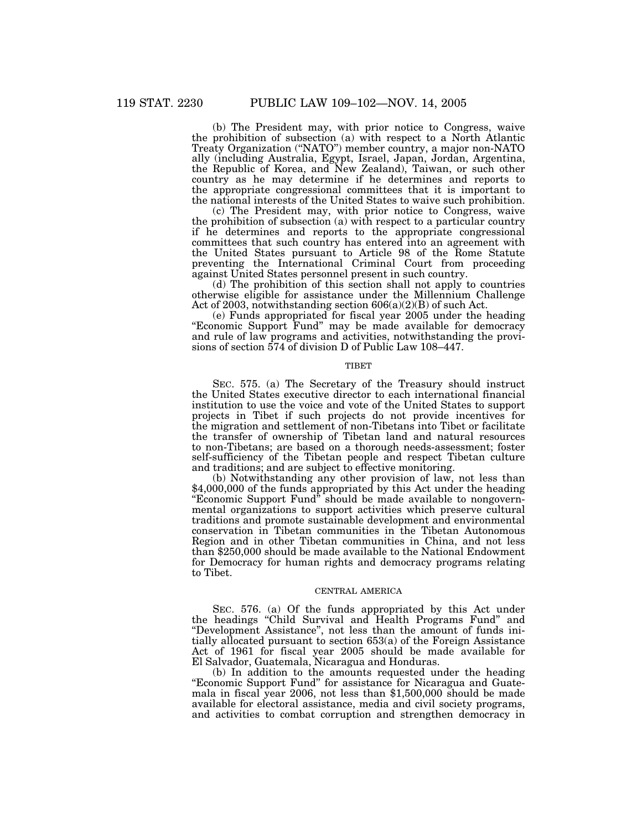(b) The President may, with prior notice to Congress, waive the prohibition of subsection (a) with respect to a North Atlantic Treaty Organization (''NATO'') member country, a major non-NATO ally (including Australia, Egypt, Israel, Japan, Jordan, Argentina, the Republic of Korea, and New Zealand), Taiwan, or such other country as he may determine if he determines and reports to the appropriate congressional committees that it is important to the national interests of the United States to waive such prohibition.

(c) The President may, with prior notice to Congress, waive the prohibition of subsection (a) with respect to a particular country if he determines and reports to the appropriate congressional committees that such country has entered into an agreement with the United States pursuant to Article 98 of the Rome Statute preventing the International Criminal Court from proceeding against United States personnel present in such country.

(d) The prohibition of this section shall not apply to countries otherwise eligible for assistance under the Millennium Challenge Act of 2003, notwithstanding section 606(a)(2)(B) of such Act.

(e) Funds appropriated for fiscal year 2005 under the heading "Economic Support Fund" may be made available for democracy and rule of law programs and activities, notwithstanding the provisions of section 574 of division D of Public Law 108–447.

#### **TIBET**

SEC. 575. (a) The Secretary of the Treasury should instruct the United States executive director to each international financial institution to use the voice and vote of the United States to support projects in Tibet if such projects do not provide incentives for the migration and settlement of non-Tibetans into Tibet or facilitate the transfer of ownership of Tibetan land and natural resources to non-Tibetans; are based on a thorough needs-assessment; foster self-sufficiency of the Tibetan people and respect Tibetan culture and traditions; and are subject to effective monitoring.

(b) Notwithstanding any other provision of law, not less than \$4,000,000 of the funds appropriated by this Act under the heading ''Economic Support Fund'' should be made available to nongovernmental organizations to support activities which preserve cultural traditions and promote sustainable development and environmental conservation in Tibetan communities in the Tibetan Autonomous Region and in other Tibetan communities in China, and not less than \$250,000 should be made available to the National Endowment for Democracy for human rights and democracy programs relating to Tibet.

### CENTRAL AMERICA

SEC. 576. (a) Of the funds appropriated by this Act under the headings ''Child Survival and Health Programs Fund'' and ''Development Assistance'', not less than the amount of funds initially allocated pursuant to section 653(a) of the Foreign Assistance Act of 1961 for fiscal year 2005 should be made available for El Salvador, Guatemala, Nicaragua and Honduras.

(b) In addition to the amounts requested under the heading ''Economic Support Fund'' for assistance for Nicaragua and Guatemala in fiscal year 2006, not less than \$1,500,000 should be made available for electoral assistance, media and civil society programs, and activities to combat corruption and strengthen democracy in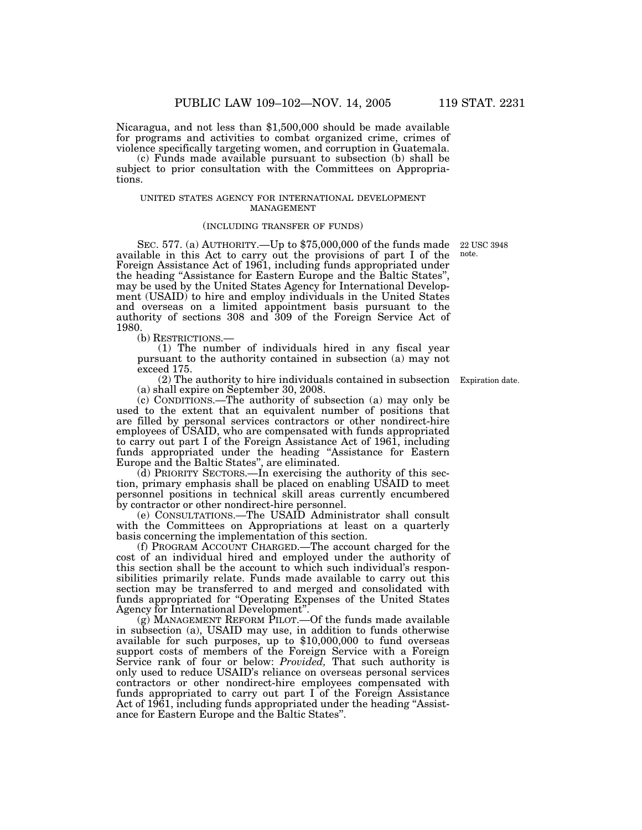Nicaragua, and not less than \$1,500,000 should be made available for programs and activities to combat organized crime, crimes of violence specifically targeting women, and corruption in Guatemala.

(c) Funds made available pursuant to subsection (b) shall be subject to prior consultation with the Committees on Appropriations.

#### UNITED STATES AGENCY FOR INTERNATIONAL DEVELOPMENT MANAGEMENT

### (INCLUDING TRANSFER OF FUNDS)

note.

SEC. 577. (a) AUTHORITY.—Up to \$75,000,000 of the funds made 22 USC 3948 available in this Act to carry out the provisions of part I of the Foreign Assistance Act of 1961, including funds appropriated under the heading ''Assistance for Eastern Europe and the Baltic States'', may be used by the United States Agency for International Development (USAID) to hire and employ individuals in the United States and overseas on a limited appointment basis pursuant to the authority of sections 308 and 309 of the Foreign Service Act of 1980.<br>(b) RESTRICTIONS.—

 $(1)$  The number of individuals hired in any fiscal year pursuant to the authority contained in subsection (a) may not exceed 175.

(2) The authority to hire individuals contained in subsection Expiration date. (a) shall expire on September 30, 2008.

(c) CONDITIONS.—The authority of subsection (a) may only be used to the extent that an equivalent number of positions that are filled by personal services contractors or other nondirect-hire employees of USAID, who are compensated with funds appropriated to carry out part I of the Foreign Assistance Act of 1961, including funds appropriated under the heading ''Assistance for Eastern Europe and the Baltic States'', are eliminated.

(d) PRIORITY SECTORS.—In exercising the authority of this section, primary emphasis shall be placed on enabling USAID to meet personnel positions in technical skill areas currently encumbered by contractor or other nondirect-hire personnel.

(e) CONSULTATIONS.—The USAID Administrator shall consult with the Committees on Appropriations at least on a quarterly basis concerning the implementation of this section.

(f) PROGRAM ACCOUNT CHARGED.—The account charged for the cost of an individual hired and employed under the authority of this section shall be the account to which such individual's responsibilities primarily relate. Funds made available to carry out this section may be transferred to and merged and consolidated with funds appropriated for ''Operating Expenses of the United States Agency for International Development''.

(g) MANAGEMENT REFORM PILOT.—Of the funds made available in subsection (a), USAID may use, in addition to funds otherwise available for such purposes, up to \$10,000,000 to fund overseas support costs of members of the Foreign Service with a Foreign Service rank of four or below: *Provided,* That such authority is only used to reduce USAID's reliance on overseas personal services contractors or other nondirect-hire employees compensated with funds appropriated to carry out part I of the Foreign Assistance Act of 1961, including funds appropriated under the heading "Assistance for Eastern Europe and the Baltic States''.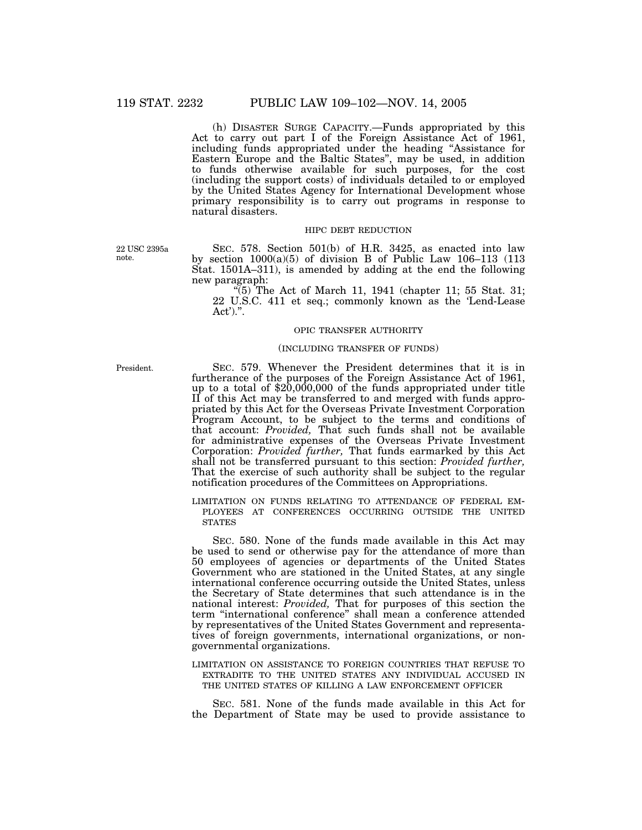(h) DISASTER SURGE CAPACITY.—Funds appropriated by this Act to carry out part I of the Foreign Assistance Act of 1961, including funds appropriated under the heading ''Assistance for Eastern Europe and the Baltic States'', may be used, in addition to funds otherwise available for such purposes, for the cost (including the support costs) of individuals detailed to or employed by the United States Agency for International Development whose primary responsibility is to carry out programs in response to natural disasters.

## HIPC DEBT REDUCTION

22 USC 2395a note.

SEC. 578. Section 501(b) of H.R. 3425, as enacted into law by section 1000(a)(5) of division B of Public Law 106–113 (113 Stat. 1501A–311), is amended by adding at the end the following new paragraph:

 $\sqrt[4]{(5)}$  The Act of March 11, 1941 (chapter 11; 55 Stat. 31; 22 U.S.C. 411 et seq.; commonly known as the 'Lend-Lease Act').''.

## OPIC TRANSFER AUTHORITY

## (INCLUDING TRANSFER OF FUNDS)

President.

SEC. 579. Whenever the President determines that it is in furtherance of the purposes of the Foreign Assistance Act of 1961, up to a total of \$20,000,000 of the funds appropriated under title II of this Act may be transferred to and merged with funds appropriated by this Act for the Overseas Private Investment Corporation Program Account, to be subject to the terms and conditions of that account: *Provided,* That such funds shall not be available for administrative expenses of the Overseas Private Investment Corporation: *Provided further,* That funds earmarked by this Act shall not be transferred pursuant to this section: *Provided further,* That the exercise of such authority shall be subject to the regular notification procedures of the Committees on Appropriations.

LIMITATION ON FUNDS RELATING TO ATTENDANCE OF FEDERAL EM- PLOYEES AT CONFERENCES OCCURRING OUTSIDE THE UNITED STATES

SEC. 580. None of the funds made available in this Act may be used to send or otherwise pay for the attendance of more than 50 employees of agencies or departments of the United States Government who are stationed in the United States, at any single international conference occurring outside the United States, unless the Secretary of State determines that such attendance is in the national interest: *Provided,* That for purposes of this section the term ''international conference'' shall mean a conference attended by representatives of the United States Government and representatives of foreign governments, international organizations, or nongovernmental organizations.

LIMITATION ON ASSISTANCE TO FOREIGN COUNTRIES THAT REFUSE TO EXTRADITE TO THE UNITED STATES ANY INDIVIDUAL ACCUSED IN THE UNITED STATES OF KILLING A LAW ENFORCEMENT OFFICER

SEC. 581. None of the funds made available in this Act for the Department of State may be used to provide assistance to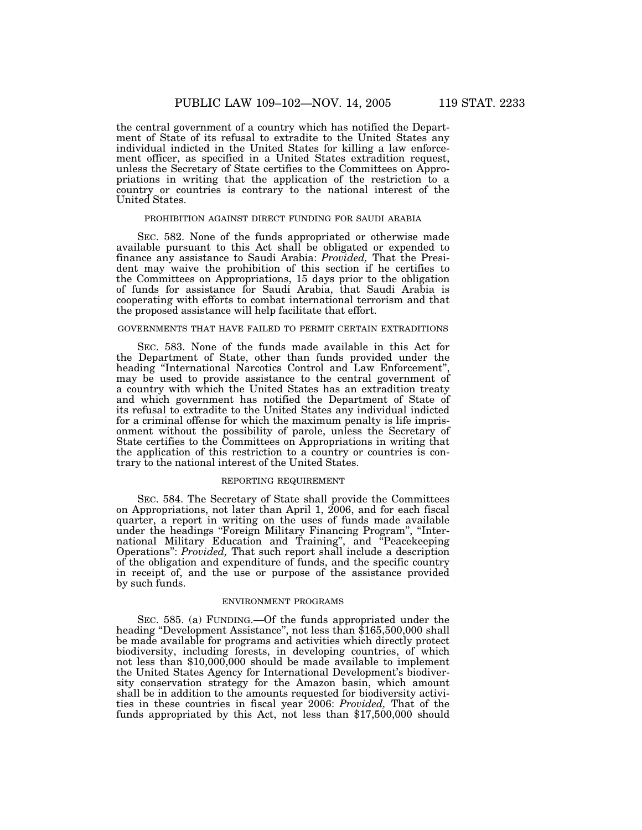the central government of a country which has notified the Department of State of its refusal to extradite to the United States any individual indicted in the United States for killing a law enforcement officer, as specified in a United States extradition request, unless the Secretary of State certifies to the Committees on Appropriations in writing that the application of the restriction to a country or countries is contrary to the national interest of the United States.

## PROHIBITION AGAINST DIRECT FUNDING FOR SAUDI ARABIA

SEC. 582. None of the funds appropriated or otherwise made available pursuant to this Act shall be obligated or expended to finance any assistance to Saudi Arabia: *Provided,* That the President may waive the prohibition of this section if he certifies to the Committees on Appropriations, 15 days prior to the obligation of funds for assistance for Saudi Arabia, that Saudi Arabia is cooperating with efforts to combat international terrorism and that the proposed assistance will help facilitate that effort.

## GOVERNMENTS THAT HAVE FAILED TO PERMIT CERTAIN EXTRADITIONS

SEC. 583. None of the funds made available in this Act for the Department of State, other than funds provided under the heading "International Narcotics Control and Law Enforcement". may be used to provide assistance to the central government of a country with which the United States has an extradition treaty and which government has notified the Department of State of its refusal to extradite to the United States any individual indicted for a criminal offense for which the maximum penalty is life imprisonment without the possibility of parole, unless the Secretary of State certifies to the Committees on Appropriations in writing that the application of this restriction to a country or countries is contrary to the national interest of the United States.

#### REPORTING REQUIREMENT

SEC. 584. The Secretary of State shall provide the Committees on Appropriations, not later than April 1, 2006, and for each fiscal quarter, a report in writing on the uses of funds made available under the headings ''Foreign Military Financing Program'', ''International Military Education and Training'', and ''Peacekeeping Operations'': *Provided,* That such report shall include a description of the obligation and expenditure of funds, and the specific country in receipt of, and the use or purpose of the assistance provided by such funds.

### ENVIRONMENT PROGRAMS

SEC. 585. (a) FUNDING.—Of the funds appropriated under the heading ''Development Assistance'', not less than \$165,500,000 shall be made available for programs and activities which directly protect biodiversity, including forests, in developing countries, of which not less than \$10,000,000 should be made available to implement the United States Agency for International Development's biodiversity conservation strategy for the Amazon basin, which amount shall be in addition to the amounts requested for biodiversity activities in these countries in fiscal year 2006: *Provided,* That of the funds appropriated by this Act, not less than \$17,500,000 should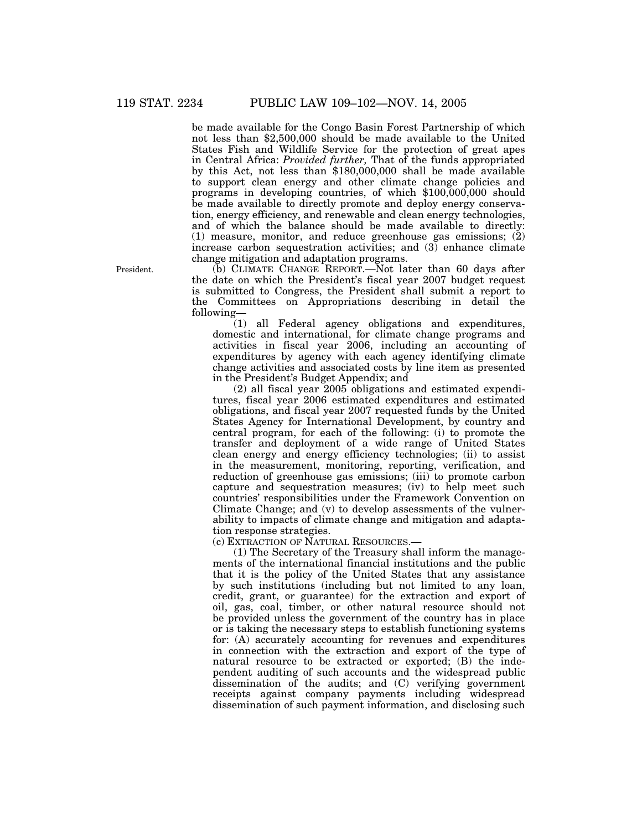be made available for the Congo Basin Forest Partnership of which not less than \$2,500,000 should be made available to the United States Fish and Wildlife Service for the protection of great apes in Central Africa: *Provided further,* That of the funds appropriated by this Act, not less than \$180,000,000 shall be made available to support clean energy and other climate change policies and programs in developing countries, of which \$100,000,000 should be made available to directly promote and deploy energy conservation, energy efficiency, and renewable and clean energy technologies, and of which the balance should be made available to directly: (1) measure, monitor, and reduce greenhouse gas emissions; (2) increase carbon sequestration activities; and (3) enhance climate change mitigation and adaptation programs.

(b) CLIMATE CHANGE REPORT.—Not later than 60 days after the date on which the President's fiscal year 2007 budget request is submitted to Congress, the President shall submit a report to the Committees on Appropriations describing in detail the following—

(1) all Federal agency obligations and expenditures, domestic and international, for climate change programs and activities in fiscal year 2006, including an accounting of expenditures by agency with each agency identifying climate change activities and associated costs by line item as presented in the President's Budget Appendix; and

(2) all fiscal year 2005 obligations and estimated expenditures, fiscal year 2006 estimated expenditures and estimated obligations, and fiscal year 2007 requested funds by the United States Agency for International Development, by country and central program, for each of the following: (i) to promote the transfer and deployment of a wide range of United States clean energy and energy efficiency technologies; (ii) to assist in the measurement, monitoring, reporting, verification, and reduction of greenhouse gas emissions; (iii) to promote carbon capture and sequestration measures; (iv) to help meet such countries' responsibilities under the Framework Convention on Climate Change; and (v) to develop assessments of the vulnerability to impacts of climate change and mitigation and adaptation response strategies.

(c) EXTRACTION OF NATURAL RESOURCES.—

(1) The Secretary of the Treasury shall inform the managements of the international financial institutions and the public that it is the policy of the United States that any assistance by such institutions (including but not limited to any loan, credit, grant, or guarantee) for the extraction and export of oil, gas, coal, timber, or other natural resource should not be provided unless the government of the country has in place or is taking the necessary steps to establish functioning systems for: (A) accurately accounting for revenues and expenditures in connection with the extraction and export of the type of natural resource to be extracted or exported; (B) the independent auditing of such accounts and the widespread public dissemination of the audits; and (C) verifying government receipts against company payments including widespread dissemination of such payment information, and disclosing such

President.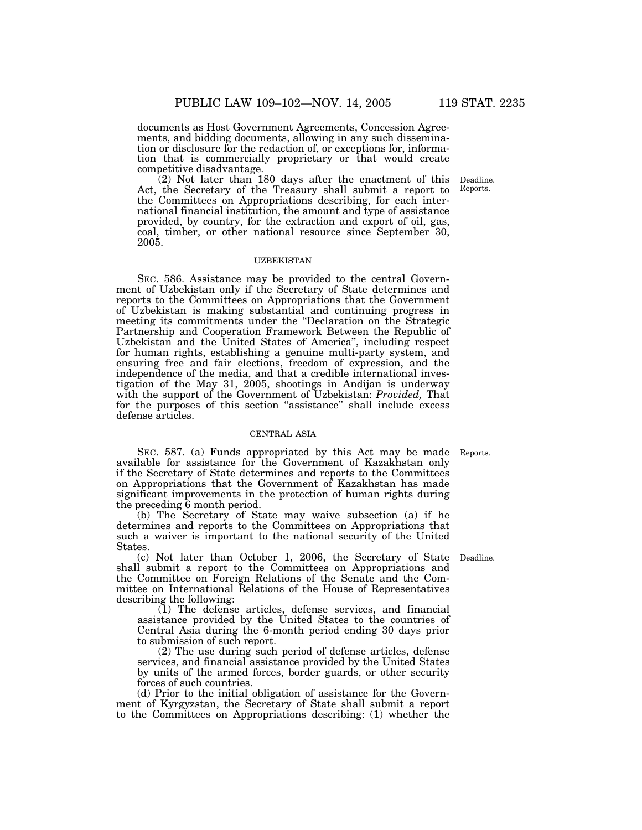documents as Host Government Agreements, Concession Agreements, and bidding documents, allowing in any such dissemination or disclosure for the redaction of, or exceptions for, information that is commercially proprietary or that would create competitive disadvantage.

(2) Not later than 180 days after the enactment of this Act, the Secretary of the Treasury shall submit a report to the Committees on Appropriations describing, for each international financial institution, the amount and type of assistance provided, by country, for the extraction and export of oil, gas, coal, timber, or other national resource since September 30, 2005.

### UZBEKISTAN

SEC. 586. Assistance may be provided to the central Government of Uzbekistan only if the Secretary of State determines and reports to the Committees on Appropriations that the Government of Uzbekistan is making substantial and continuing progress in meeting its commitments under the ''Declaration on the Strategic Partnership and Cooperation Framework Between the Republic of Uzbekistan and the United States of America'', including respect for human rights, establishing a genuine multi-party system, and ensuring free and fair elections, freedom of expression, and the independence of the media, and that a credible international investigation of the May 31, 2005, shootings in Andijan is underway with the support of the Government of Uzbekistan: *Provided,* That for the purposes of this section "assistance" shall include excess defense articles.

#### CENTRAL ASIA

SEC. 587. (a) Funds appropriated by this Act may be made Reports. available for assistance for the Government of Kazakhstan only if the Secretary of State determines and reports to the Committees on Appropriations that the Government of Kazakhstan has made significant improvements in the protection of human rights during the preceding 6 month period.

(b) The Secretary of State may waive subsection (a) if he determines and reports to the Committees on Appropriations that such a waiver is important to the national security of the United States.

(c) Not later than October 1, 2006, the Secretary of State Deadline. shall submit a report to the Committees on Appropriations and the Committee on Foreign Relations of the Senate and the Committee on International Relations of the House of Representatives describing the following:

(1) The defense articles, defense services, and financial assistance provided by the United States to the countries of Central Asia during the 6-month period ending 30 days prior to submission of such report.

(2) The use during such period of defense articles, defense services, and financial assistance provided by the United States by units of the armed forces, border guards, or other security forces of such countries.

(d) Prior to the initial obligation of assistance for the Government of Kyrgyzstan, the Secretary of State shall submit a report to the Committees on Appropriations describing: (1) whether the

Deadline. Reports.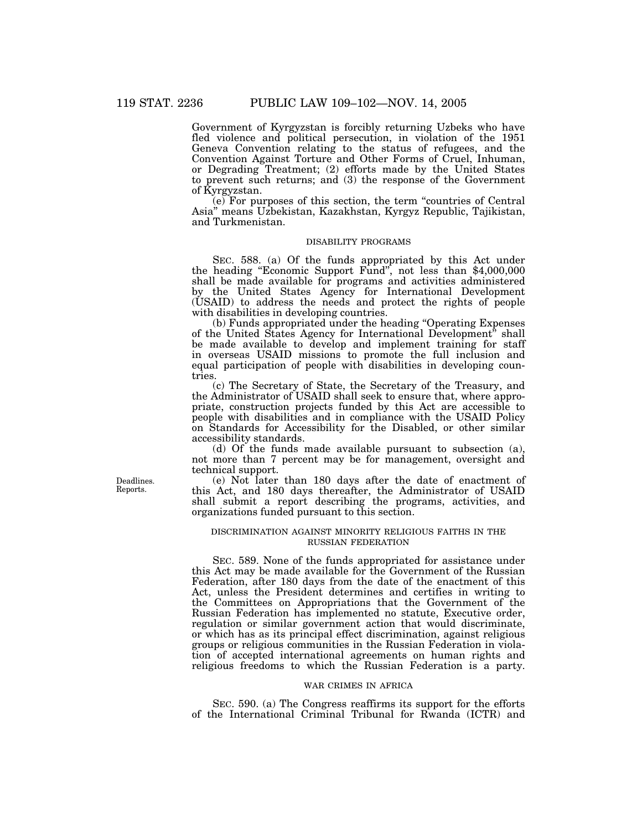Government of Kyrgyzstan is forcibly returning Uzbeks who have fled violence and political persecution, in violation of the 1951 Geneva Convention relating to the status of refugees, and the Convention Against Torture and Other Forms of Cruel, Inhuman, or Degrading Treatment; (2) efforts made by the United States to prevent such returns; and (3) the response of the Government of Kyrgyzstan.

(e) For purposes of this section, the term ''countries of Central Asia'' means Uzbekistan, Kazakhstan, Kyrgyz Republic, Tajikistan, and Turkmenistan.

# DISABILITY PROGRAMS

SEC. 588. (a) Of the funds appropriated by this Act under the heading ''Economic Support Fund'', not less than \$4,000,000 shall be made available for programs and activities administered by the United States Agency for International Development (USAID) to address the needs and protect the rights of people with disabilities in developing countries.

(b) Funds appropriated under the heading ''Operating Expenses of the United States Agency for International Development'' shall be made available to develop and implement training for staff in overseas USAID missions to promote the full inclusion and equal participation of people with disabilities in developing countries.

(c) The Secretary of State, the Secretary of the Treasury, and the Administrator of USAID shall seek to ensure that, where appropriate, construction projects funded by this Act are accessible to people with disabilities and in compliance with the USAID Policy on Standards for Accessibility for the Disabled, or other similar accessibility standards.

(d) Of the funds made available pursuant to subsection (a), not more than 7 percent may be for management, oversight and technical support.

(e) Not later than 180 days after the date of enactment of this Act, and 180 days thereafter, the Administrator of USAID shall submit a report describing the programs, activities, and organizations funded pursuant to this section.

## DISCRIMINATION AGAINST MINORITY RELIGIOUS FAITHS IN THE RUSSIAN FEDERATION

SEC. 589. None of the funds appropriated for assistance under this Act may be made available for the Government of the Russian Federation, after 180 days from the date of the enactment of this Act, unless the President determines and certifies in writing to the Committees on Appropriations that the Government of the Russian Federation has implemented no statute, Executive order, regulation or similar government action that would discriminate, or which has as its principal effect discrimination, against religious groups or religious communities in the Russian Federation in violation of accepted international agreements on human rights and religious freedoms to which the Russian Federation is a party.

#### WAR CRIMES IN AFRICA

SEC. 590. (a) The Congress reaffirms its support for the efforts of the International Criminal Tribunal for Rwanda (ICTR) and

Deadlines. Reports.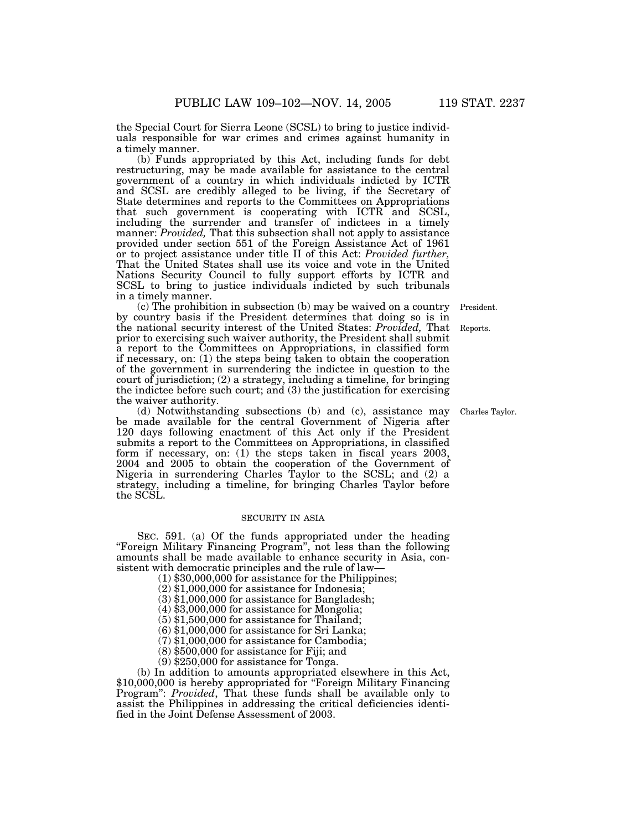the Special Court for Sierra Leone (SCSL) to bring to justice individuals responsible for war crimes and crimes against humanity in a timely manner.

(b) Funds appropriated by this Act, including funds for debt restructuring, may be made available for assistance to the central government of a country in which individuals indicted by ICTR and SCSL are credibly alleged to be living, if the Secretary of State determines and reports to the Committees on Appropriations that such government is cooperating with ICTR and SCSL, including the surrender and transfer of indictees in a timely manner: *Provided,* That this subsection shall not apply to assistance provided under section 551 of the Foreign Assistance Act of 1961 or to project assistance under title II of this Act: *Provided further,* That the United States shall use its voice and vote in the United Nations Security Council to fully support efforts by ICTR and SCSL to bring to justice individuals indicted by such tribunals in a timely manner.

(c) The prohibition in subsection (b) may be waived on a country by country basis if the President determines that doing so is in the national security interest of the United States: *Provided,* That prior to exercising such waiver authority, the President shall submit a report to the Committees on Appropriations, in classified form if necessary, on: (1) the steps being taken to obtain the cooperation of the government in surrendering the indictee in question to the court of jurisdiction; (2) a strategy, including a timeline, for bringing the indictee before such court; and (3) the justification for exercising the waiver authority.

(d) Notwithstanding subsections (b) and (c), assistance may be made available for the central Government of Nigeria after 120 days following enactment of this Act only if the President submits a report to the Committees on Appropriations, in classified form if necessary, on: (1) the steps taken in fiscal years 2003, 2004 and 2005 to obtain the cooperation of the Government of Nigeria in surrendering Charles Taylor to the SCSL; and (2) a strategy, including a timeline, for bringing Charles Taylor before the SCSL.

## SECURITY IN ASIA

SEC. 591. (a) Of the funds appropriated under the heading ''Foreign Military Financing Program'', not less than the following amounts shall be made available to enhance security in Asia, consistent with democratic principles and the rule of law—

- (1) \$30,000,000 for assistance for the Philippines;
- (2) \$1,000,000 for assistance for Indonesia;
- (3) \$1,000,000 for assistance for Bangladesh;
- (4) \$3,000,000 for assistance for Mongolia;
- $(5)$  \$1,500,000 for assistance for Thailand;
- (6) \$1,000,000 for assistance for Sri Lanka;
- (7) \$1,000,000 for assistance for Cambodia;
- (8) \$500,000 for assistance for Fiji; and
- (9) \$250,000 for assistance for Tonga.

(b) In addition to amounts appropriated elsewhere in this Act, \$10,000,000 is hereby appropriated for "Foreign Military Financing Program'': *Provided*, That these funds shall be available only to assist the Philippines in addressing the critical deficiencies identified in the Joint Defense Assessment of 2003.

President.

Reports.

Charles Taylor.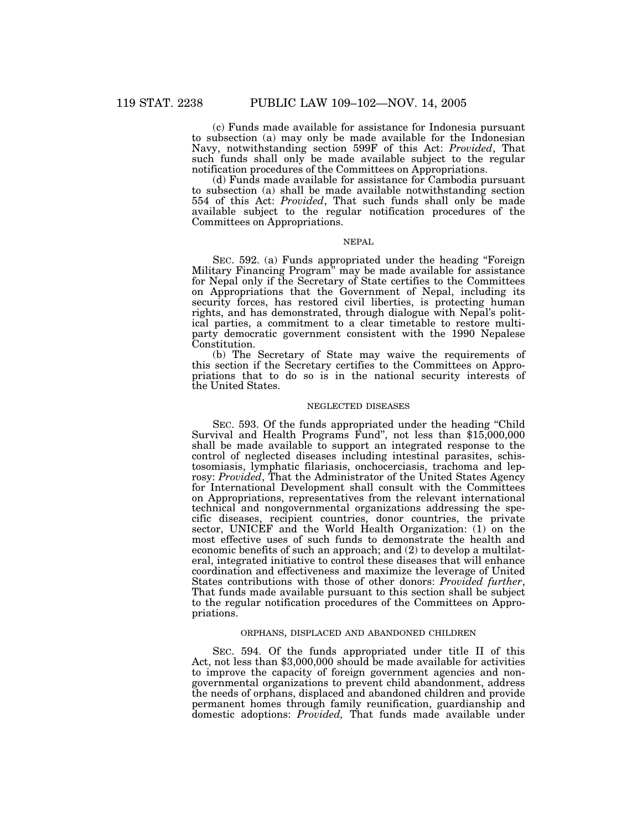(c) Funds made available for assistance for Indonesia pursuant to subsection (a) may only be made available for the Indonesian Navy, notwithstanding section 599F of this Act: *Provided*, That such funds shall only be made available subject to the regular notification procedures of the Committees on Appropriations.

(d) Funds made available for assistance for Cambodia pursuant to subsection (a) shall be made available notwithstanding section 554 of this Act: *Provided*, That such funds shall only be made available subject to the regular notification procedures of the Committees on Appropriations.

# NEPAL

SEC. 592. (a) Funds appropriated under the heading "Foreign Military Financing Program'' may be made available for assistance for Nepal only if the Secretary of State certifies to the Committees on Appropriations that the Government of Nepal, including its security forces, has restored civil liberties, is protecting human rights, and has demonstrated, through dialogue with Nepal's political parties, a commitment to a clear timetable to restore multiparty democratic government consistent with the 1990 Nepalese Constitution.

(b) The Secretary of State may waive the requirements of this section if the Secretary certifies to the Committees on Appropriations that to do so is in the national security interests of the United States.

#### NEGLECTED DISEASES

SEC. 593. Of the funds appropriated under the heading ''Child Survival and Health Programs Fund'', not less than \$15,000,000 shall be made available to support an integrated response to the control of neglected diseases including intestinal parasites, schistosomiasis, lymphatic filariasis, onchocerciasis, trachoma and leprosy: *Provided*, That the Administrator of the United States Agency for International Development shall consult with the Committees on Appropriations, representatives from the relevant international technical and nongovernmental organizations addressing the specific diseases, recipient countries, donor countries, the private sector, UNICEF and the World Health Organization: (1) on the most effective uses of such funds to demonstrate the health and economic benefits of such an approach; and (2) to develop a multilateral, integrated initiative to control these diseases that will enhance coordination and effectiveness and maximize the leverage of United States contributions with those of other donors: *Provided further*, That funds made available pursuant to this section shall be subject to the regular notification procedures of the Committees on Appropriations.

## ORPHANS, DISPLACED AND ABANDONED CHILDREN

SEC. 594. Of the funds appropriated under title II of this Act, not less than \$3,000,000 should be made available for activities to improve the capacity of foreign government agencies and nongovernmental organizations to prevent child abandonment, address the needs of orphans, displaced and abandoned children and provide permanent homes through family reunification, guardianship and domestic adoptions: *Provided,* That funds made available under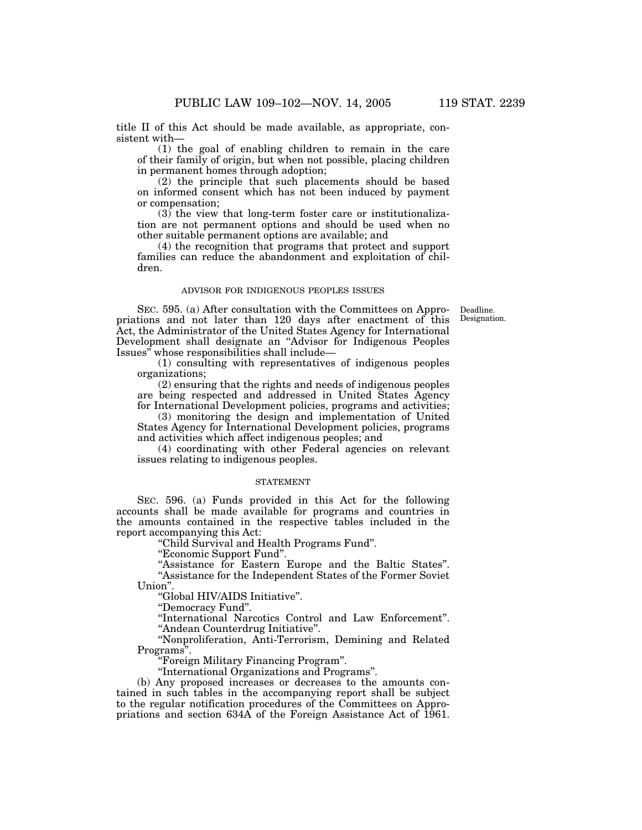title II of this Act should be made available, as appropriate, consistent with—

(1) the goal of enabling children to remain in the care of their family of origin, but when not possible, placing children in permanent homes through adoption;

(2) the principle that such placements should be based on informed consent which has not been induced by payment or compensation;

 $(3)$  the view that long-term foster care or institutionalization are not permanent options and should be used when no other suitable permanent options are available; and

(4) the recognition that programs that protect and support families can reduce the abandonment and exploitation of children.

#### ADVISOR FOR INDIGENOUS PEOPLES ISSUES

Deadline. Designation.

SEC. 595. (a) After consultation with the Committees on Appropriations and not later than 120 days after enactment of this Act, the Administrator of the United States Agency for International Development shall designate an ''Advisor for Indigenous Peoples Issues'' whose responsibilities shall include—

(1) consulting with representatives of indigenous peoples organizations;

(2) ensuring that the rights and needs of indigenous peoples are being respected and addressed in United States Agency for International Development policies, programs and activities;

(3) monitoring the design and implementation of United States Agency for International Development policies, programs and activities which affect indigenous peoples; and

(4) coordinating with other Federal agencies on relevant issues relating to indigenous peoples.

## STATEMENT

SEC. 596. (a) Funds provided in this Act for the following accounts shall be made available for programs and countries in the amounts contained in the respective tables included in the report accompanying this Act:

''Child Survival and Health Programs Fund''.

''Economic Support Fund''.

''Assistance for Eastern Europe and the Baltic States''. ''Assistance for the Independent States of the Former Soviet Union''.

''Global HIV/AIDS Initiative''.

''Democracy Fund''.

''International Narcotics Control and Law Enforcement''. ''Andean Counterdrug Initiative''.

''Nonproliferation, Anti-Terrorism, Demining and Related Programs''.

''Foreign Military Financing Program''.

''International Organizations and Programs''.

(b) Any proposed increases or decreases to the amounts contained in such tables in the accompanying report shall be subject to the regular notification procedures of the Committees on Appropriations and section 634A of the Foreign Assistance Act of 1961.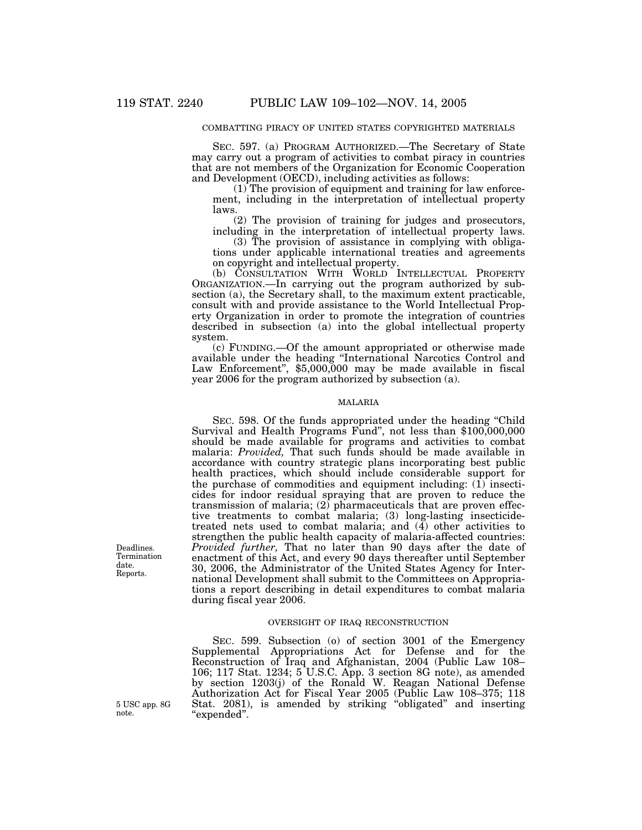## COMBATTING PIRACY OF UNITED STATES COPYRIGHTED MATERIALS

SEC. 597. (a) PROGRAM AUTHORIZED.—The Secretary of State may carry out a program of activities to combat piracy in countries that are not members of the Organization for Economic Cooperation and Development (OECD), including activities as follows:

(1) The provision of equipment and training for law enforcement, including in the interpretation of intellectual property laws.

(2) The provision of training for judges and prosecutors, including in the interpretation of intellectual property laws.

(3) The provision of assistance in complying with obligations under applicable international treaties and agreements on copyright and intellectual property.

(b) CONSULTATION WITH WORLD INTELLECTUAL PROPERTY ORGANIZATION.—In carrying out the program authorized by subsection (a), the Secretary shall, to the maximum extent practicable, consult with and provide assistance to the World Intellectual Property Organization in order to promote the integration of countries described in subsection (a) into the global intellectual property system.

(c) FUNDING.—Of the amount appropriated or otherwise made available under the heading ''International Narcotics Control and Law Enforcement", \$5,000,000 may be made available in fiscal year 2006 for the program authorized by subsection (a).

### MALARIA

SEC. 598. Of the funds appropriated under the heading ''Child Survival and Health Programs Fund'', not less than \$100,000,000 should be made available for programs and activities to combat malaria: *Provided,* That such funds should be made available in accordance with country strategic plans incorporating best public health practices, which should include considerable support for the purchase of commodities and equipment including:  $(1)$  insecticides for indoor residual spraying that are proven to reduce the transmission of malaria;  $(2)$  pharmaceuticals that are proven effective treatments to combat malaria; (3) long-lasting insecticidetreated nets used to combat malaria; and  $(4)$  other activities to strengthen the public health capacity of malaria-affected countries: *Provided further,* That no later than 90 days after the date of enactment of this Act, and every 90 days thereafter until September 30, 2006, the Administrator of the United States Agency for International Development shall submit to the Committees on Appropriations a report describing in detail expenditures to combat malaria during fiscal year 2006.

## OVERSIGHT OF IRAQ RECONSTRUCTION

SEC. 599. Subsection (o) of section 3001 of the Emergency Supplemental Appropriations Act for Defense and for the Reconstruction of Iraq and Afghanistan, 2004 (Public Law 108– 106; 117 Stat. 1234; 5 U.S.C. App. 3 section 8G note), as amended by section 1203(j) of the Ronald W. Reagan National Defense Authorization Act for Fiscal Year 2005 (Public Law 108–375; 118 Stat. 2081), is amended by striking ''obligated'' and inserting ''expended''.

Deadlines. Termination date. Reports.

5 USC app. 8G note.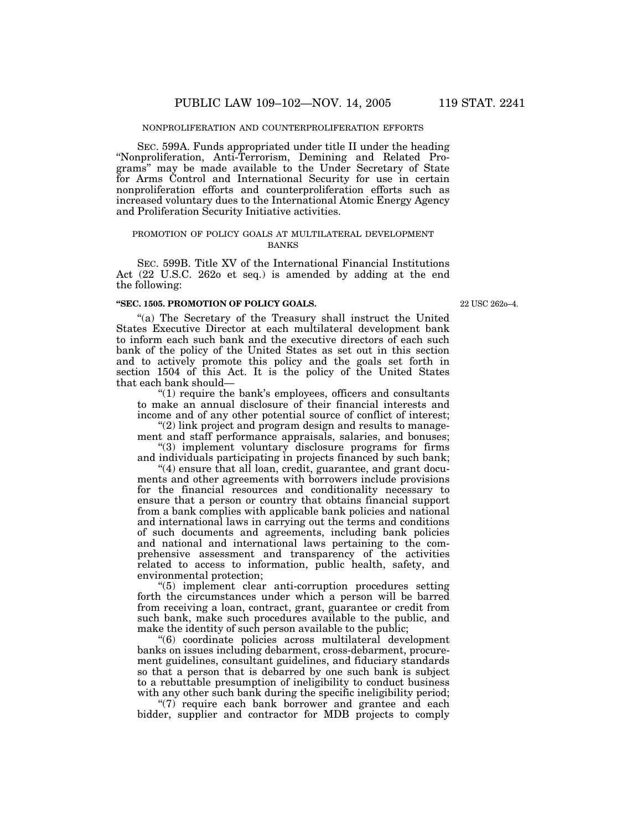SEC. 599A. Funds appropriated under title II under the heading ''Nonproliferation, Anti-Terrorism, Demining and Related Programs'' may be made available to the Under Secretary of State for Arms Control and International Security for use in certain nonproliferation efforts and counterproliferation efforts such as increased voluntary dues to the International Atomic Energy Agency and Proliferation Security Initiative activities.

### PROMOTION OF POLICY GOALS AT MULTILATERAL DEVELOPMENT **BANKS**

SEC. 599B. Title XV of the International Financial Institutions Act (22 U.S.C. 262o et seq.) is amended by adding at the end the following:

#### **''SEC. 1505. PROMOTION OF POLICY GOALS.**

22 USC 262o–4.

''(a) The Secretary of the Treasury shall instruct the United States Executive Director at each multilateral development bank to inform each such bank and the executive directors of each such bank of the policy of the United States as set out in this section and to actively promote this policy and the goals set forth in section 1504 of this Act. It is the policy of the United States that each bank should—

 $!(1)$  require the bank's employees, officers and consultants to make an annual disclosure of their financial interests and income and of any other potential source of conflict of interest;

"(2) link project and program design and results to management and staff performance appraisals, salaries, and bonuses;

"(3) implement voluntary disclosure programs for firms and individuals participating in projects financed by such bank;

"(4) ensure that all loan, credit, guarantee, and grant documents and other agreements with borrowers include provisions for the financial resources and conditionality necessary to ensure that a person or country that obtains financial support from a bank complies with applicable bank policies and national and international laws in carrying out the terms and conditions of such documents and agreements, including bank policies and national and international laws pertaining to the comprehensive assessment and transparency of the activities related to access to information, public health, safety, and environmental protection;

''(5) implement clear anti-corruption procedures setting forth the circumstances under which a person will be barred from receiving a loan, contract, grant, guarantee or credit from such bank, make such procedures available to the public, and make the identity of such person available to the public;

''(6) coordinate policies across multilateral development banks on issues including debarment, cross-debarment, procurement guidelines, consultant guidelines, and fiduciary standards so that a person that is debarred by one such bank is subject to a rebuttable presumption of ineligibility to conduct business with any other such bank during the specific ineligibility period;

"(7) require each bank borrower and grantee and each bidder, supplier and contractor for MDB projects to comply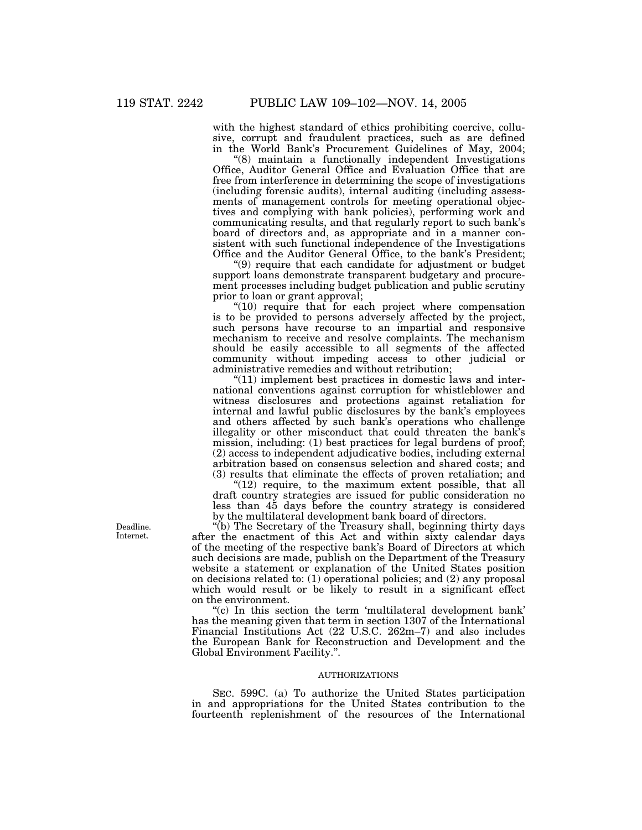with the highest standard of ethics prohibiting coercive, collusive, corrupt and fraudulent practices, such as are defined in the World Bank's Procurement Guidelines of May, 2004;

''(8) maintain a functionally independent Investigations Office, Auditor General Office and Evaluation Office that are free from interference in determining the scope of investigations (including forensic audits), internal auditing (including assessments of management controls for meeting operational objectives and complying with bank policies), performing work and communicating results, and that regularly report to such bank's board of directors and, as appropriate and in a manner consistent with such functional independence of the Investigations Office and the Auditor General Office, to the bank's President;

''(9) require that each candidate for adjustment or budget support loans demonstrate transparent budgetary and procurement processes including budget publication and public scrutiny prior to loan or grant approval;

 $"(10)$  require that for each project where compensation is to be provided to persons adversely affected by the project, such persons have recourse to an impartial and responsive mechanism to receive and resolve complaints. The mechanism should be easily accessible to all segments of the affected community without impeding access to other judicial or administrative remedies and without retribution;

"(11) implement best practices in domestic laws and international conventions against corruption for whistleblower and witness disclosures and protections against retaliation for internal and lawful public disclosures by the bank's employees and others affected by such bank's operations who challenge illegality or other misconduct that could threaten the bank's mission, including: (1) best practices for legal burdens of proof; (2) access to independent adjudicative bodies, including external arbitration based on consensus selection and shared costs; and (3) results that eliminate the effects of proven retaliation; and

" $(12)$  require, to the maximum extent possible, that all draft country strategies are issued for public consideration no less than 45 days before the country strategy is considered by the multilateral development bank board of directors.

''(b) The Secretary of the Treasury shall, beginning thirty days after the enactment of this Act and within sixty calendar days of the meeting of the respective bank's Board of Directors at which such decisions are made, publish on the Department of the Treasury website a statement or explanation of the United States position on decisions related to: (1) operational policies; and (2) any proposal which would result or be likely to result in a significant effect on the environment.

"(c) In this section the term 'multilateral development bank' has the meaning given that term in section 1307 of the International Financial Institutions Act (22 U.S.C. 262m–7) and also includes the European Bank for Reconstruction and Development and the Global Environment Facility.''.

## AUTHORIZATIONS

SEC. 599C. (a) To authorize the United States participation in and appropriations for the United States contribution to the fourteenth replenishment of the resources of the International

Deadline. Internet.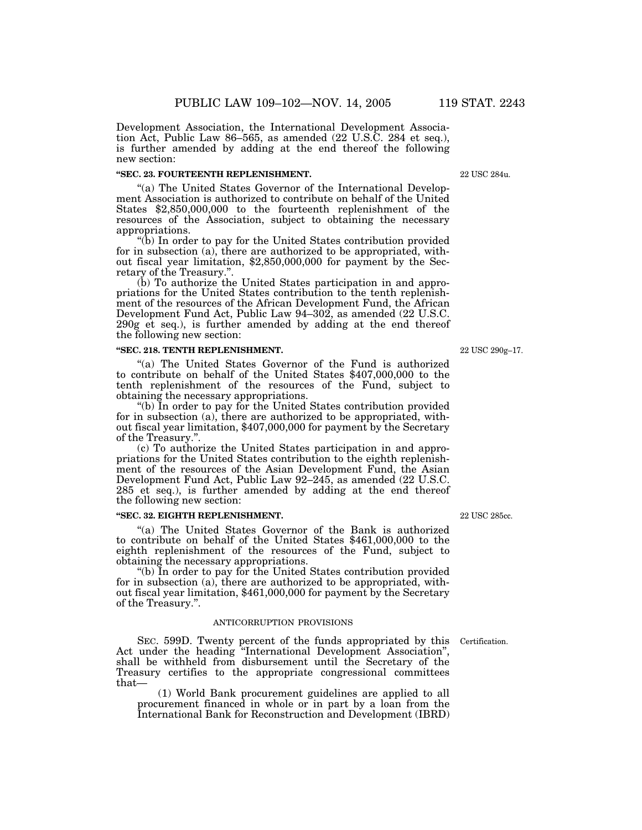Development Association, the International Development Association Act, Public Law 86–565, as amended (22 U.S.C. 284 et seq.), is further amended by adding at the end thereof the following new section:

### **''SEC. 23. FOURTEENTH REPLENISHMENT.**

"(a) The United States Governor of the International Development Association is authorized to contribute on behalf of the United States \$2,850,000,000 to the fourteenth replenishment of the resources of the Association, subject to obtaining the necessary appropriations.

''(b) In order to pay for the United States contribution provided for in subsection (a), there are authorized to be appropriated, without fiscal year limitation, \$2,850,000,000 for payment by the Secretary of the Treasury.''.

(b) To authorize the United States participation in and appropriations for the United States contribution to the tenth replenishment of the resources of the African Development Fund, the African Development Fund Act, Public Law 94–302, as amended (22 U.S.C. 290g et seq.), is further amended by adding at the end thereof the following new section:

### **''SEC. 218. TENTH REPLENISHMENT.**

''(a) The United States Governor of the Fund is authorized to contribute on behalf of the United States \$407,000,000 to the tenth replenishment of the resources of the Fund, subject to obtaining the necessary appropriations.

''(b) In order to pay for the United States contribution provided for in subsection (a), there are authorized to be appropriated, without fiscal year limitation, \$407,000,000 for payment by the Secretary of the Treasury.''.

(c) To authorize the United States participation in and appropriations for the United States contribution to the eighth replenishment of the resources of the Asian Development Fund, the Asian Development Fund Act, Public Law 92–245, as amended (22 U.S.C. 285 et seq.), is further amended by adding at the end thereof the following new section:

## **''SEC. 32. EIGHTH REPLENISHMENT.**

"(a) The United States Governor of the Bank is authorized to contribute on behalf of the United States \$461,000,000 to the eighth replenishment of the resources of the Fund, subject to obtaining the necessary appropriations.

''(b) In order to pay for the United States contribution provided for in subsection (a), there are authorized to be appropriated, without fiscal year limitation, \$461,000,000 for payment by the Secretary of the Treasury.''.

## ANTICORRUPTION PROVISIONS

SEC. 599D. Twenty percent of the funds appropriated by this Act under the heading ''International Development Association'', shall be withheld from disbursement until the Secretary of the Treasury certifies to the appropriate congressional committees that— Certification.

(1) World Bank procurement guidelines are applied to all procurement financed in whole or in part by a loan from the International Bank for Reconstruction and Development (IBRD)

22 USC 285cc.

22 USC 290g–17.

22 USC 284u.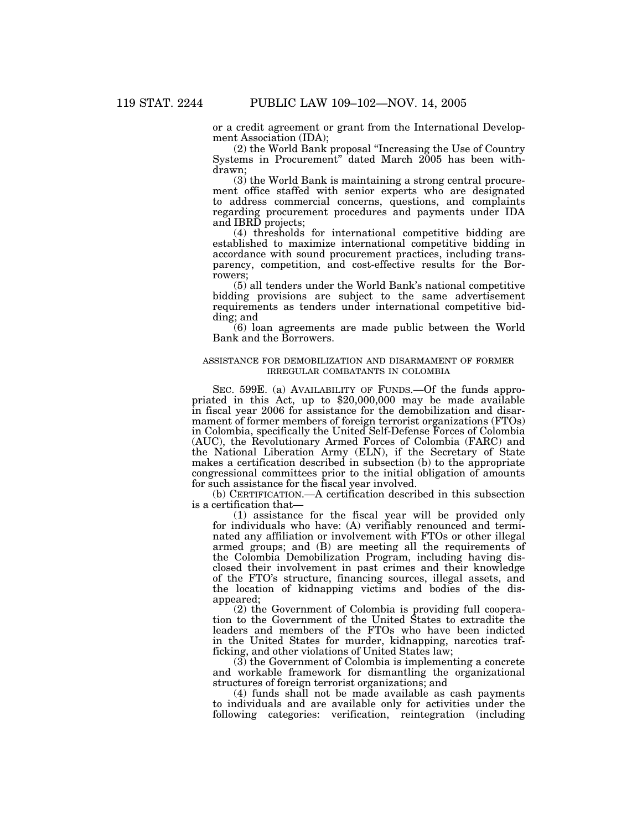or a credit agreement or grant from the International Development Association (IDA);

(2) the World Bank proposal ''Increasing the Use of Country Systems in Procurement'' dated March 2005 has been withdrawn;

(3) the World Bank is maintaining a strong central procurement office staffed with senior experts who are designated to address commercial concerns, questions, and complaints regarding procurement procedures and payments under IDA and IBRD projects;

(4) thresholds for international competitive bidding are established to maximize international competitive bidding in accordance with sound procurement practices, including transparency, competition, and cost-effective results for the Borrowers;

(5) all tenders under the World Bank's national competitive bidding provisions are subject to the same advertisement requirements as tenders under international competitive bidding; and

(6) loan agreements are made public between the World Bank and the Borrowers.

## ASSISTANCE FOR DEMOBILIZATION AND DISARMAMENT OF FORMER IRREGULAR COMBATANTS IN COLOMBIA

SEC. 599E. (a) AVAILABILITY OF FUNDS.—Of the funds appropriated in this Act, up to \$20,000,000 may be made available in fiscal year 2006 for assistance for the demobilization and disarmament of former members of foreign terrorist organizations (FTOs) in Colombia, specifically the United Self-Defense Forces of Colombia (AUC), the Revolutionary Armed Forces of Colombia (FARC) and the National Liberation Army (ELN), if the Secretary of State makes a certification described in subsection (b) to the appropriate congressional committees prior to the initial obligation of amounts for such assistance for the fiscal year involved.

(b) CERTIFICATION.—A certification described in this subsection is a certification that—

(1) assistance for the fiscal year will be provided only for individuals who have: (A) verifiably renounced and terminated any affiliation or involvement with FTOs or other illegal armed groups; and (B) are meeting all the requirements of the Colombia Demobilization Program, including having disclosed their involvement in past crimes and their knowledge of the FTO's structure, financing sources, illegal assets, and the location of kidnapping victims and bodies of the disappeared;

(2) the Government of Colombia is providing full cooperation to the Government of the United States to extradite the leaders and members of the FTOs who have been indicted in the United States for murder, kidnapping, narcotics trafficking, and other violations of United States law;

(3) the Government of Colombia is implementing a concrete and workable framework for dismantling the organizational structures of foreign terrorist organizations; and

(4) funds shall not be made available as cash payments to individuals and are available only for activities under the following categories: verification, reintegration (including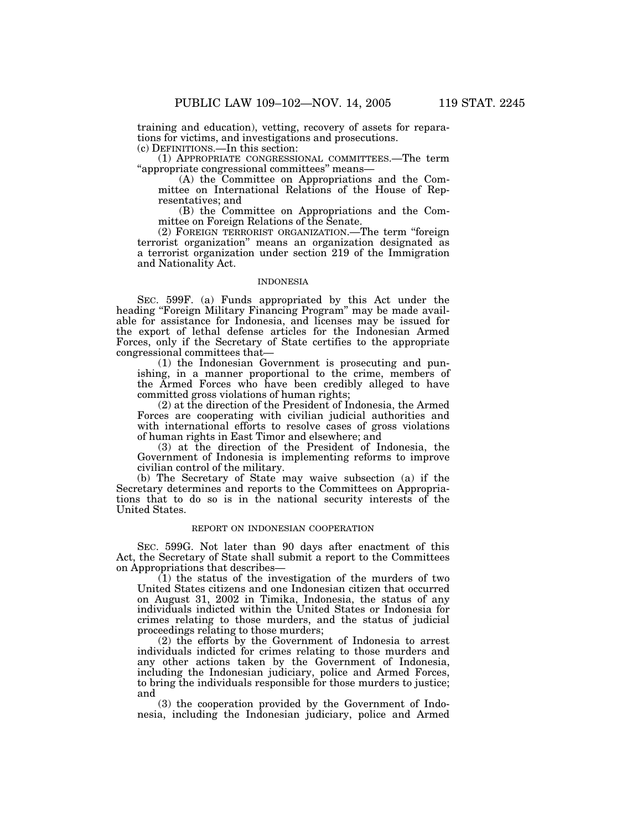training and education), vetting, recovery of assets for reparations for victims, and investigations and prosecutions.

(c) DEFINITIONS.—In this section:

(1) APPROPRIATE CONGRESSIONAL COMMITTEES.—The term ''appropriate congressional committees'' means—

(A) the Committee on Appropriations and the Committee on International Relations of the House of Representatives; and

(B) the Committee on Appropriations and the Committee on Foreign Relations of the Senate.

(2) FOREIGN TERRORIST ORGANIZATION.—The term ''foreign terrorist organization'' means an organization designated as a terrorist organization under section 219 of the Immigration and Nationality Act.

## INDONESIA

SEC. 599F. (a) Funds appropriated by this Act under the heading "Foreign Military Financing Program" may be made available for assistance for Indonesia, and licenses may be issued for the export of lethal defense articles for the Indonesian Armed Forces, only if the Secretary of State certifies to the appropriate congressional committees that—

(1) the Indonesian Government is prosecuting and punishing, in a manner proportional to the crime, members of the Armed Forces who have been credibly alleged to have committed gross violations of human rights;

(2) at the direction of the President of Indonesia, the Armed Forces are cooperating with civilian judicial authorities and with international efforts to resolve cases of gross violations of human rights in East Timor and elsewhere; and

 $(3)$  at the direction of the President of Indonesia, the Government of Indonesia is implementing reforms to improve civilian control of the military.

(b) The Secretary of State may waive subsection (a) if the Secretary determines and reports to the Committees on Appropriations that to do so is in the national security interests of the United States.

## REPORT ON INDONESIAN COOPERATION

SEC. 599G. Not later than 90 days after enactment of this Act, the Secretary of State shall submit a report to the Committees on Appropriations that describes—

 $(1)$  the status of the investigation of the murders of two United States citizens and one Indonesian citizen that occurred on August 31, 2002 in Timika, Indonesia, the status of any individuals indicted within the United States or Indonesia for crimes relating to those murders, and the status of judicial proceedings relating to those murders;

(2) the efforts by the Government of Indonesia to arrest individuals indicted for crimes relating to those murders and any other actions taken by the Government of Indonesia, including the Indonesian judiciary, police and Armed Forces, to bring the individuals responsible for those murders to justice; and

(3) the cooperation provided by the Government of Indonesia, including the Indonesian judiciary, police and Armed